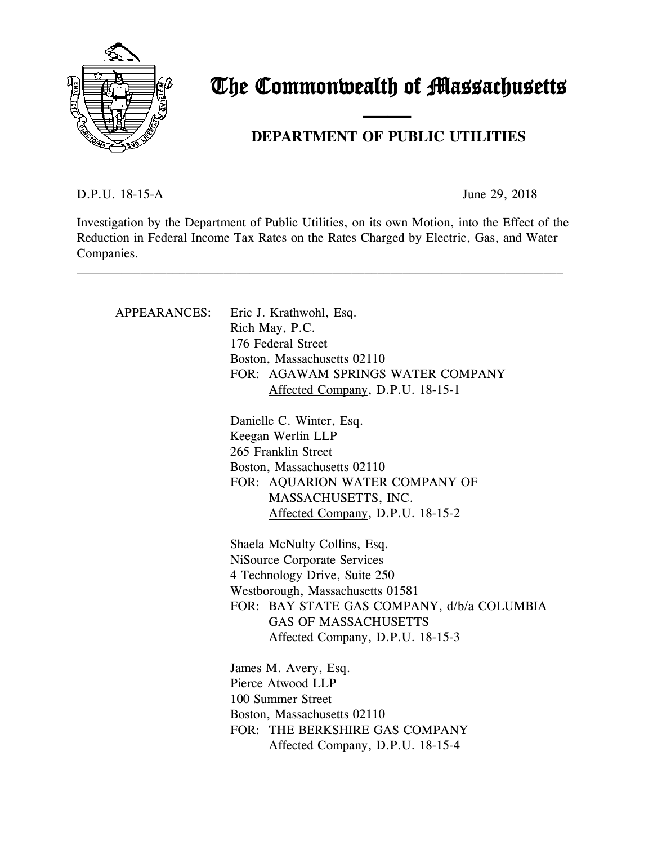

# The Commonwealth of Massachusetts

## **DEPARTMENT OF PUBLIC UTILITIES**

D.P.U. 18-15-A June 29, 2018

Investigation by the Department of Public Utilities, on its own Motion, into the Effect of the Reduction in Federal Income Tax Rates on the Rates Charged by Electric, Gas, and Water Companies.

\_\_\_\_\_\_\_\_\_\_\_\_\_\_\_\_\_\_\_\_\_\_\_\_\_\_\_\_\_\_\_\_\_\_\_\_\_\_\_\_\_\_\_\_\_\_\_\_\_\_\_\_\_\_\_\_\_\_\_\_\_\_\_\_\_\_\_\_\_\_\_\_\_\_\_\_

and the contract of the contract of

| APPEARANCES: | Eric J. Krathwohl, Esq.<br>Rich May, P.C.<br>176 Federal Street<br>Boston, Massachusetts 02110<br>FOR: AGAWAM SPRINGS WATER COMPANY<br>Affected Company, D.P.U. 18-15-1                                                                           |
|--------------|---------------------------------------------------------------------------------------------------------------------------------------------------------------------------------------------------------------------------------------------------|
|              | Danielle C. Winter, Esq.<br>Keegan Werlin LLP<br>265 Franklin Street<br>Boston, Massachusetts 02110<br>FOR: AQUARION WATER COMPANY OF<br>MASSACHUSETTS, INC.<br>Affected Company, D.P.U. 18-15-2                                                  |
|              | Shaela McNulty Collins, Esq.<br>NiSource Corporate Services<br>4 Technology Drive, Suite 250<br>Westborough, Massachusetts 01581<br>FOR: BAY STATE GAS COMPANY, d/b/a COLUMBIA<br><b>GAS OF MASSACHUSETTS</b><br>Affected Company, D.P.U. 18-15-3 |
|              | James M. Avery, Esq.<br>Pierce Atwood LLP<br>100 Summer Street<br>Boston, Massachusetts 02110<br>FOR: THE BERKSHIRE GAS COMPANY<br>Affected Company, D.P.U. 18-15-4                                                                               |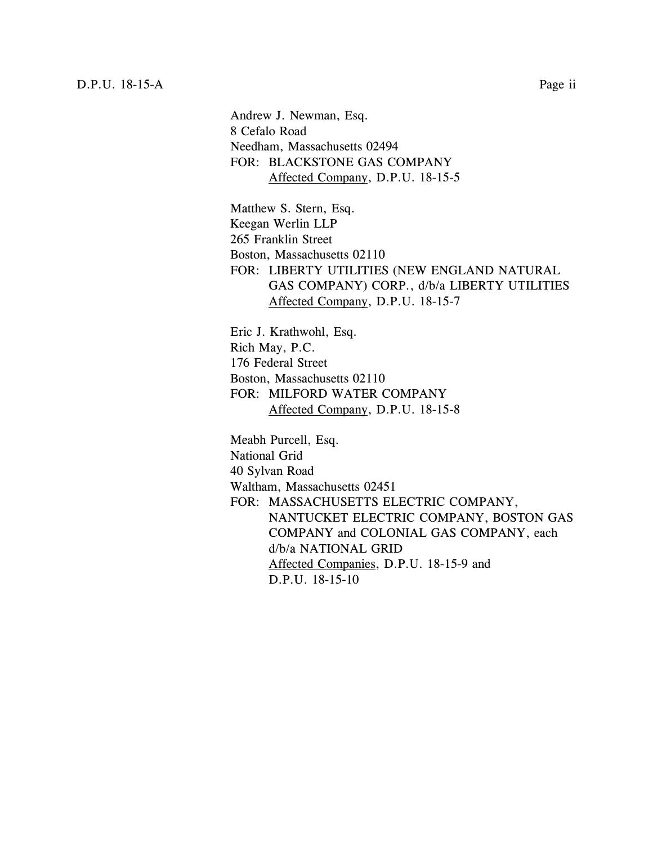Andrew J. Newman, Esq. 8 Cefalo Road Needham, Massachusetts 02494 FOR: BLACKSTONE GAS COMPANY Affected Company, D.P.U. 18-15-5

Matthew S. Stern, Esq. Keegan Werlin LLP 265 Franklin Street Boston, Massachusetts 02110 FOR: LIBERTY UTILITIES (NEW ENGLAND NATURAL GAS COMPANY) CORP., d/b/a LIBERTY UTILITIES Affected Company, D.P.U. 18-15-7

Eric J. Krathwohl, Esq. Rich May, P.C. 176 Federal Street Boston, Massachusetts 02110 FOR: MILFORD WATER COMPANY Affected Company, D.P.U. 18-15-8

Meabh Purcell, Esq. National Grid 40 Sylvan Road Waltham, Massachusetts 02451 FOR: MASSACHUSETTS ELECTRIC COMPANY, NANTUCKET ELECTRIC COMPANY, BOSTON GAS COMPANY and COLONIAL GAS COMPANY, each d/b/a NATIONAL GRID Affected Companies, D.P.U. 18-15-9 and D.P.U. 18-15-10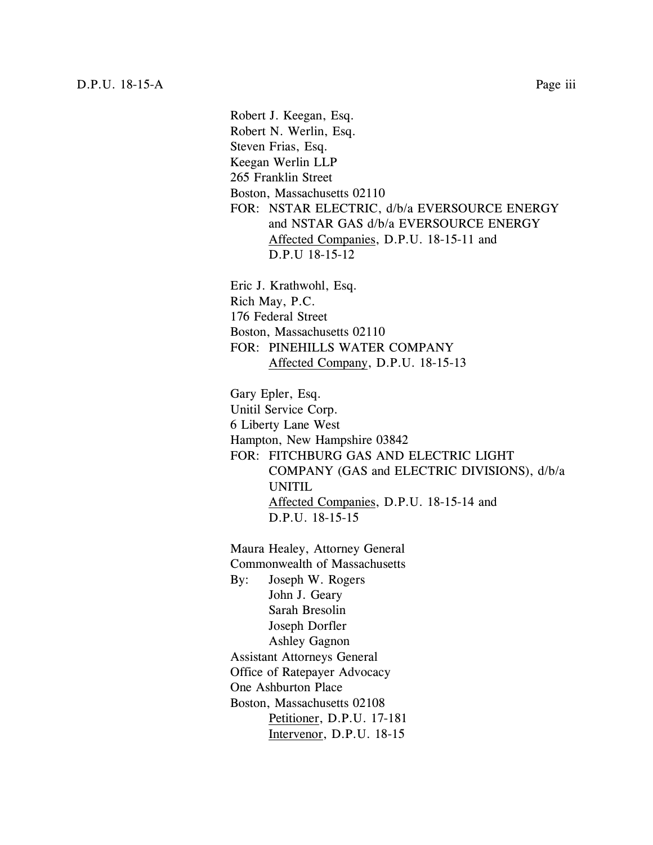Robert J. Keegan, Esq. Robert N. Werlin, Esq. Steven Frias, Esq. Keegan Werlin LLP 265 Franklin Street Boston, Massachusetts 02110 FOR: NSTAR ELECTRIC, d/b/a EVERSOURCE ENERGY and NSTAR GAS d/b/a EVERSOURCE ENERGY Affected Companies, D.P.U. 18-15-11 and D.P.U 18-15-12 Eric J. Krathwohl, Esq. Rich May, P.C. 176 Federal Street Boston, Massachusetts 02110 FOR: PINEHILLS WATER COMPANY Affected Company, D.P.U. 18-15-13 Gary Epler, Esq. Unitil Service Corp. 6 Liberty Lane West Hampton, New Hampshire 03842 FOR: FITCHBURG GAS AND ELECTRIC LIGHT COMPANY (GAS and ELECTRIC DIVISIONS), d/b/a UNITIL Affected Companies, D.P.U. 18-15-14 and D.P.U. 18-15-15 Maura Healey, Attorney General Commonwealth of Massachusetts By: Joseph W. Rogers John J. Geary Sarah Bresolin Joseph Dorfler Ashley Gagnon Assistant Attorneys General Office of Ratepayer Advocacy One Ashburton Place Boston, Massachusetts 02108 Petitioner, D.P.U. 17-181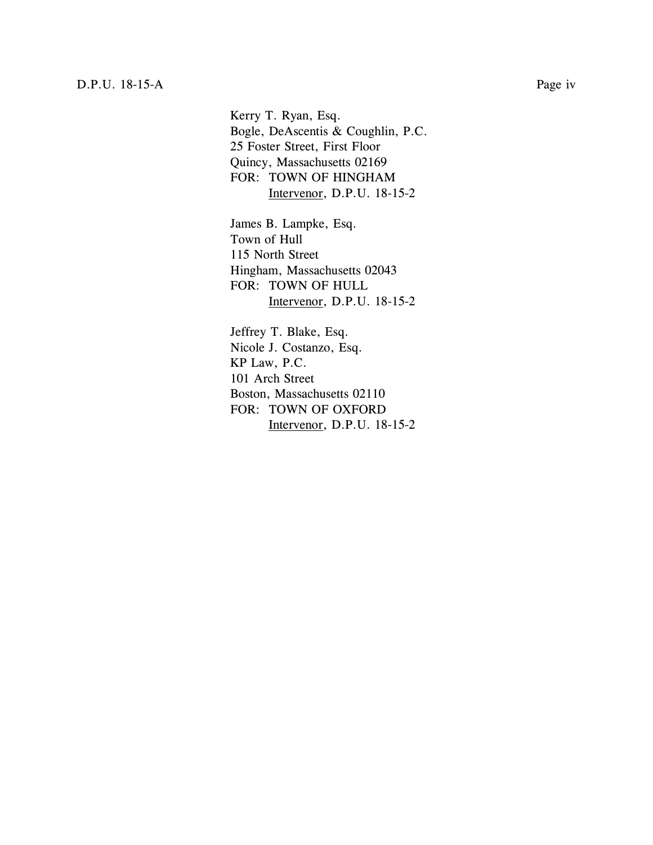Kerry T. Ryan, Esq. Bogle, DeAscentis & Coughlin, P.C. 25 Foster Street, First Floor Quincy, Massachusetts 02169 FOR: TOWN OF HINGHAM Intervenor, D.P.U. 18-15-2

James B. Lampke, Esq. Town of Hull 115 North Street Hingham, Massachusetts 02043 FOR: TOWN OF HULL Intervenor, D.P.U. 18-15-2

Jeffrey T. Blake, Esq. Nicole J. Costanzo, Esq. KP Law, P.C. 101 Arch Street Boston, Massachusetts 02110 FOR: TOWN OF OXFORD Intervenor, D.P.U. 18-15-2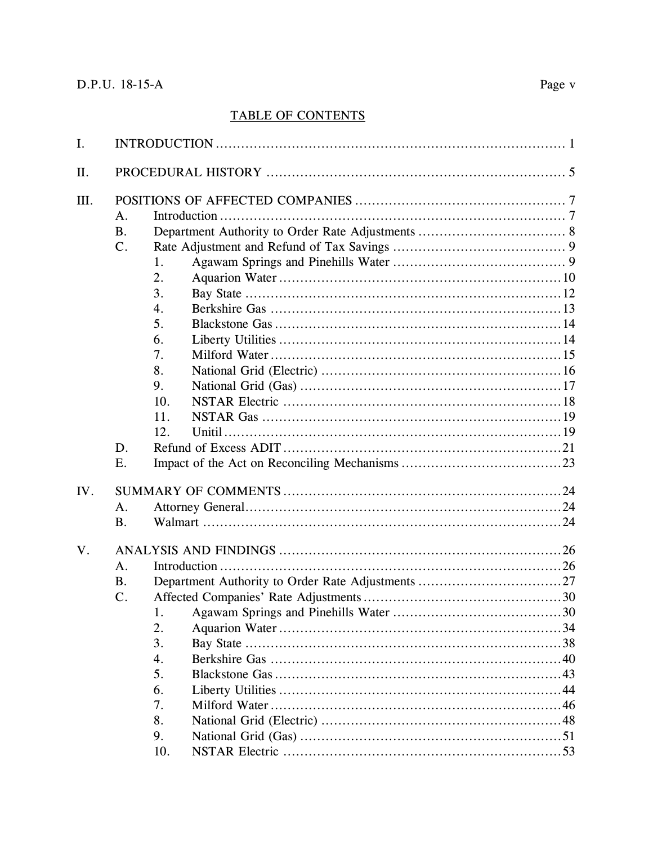## **TABLE OF CONTENTS**

| I.  |                                               |                                                                         |  |  |  |  |
|-----|-----------------------------------------------|-------------------------------------------------------------------------|--|--|--|--|
| Π.  |                                               |                                                                         |  |  |  |  |
| Ш.  | A.<br><b>B.</b><br>C <sub>1</sub><br>D.<br>Ε. | 1.<br>2.<br>3.<br>4.<br>5.<br>6.<br>7.<br>8.<br>9.<br>10.<br>11.<br>12. |  |  |  |  |
| IV. | A.<br><b>B.</b>                               |                                                                         |  |  |  |  |
| V.  | A <sub>1</sub><br><b>B.</b><br>$C$ .          | 2.<br>3.<br>4.<br>5.<br>6.<br>7.<br>8.<br>9.<br>.53<br>10.              |  |  |  |  |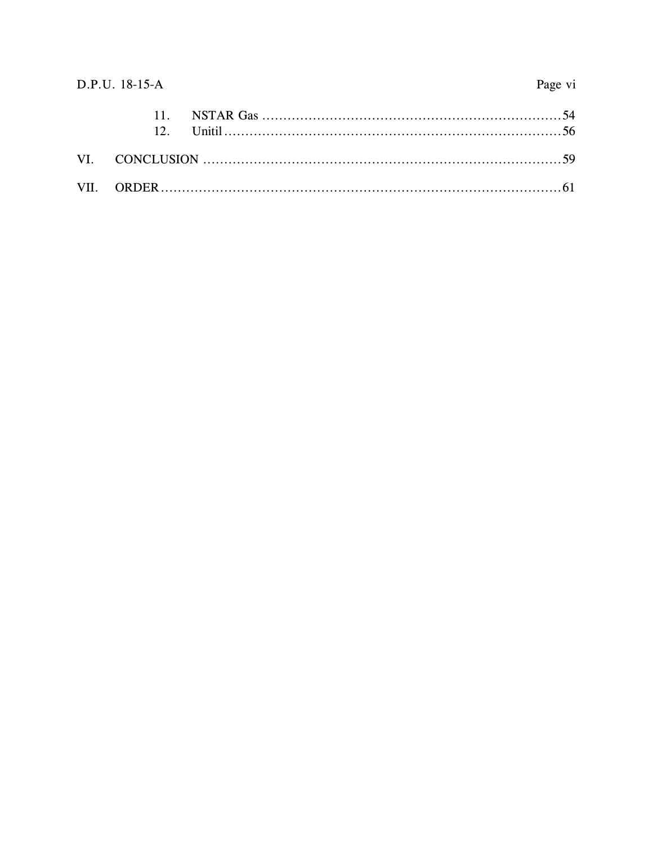## D.P.U. 18-15-A

## Page vi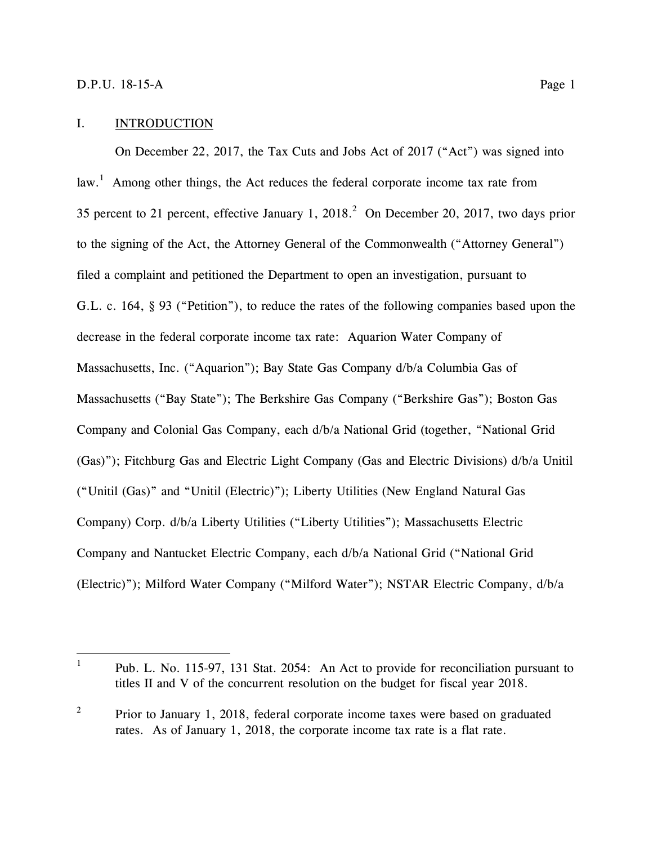$\overline{a}$ 

## <span id="page-6-0"></span>I. INTRODUCTION

On December 22, 2017, the Tax Cuts and Jobs Act of 2017 ("Act") was signed into law.<sup>1</sup> Among other things, the Act reduces the federal corporate income tax rate from 35 percent to 21 percent, effective January 1, 2018.<sup>2</sup> On December 20, 2017, two days prior to the signing of the Act, the Attorney General of the Commonwealth ("Attorney General") filed a complaint and petitioned the Department to open an investigation, pursuant to G.L. c. 164, § 93 ("Petition"), to reduce the rates of the following companies based upon the decrease in the federal corporate income tax rate: Aquarion Water Company of Massachusetts, Inc. ("Aquarion"); Bay State Gas Company d/b/a Columbia Gas of Massachusetts ("Bay State"); The Berkshire Gas Company ("Berkshire Gas"); Boston Gas Company and Colonial Gas Company, each d/b/a National Grid (together, "National Grid (Gas)"); Fitchburg Gas and Electric Light Company (Gas and Electric Divisions) d/b/a Unitil ("Unitil (Gas)" and "Unitil (Electric)"); Liberty Utilities (New England Natural Gas Company) Corp. d/b/a Liberty Utilities ("Liberty Utilities"); Massachusetts Electric Company and Nantucket Electric Company, each d/b/a National Grid ("National Grid (Electric)"); Milford Water Company ("Milford Water"); NSTAR Electric Company, d/b/a

<sup>1</sup> Pub. L. No. 115-97, 131 Stat. 2054: An Act to provide for reconciliation pursuant to titles II and V of the concurrent resolution on the budget for fiscal year 2018.

<sup>2</sup> Prior to January 1, 2018, federal corporate income taxes were based on graduated rates. As of January 1, 2018, the corporate income tax rate is a flat rate.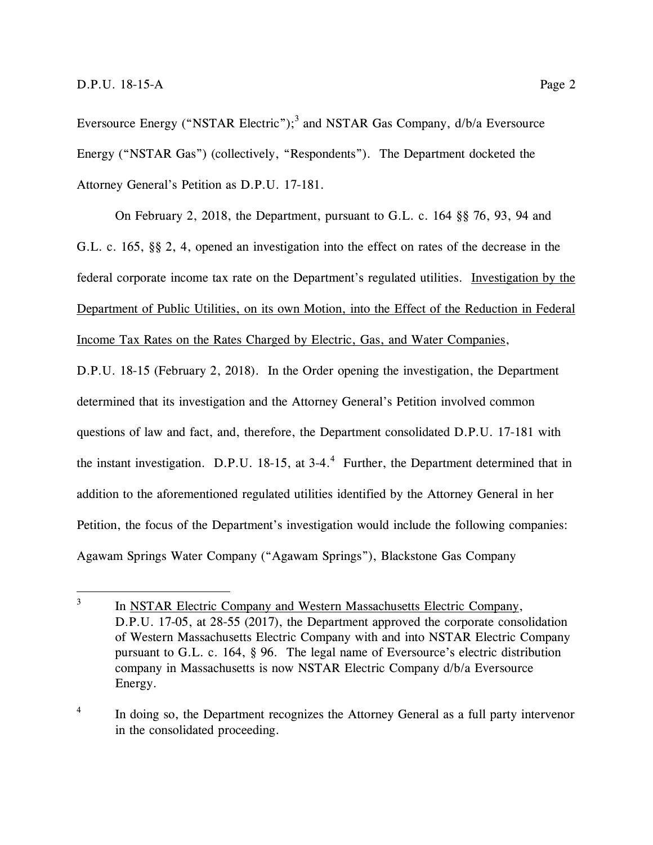$\overline{a}$ 

Eversource Energy ("NSTAR Electric");<sup>3</sup> and NSTAR Gas Company,  $d/b/a$  Eversource Energy ("NSTAR Gas") (collectively, "Respondents"). The Department docketed the Attorney General's Petition as D.P.U. 17-181.

On February 2, 2018, the Department, pursuant to G.L. c. 164 §§ 76, 93, 94 and G.L. c. 165, §§ 2, 4, opened an investigation into the effect on rates of the decrease in the federal corporate income tax rate on the Department's regulated utilities. Investigation by the Department of Public Utilities, on its own Motion, into the Effect of the Reduction in Federal Income Tax Rates on the Rates Charged by Electric, Gas, and Water Companies,

D.P.U. 18-15 (February 2, 2018). In the Order opening the investigation, the Department determined that its investigation and the Attorney General's Petition involved common questions of law and fact, and, therefore, the Department consolidated D.P.U. 17-181 with the instant investigation. D.P.U. 18-15, at 3-4.<sup>4</sup> Further, the Department determined that in addition to the aforementioned regulated utilities identified by the Attorney General in her Petition, the focus of the Department's investigation would include the following companies: Agawam Springs Water Company ("Agawam Springs"), Blackstone Gas Company

<sup>3</sup> In NSTAR Electric Company and Western Massachusetts Electric Company, D.P.U. 17-05, at 28-55 (2017), the Department approved the corporate consolidation of Western Massachusetts Electric Company with and into NSTAR Electric Company pursuant to G.L. c. 164, § 96. The legal name of Eversource's electric distribution company in Massachusetts is now NSTAR Electric Company d/b/a Eversource Energy.

<sup>4</sup> In doing so, the Department recognizes the Attorney General as a full party intervenor in the consolidated proceeding.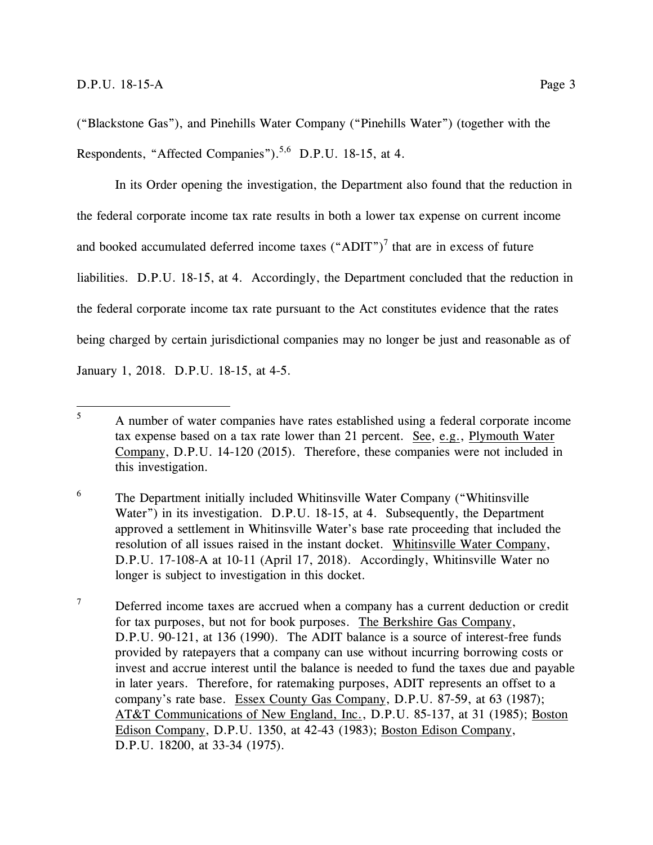("Blackstone Gas"), and Pinehills Water Company ("Pinehills Water") (together with the Respondents, "Affected Companies").<sup>5,6</sup> D.P.U. 18-15, at 4.

In its Order opening the investigation, the Department also found that the reduction in the federal corporate income tax rate results in both a lower tax expense on current income and booked accumulated deferred income taxes  $("ADIT")^7$  that are in excess of future liabilities. D.P.U. 18-15, at 4. Accordingly, the Department concluded that the reduction in the federal corporate income tax rate pursuant to the Act constitutes evidence that the rates being charged by certain jurisdictional companies may no longer be just and reasonable as of January 1, 2018. D.P.U. 18-15, at 4-5.

<sup>6</sup> The Department initially included Whitinsville Water Company ("Whitinsville Water") in its investigation. D.P.U. 18-15, at 4. Subsequently, the Department approved a settlement in Whitinsville Water's base rate proceeding that included the resolution of all issues raised in the instant docket. Whitinsville Water Company, D.P.U. 17-108-A at 10-11 (April 17, 2018). Accordingly, Whitinsville Water no longer is subject to investigation in this docket.

<sup>7</sup> Deferred income taxes are accrued when a company has a current deduction or credit for tax purposes, but not for book purposes. The Berkshire Gas Company, D.P.U. 90-121, at 136 (1990). The ADIT balance is a source of interest-free funds provided by ratepayers that a company can use without incurring borrowing costs or invest and accrue interest until the balance is needed to fund the taxes due and payable in later years. Therefore, for ratemaking purposes, ADIT represents an offset to a company's rate base. Essex County Gas Company, D.P.U. 87-59, at 63 (1987); AT&T Communications of New England, Inc., D.P.U. 85-137, at 31 (1985); Boston Edison Company, D.P.U. 1350, at 42-43 (1983); Boston Edison Company, D.P.U. 18200, at 33-34 (1975).

<sup>5</sup> <sup>5</sup> A number of water companies have rates established using a federal corporate income tax expense based on a tax rate lower than 21 percent. See, e.g., Plymouth Water Company, D.P.U. 14-120 (2015). Therefore, these companies were not included in this investigation.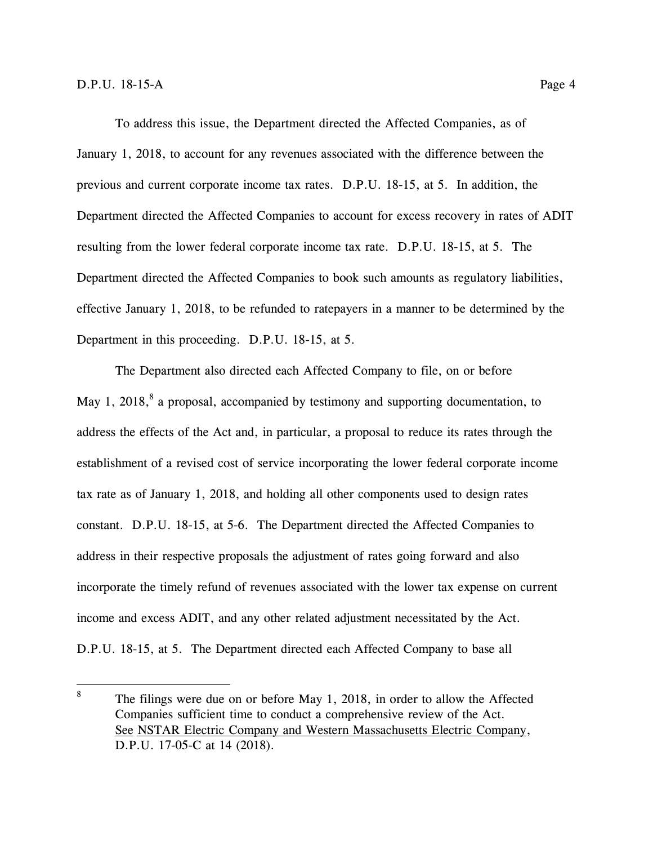To address this issue, the Department directed the Affected Companies, as of January 1, 2018, to account for any revenues associated with the difference between the previous and current corporate income tax rates. D.P.U. 18-15, at 5. In addition, the Department directed the Affected Companies to account for excess recovery in rates of ADIT resulting from the lower federal corporate income tax rate. D.P.U. 18-15, at 5. The Department directed the Affected Companies to book such amounts as regulatory liabilities, effective January 1, 2018, to be refunded to ratepayers in a manner to be determined by the Department in this proceeding. D.P.U. 18-15, at 5.

The Department also directed each Affected Company to file, on or before May 1, 2018,<sup>8</sup> a proposal, accompanied by testimony and supporting documentation, to address the effects of the Act and, in particular, a proposal to reduce its rates through the establishment of a revised cost of service incorporating the lower federal corporate income tax rate as of January 1, 2018, and holding all other components used to design rates constant. D.P.U. 18-15, at 5-6. The Department directed the Affected Companies to address in their respective proposals the adjustment of rates going forward and also incorporate the timely refund of revenues associated with the lower tax expense on current income and excess ADIT, and any other related adjustment necessitated by the Act. D.P.U. 18-15, at 5. The Department directed each Affected Company to base all

<sup>8</sup> The filings were due on or before May 1, 2018, in order to allow the Affected Companies sufficient time to conduct a comprehensive review of the Act. See NSTAR Electric Company and Western Massachusetts Electric Company, D.P.U. 17-05-C at 14 (2018).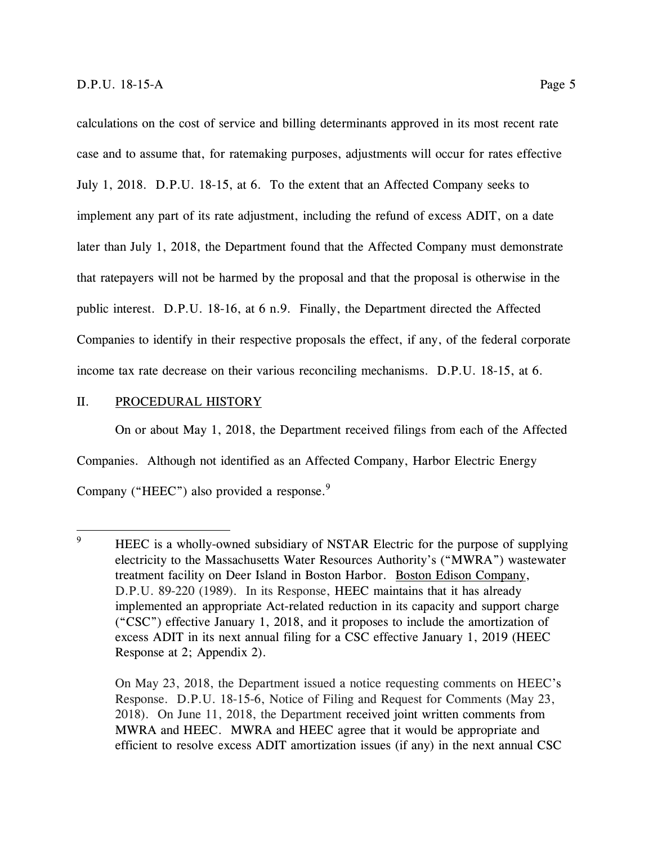calculations on the cost of service and billing determinants approved in its most recent rate case and to assume that, for ratemaking purposes, adjustments will occur for rates effective July 1, 2018. D.P.U. 18-15, at 6. To the extent that an Affected Company seeks to implement any part of its rate adjustment, including the refund of excess ADIT, on a date later than July 1, 2018, the Department found that the Affected Company must demonstrate that ratepayers will not be harmed by the proposal and that the proposal is otherwise in the public interest. D.P.U. 18-16, at 6 n.9. Finally, the Department directed the Affected Companies to identify in their respective proposals the effect, if any, of the federal corporate income tax rate decrease on their various reconciling mechanisms. D.P.U. 18-15, at 6.

## <span id="page-10-0"></span>II. PROCEDURAL HISTORY

On or about May 1, 2018, the Department received filings from each of the Affected Companies. Although not identified as an Affected Company, Harbor Electric Energy Company ("HEEC") also provided a response.<sup>9</sup>

On May 23, 2018, the Department issued a notice requesting comments on HEEC's Response. D.P.U. 18-15-6, Notice of Filing and Request for Comments (May 23, 2018). On June 11, 2018, the Department received joint written comments from MWRA and HEEC. MWRA and HEEC agree that it would be appropriate and efficient to resolve excess ADIT amortization issues (if any) in the next annual CSC

 $\overline{9}$ HEEC is a wholly-owned subsidiary of NSTAR Electric for the purpose of supplying electricity to the Massachusetts Water Resources Authority's ("MWRA") wastewater treatment facility on Deer Island in Boston Harbor. Boston Edison Company, D.P.U. 89-220 (1989). In its Response, HEEC maintains that it has already implemented an appropriate Act-related reduction in its capacity and support charge ("CSC") effective January 1, 2018, and it proposes to include the amortization of excess ADIT in its next annual filing for a CSC effective January 1, 2019 (HEEC Response at 2; Appendix 2).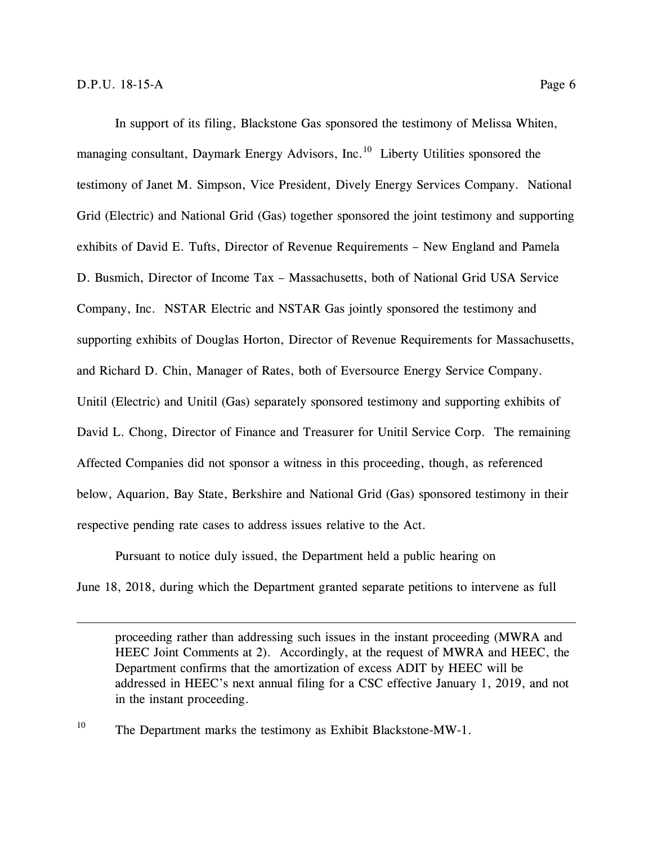$\overline{a}$ 

In support of its filing, Blackstone Gas sponsored the testimony of Melissa Whiten, managing consultant, Daymark Energy Advisors, Inc.<sup>10</sup> Liberty Utilities sponsored the testimony of Janet M. Simpson, Vice President, Dively Energy Services Company. National Grid (Electric) and National Grid (Gas) together sponsored the joint testimony and supporting exhibits of David E. Tufts, Director of Revenue Requirements – New England and Pamela D. Busmich, Director of Income Tax – Massachusetts, both of National Grid USA Service Company, Inc. NSTAR Electric and NSTAR Gas jointly sponsored the testimony and supporting exhibits of Douglas Horton, Director of Revenue Requirements for Massachusetts, and Richard D. Chin, Manager of Rates, both of Eversource Energy Service Company. Unitil (Electric) and Unitil (Gas) separately sponsored testimony and supporting exhibits of David L. Chong, Director of Finance and Treasurer for Unitil Service Corp. The remaining Affected Companies did not sponsor a witness in this proceeding, though, as referenced below, Aquarion, Bay State, Berkshire and National Grid (Gas) sponsored testimony in their respective pending rate cases to address issues relative to the Act.

Pursuant to notice duly issued, the Department held a public hearing on

June 18, 2018, during which the Department granted separate petitions to intervene as full

proceeding rather than addressing such issues in the instant proceeding (MWRA and HEEC Joint Comments at 2). Accordingly, at the request of MWRA and HEEC, the Department confirms that the amortization of excess ADIT by HEEC will be addressed in HEEC's next annual filing for a CSC effective January 1, 2019, and not in the instant proceeding.

<sup>10</sup> The Department marks the testimony as Exhibit Blackstone-MW-1.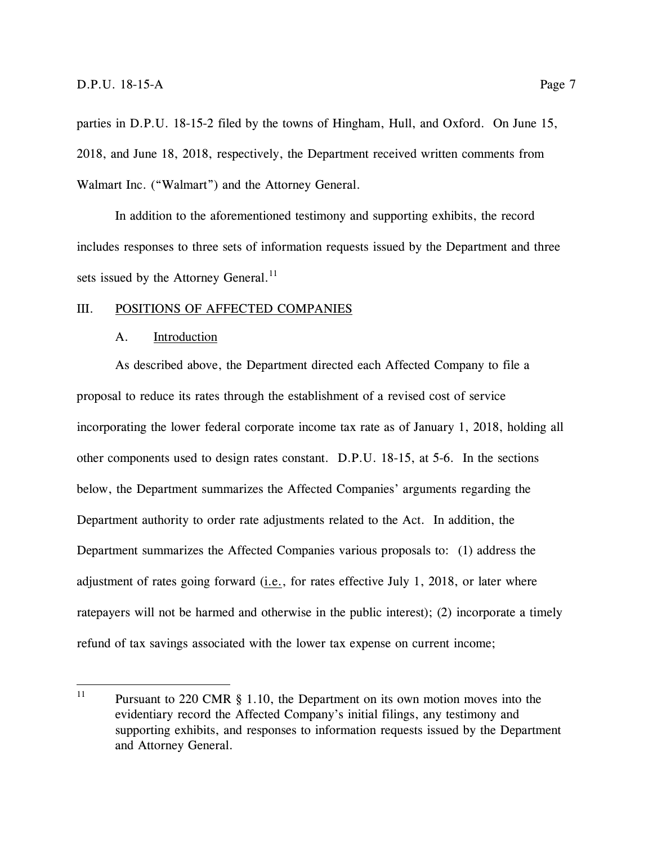parties in D.P.U. 18-15-2 filed by the towns of Hingham, Hull, and Oxford. On June 15, 2018, and June 18, 2018, respectively, the Department received written comments from Walmart Inc. ("Walmart") and the Attorney General.

In addition to the aforementioned testimony and supporting exhibits, the record includes responses to three sets of information requests issued by the Department and three sets issued by the Attorney General.<sup>11</sup>

#### <span id="page-12-1"></span><span id="page-12-0"></span>III. POSITIONS OF AFFECTED COMPANIES

#### A. Introduction

As described above, the Department directed each Affected Company to file a proposal to reduce its rates through the establishment of a revised cost of service incorporating the lower federal corporate income tax rate as of January 1, 2018, holding all other components used to design rates constant. D.P.U. 18-15, at 5-6. In the sections below, the Department summarizes the Affected Companies' arguments regarding the Department authority to order rate adjustments related to the Act. In addition, the Department summarizes the Affected Companies various proposals to: (1) address the adjustment of rates going forward (i.e., for rates effective July 1, 2018, or later where ratepayers will not be harmed and otherwise in the public interest); (2) incorporate a timely refund of tax savings associated with the lower tax expense on current income;

 $11$ Pursuant to 220 CMR  $\S$  1.10, the Department on its own motion moves into the evidentiary record the Affected Company's initial filings, any testimony and supporting exhibits, and responses to information requests issued by the Department and Attorney General.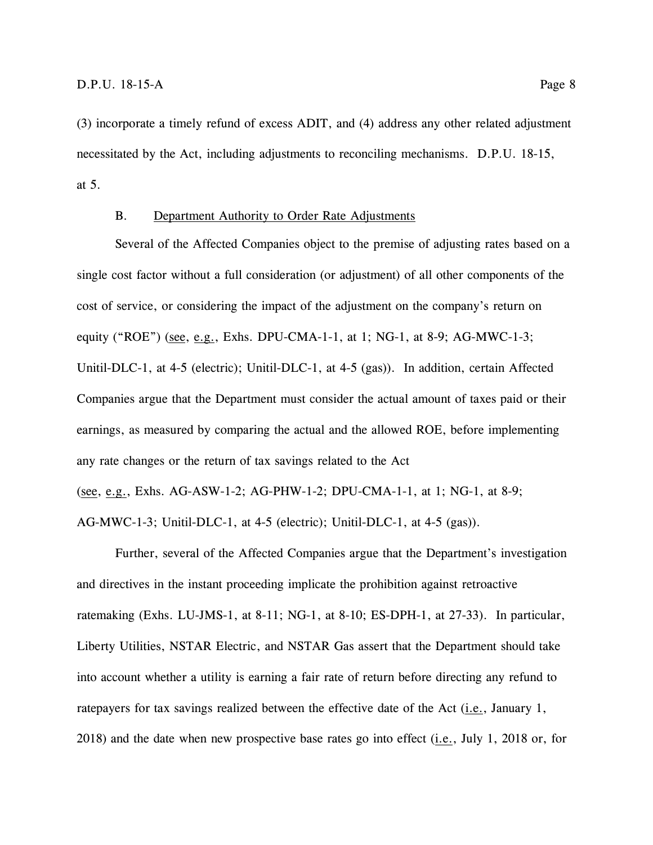(3) incorporate a timely refund of excess ADIT, and (4) address any other related adjustment necessitated by the Act, including adjustments to reconciling mechanisms. D.P.U. 18-15, at 5.

## B. Department Authority to Order Rate Adjustments

<span id="page-13-0"></span>Several of the Affected Companies object to the premise of adjusting rates based on a single cost factor without a full consideration (or adjustment) of all other components of the cost of service, or considering the impact of the adjustment on the company's return on equity ("ROE") (see, e.g., Exhs. DPU-CMA-1-1, at 1; NG-1, at 8-9; AG-MWC-1-3; Unitil-DLC-1, at 4-5 (electric); Unitil-DLC-1, at 4-5 (gas)). In addition, certain Affected Companies argue that the Department must consider the actual amount of taxes paid or their earnings, as measured by comparing the actual and the allowed ROE, before implementing any rate changes or the return of tax savings related to the Act (see, e.g., Exhs. AG-ASW-1-2; AG-PHW-1-2; DPU-CMA-1-1, at 1; NG-1, at 8-9; AG-MWC-1-3; Unitil-DLC-1, at 4-5 (electric); Unitil-DLC-1, at 4-5 (gas)).

Further, several of the Affected Companies argue that the Department's investigation and directives in the instant proceeding implicate the prohibition against retroactive ratemaking (Exhs. LU-JMS-1, at 8-11; NG-1, at 8-10; ES-DPH-1, at 27-33). In particular, Liberty Utilities, NSTAR Electric, and NSTAR Gas assert that the Department should take into account whether a utility is earning a fair rate of return before directing any refund to ratepayers for tax savings realized between the effective date of the Act  $(i.e.,$  January 1, 2018) and the date when new prospective base rates go into effect  $(i.e., July 1, 2018 or, for$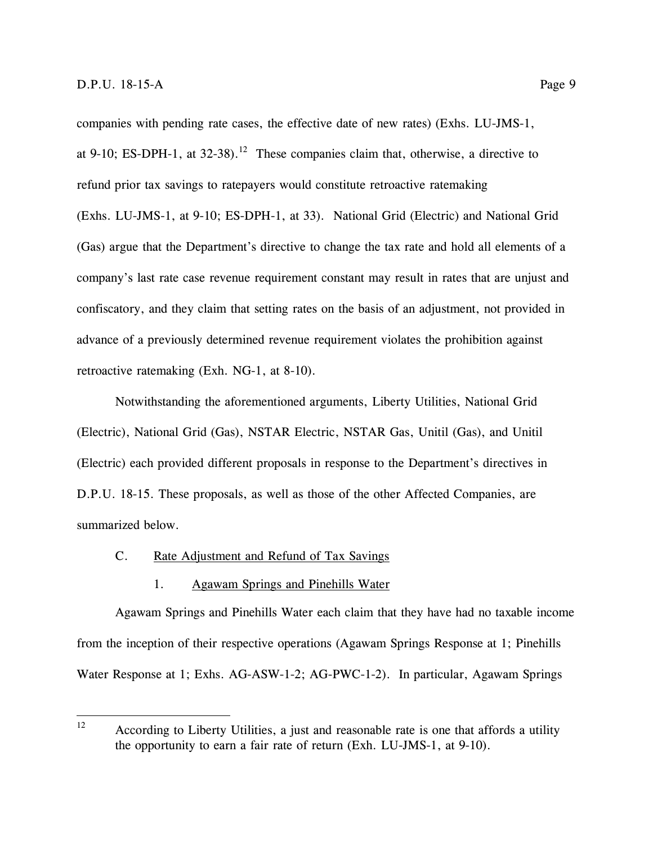companies with pending rate cases, the effective date of new rates) (Exhs. LU-JMS-1, at 9-10; ES-DPH-1, at  $32-38$ ).<sup>12</sup> These companies claim that, otherwise, a directive to refund prior tax savings to ratepayers would constitute retroactive ratemaking (Exhs. LU-JMS-1, at 9-10; ES-DPH-1, at 33). National Grid (Electric) and National Grid (Gas) argue that the Department's directive to change the tax rate and hold all elements of a company's last rate case revenue requirement constant may result in rates that are unjust and confiscatory, and they claim that setting rates on the basis of an adjustment, not provided in advance of a previously determined revenue requirement violates the prohibition against retroactive ratemaking (Exh. NG-1, at 8-10).

Notwithstanding the aforementioned arguments, Liberty Utilities, National Grid (Electric), National Grid (Gas), NSTAR Electric, NSTAR Gas, Unitil (Gas), and Unitil (Electric) each provided different proposals in response to the Department's directives in D.P.U. 18-15. These proposals, as well as those of the other Affected Companies, are summarized below.

#### <span id="page-14-0"></span>C. Rate Adjustment and Refund of Tax Savings

## 1. Agawam Springs and Pinehills Water

<span id="page-14-1"></span>Agawam Springs and Pinehills Water each claim that they have had no taxable income from the inception of their respective operations (Agawam Springs Response at 1; Pinehills Water Response at 1; Exhs. AG-ASW-1-2; AG-PWC-1-2). In particular, Agawam Springs

<sup>12</sup> According to Liberty Utilities, a just and reasonable rate is one that affords a utility the opportunity to earn a fair rate of return (Exh. LU-JMS-1, at 9-10).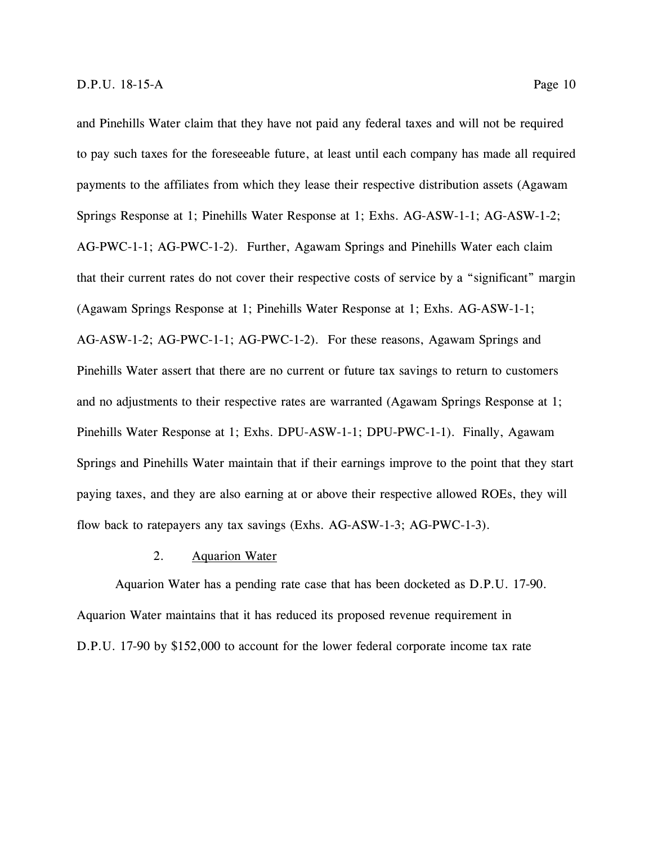and Pinehills Water claim that they have not paid any federal taxes and will not be required to pay such taxes for the foreseeable future, at least until each company has made all required payments to the affiliates from which they lease their respective distribution assets (Agawam Springs Response at 1; Pinehills Water Response at 1; Exhs. AG-ASW-1-1; AG-ASW-1-2; AG-PWC-1-1; AG-PWC-1-2). Further, Agawam Springs and Pinehills Water each claim that their current rates do not cover their respective costs of service by a "significant" margin (Agawam Springs Response at 1; Pinehills Water Response at 1; Exhs. AG-ASW-1-1; AG-ASW-1-2; AG-PWC-1-1; AG-PWC-1-2). For these reasons, Agawam Springs and Pinehills Water assert that there are no current or future tax savings to return to customers and no adjustments to their respective rates are warranted (Agawam Springs Response at 1; Pinehills Water Response at 1; Exhs. DPU-ASW-1-1; DPU-PWC-1-1). Finally, Agawam Springs and Pinehills Water maintain that if their earnings improve to the point that they start paying taxes, and they are also earning at or above their respective allowed ROEs, they will flow back to ratepayers any tax savings (Exhs. AG-ASW-1-3; AG-PWC-1-3).

## 2. Aquarion Water

<span id="page-15-0"></span>Aquarion Water has a pending rate case that has been docketed as D.P.U. 17-90. Aquarion Water maintains that it has reduced its proposed revenue requirement in D.P.U. 17-90 by \$152,000 to account for the lower federal corporate income tax rate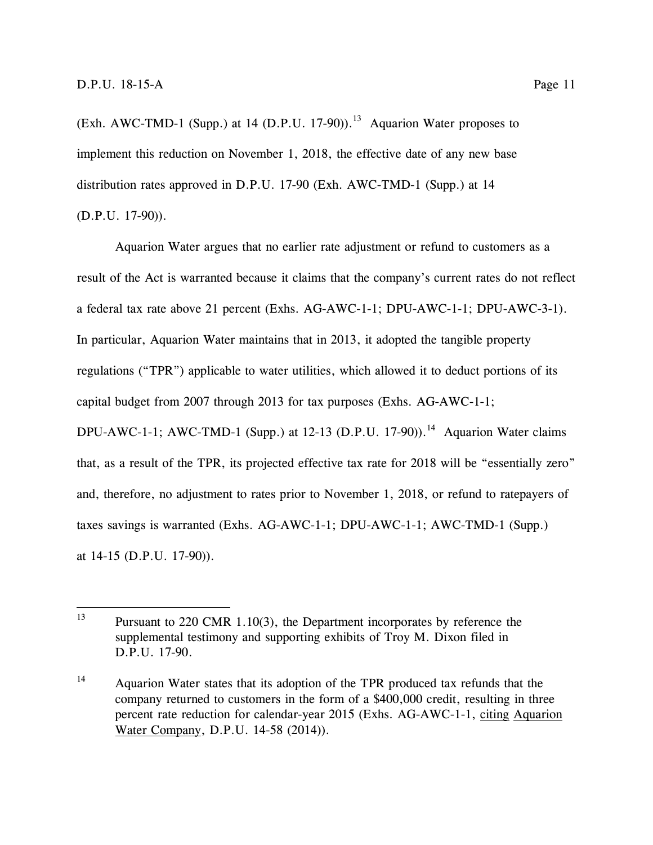(Exh. AWC-TMD-1 (Supp.) at 14 (D.P.U. 17-90)).<sup>13</sup> Aquarion Water proposes to implement this reduction on November 1, 2018, the effective date of any new base distribution rates approved in D.P.U. 17-90 (Exh. AWC-TMD-1 (Supp.) at 14 (D.P.U. 17-90)).

Aquarion Water argues that no earlier rate adjustment or refund to customers as a result of the Act is warranted because it claims that the company's current rates do not reflect a federal tax rate above 21 percent (Exhs. AG-AWC-1-1; DPU-AWC-1-1; DPU-AWC-3-1). In particular, Aquarion Water maintains that in 2013, it adopted the tangible property regulations ("TPR") applicable to water utilities, which allowed it to deduct portions of its capital budget from 2007 through 2013 for tax purposes (Exhs. AG-AWC-1-1; DPU-AWC-1-1; AWC-TMD-1 (Supp.) at 12-13 (D.P.U. 17-90)).<sup>14</sup> Aquarion Water claims that, as a result of the TPR, its projected effective tax rate for 2018 will be "essentially zero" and, therefore, no adjustment to rates prior to November 1, 2018, or refund to ratepayers of taxes savings is warranted (Exhs. AG-AWC-1-1; DPU-AWC-1-1; AWC-TMD-1 (Supp.) at 14-15 (D.P.U. 17-90)).

<sup>13</sup> Pursuant to 220 CMR 1.10(3), the Department incorporates by reference the supplemental testimony and supporting exhibits of Troy M. Dixon filed in D.P.U. 17-90.

<sup>&</sup>lt;sup>14</sup> Aquarion Water states that its adoption of the TPR produced tax refunds that the company returned to customers in the form of a \$400,000 credit, resulting in three percent rate reduction for calendar-year 2015 (Exhs. AG-AWC-1-1, citing Aquarion Water Company, D.P.U. 14-58 (2014)).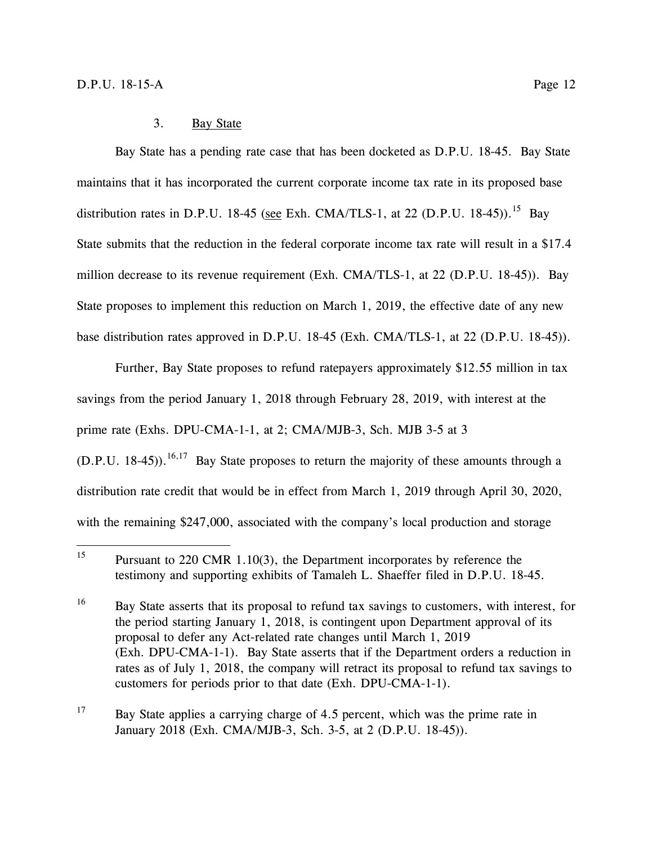<span id="page-17-0"></span>Bay State has a pending rate case that has been docketed as D.P.U. 18-45. Bay State maintains that it has incorporated the current corporate income tax rate in its proposed base distribution rates in D.P.U. 18-45 (see Exh. CMA/TLS-1, at 22 (D.P.U. 18-45)).<sup>15</sup> Bay State submits that the reduction in the federal corporate income tax rate will result in a \$17.4 million decrease to its revenue requirement (Exh. CMA/TLS-1, at 22 (D.P.U. 18-45)). Bay State proposes to implement this reduction on March 1, 2019, the effective date of any new base distribution rates approved in D.P.U. 18-45 (Exh. CMA/TLS-1, at 22 (D.P.U. 18-45)).

Further, Bay State proposes to refund ratepayers approximately \$12.55 million in tax savings from the period January 1, 2018 through February 28, 2019, with interest at the prime rate (Exhs. DPU-CMA-1-1, at 2; CMA/MJB-3, Sch. MJB 3-5 at 3  $(D.P.U. 18-45)$ .<sup>16,17</sup> Bay State proposes to return the majority of these amounts through a distribution rate credit that would be in effect from March 1, 2019 through April 30, 2020, with the remaining \$247,000, associated with the company's local production and storage

 $17$  Bay State applies a carrying charge of 4.5 percent, which was the prime rate in January 2018 (Exh. CMA/MJB-3, Sch. 3-5, at 2 (D.P.U. 18-45)).

 $15\,$ Pursuant to 220 CMR 1.10(3), the Department incorporates by reference the testimony and supporting exhibits of Tamaleh L. Shaeffer filed in D.P.U. 18-45.

<sup>&</sup>lt;sup>16</sup> Bay State asserts that its proposal to refund tax savings to customers, with interest, for the period starting January 1, 2018, is contingent upon Department approval of its proposal to defer any Act-related rate changes until March 1, 2019 (Exh. DPU-CMA-1-1). Bay State asserts that if the Department orders a reduction in rates as of July 1, 2018, the company will retract its proposal to refund tax savings to customers for periods prior to that date (Exh. DPU-CMA-1-1).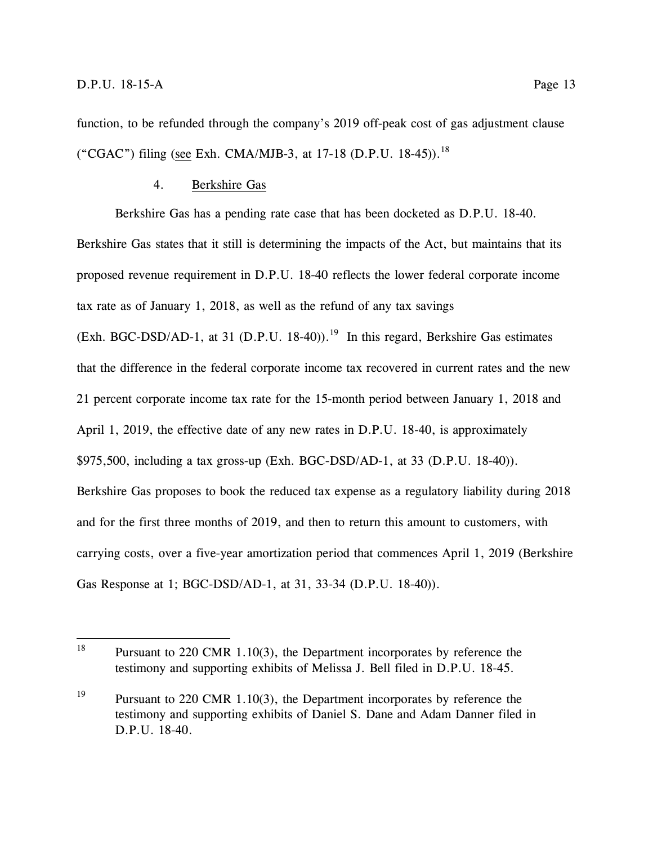function, to be refunded through the company's 2019 off-peak cost of gas adjustment clause ("CGAC") filing (see Exh. CMA/MJB-3, at 17-18 (D.P.U. 18-45)).<sup>18</sup>

## 4. Berkshire Gas

<span id="page-18-0"></span>Berkshire Gas has a pending rate case that has been docketed as D.P.U. 18-40. Berkshire Gas states that it still is determining the impacts of the Act, but maintains that its proposed revenue requirement in D.P.U. 18-40 reflects the lower federal corporate income tax rate as of January 1, 2018, as well as the refund of any tax savings

(Exh. BGC-DSD/AD-1, at 31 (D.P.U. 18-40)).<sup>19</sup> In this regard, Berkshire Gas estimates that the difference in the federal corporate income tax recovered in current rates and the new 21 percent corporate income tax rate for the 15-month period between January 1, 2018 and April 1, 2019, the effective date of any new rates in D.P.U. 18-40, is approximately \$975,500, including a tax gross-up (Exh. BGC-DSD/AD-1, at 33 (D.P.U. 18-40)). Berkshire Gas proposes to book the reduced tax expense as a regulatory liability during 2018 and for the first three months of 2019, and then to return this amount to customers, with carrying costs, over a five-year amortization period that commences April 1, 2019 (Berkshire Gas Response at 1; BGC-DSD/AD-1, at 31, 33-34 (D.P.U. 18-40)).

<sup>18</sup> Pursuant to 220 CMR 1.10(3), the Department incorporates by reference the testimony and supporting exhibits of Melissa J. Bell filed in D.P.U. 18-45.

<sup>&</sup>lt;sup>19</sup> Pursuant to 220 CMR 1.10(3), the Department incorporates by reference the testimony and supporting exhibits of Daniel S. Dane and Adam Danner filed in D.P.U. 18-40.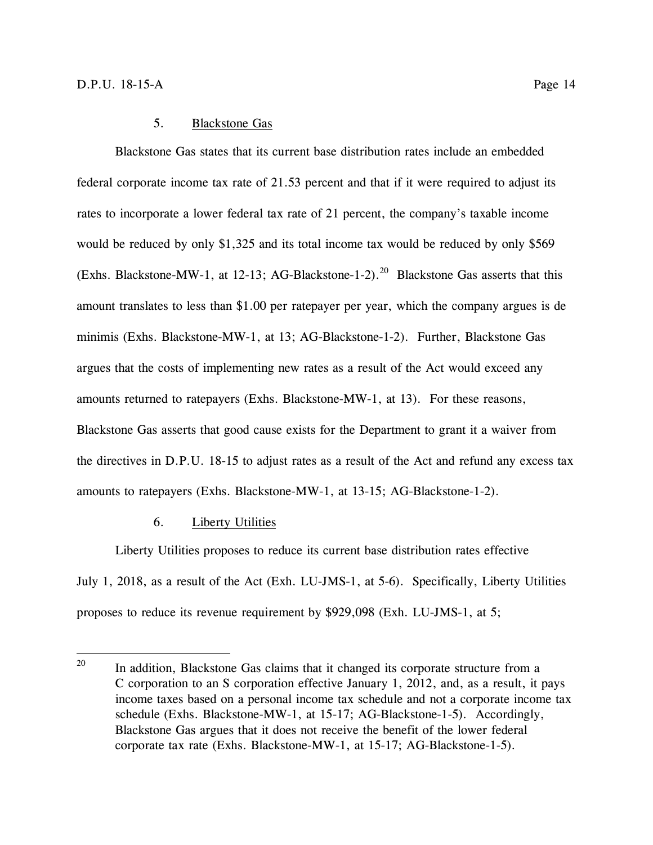## 5. Blackstone Gas

<span id="page-19-0"></span>Blackstone Gas states that its current base distribution rates include an embedded federal corporate income tax rate of 21.53 percent and that if it were required to adjust its rates to incorporate a lower federal tax rate of 21 percent, the company's taxable income would be reduced by only \$1,325 and its total income tax would be reduced by only \$569 (Exhs. Blackstone-MW-1, at 12-13; AG-Blackstone-1-2).<sup>20</sup> Blackstone Gas asserts that this amount translates to less than \$1.00 per ratepayer per year, which the company argues is de minimis (Exhs. Blackstone-MW-1, at 13; AG-Blackstone-1-2). Further, Blackstone Gas argues that the costs of implementing new rates as a result of the Act would exceed any amounts returned to ratepayers (Exhs. Blackstone-MW-1, at 13). For these reasons, Blackstone Gas asserts that good cause exists for the Department to grant it a waiver from the directives in D.P.U. 18-15 to adjust rates as a result of the Act and refund any excess tax amounts to ratepayers (Exhs. Blackstone-MW-1, at 13-15; AG-Blackstone-1-2).

## 6. Liberty Utilities

<span id="page-19-1"></span>Liberty Utilities proposes to reduce its current base distribution rates effective July 1, 2018, as a result of the Act (Exh. LU-JMS-1, at 5-6). Specifically, Liberty Utilities proposes to reduce its revenue requirement by \$929,098 (Exh. LU-JMS-1, at 5;

<sup>20</sup> In addition, Blackstone Gas claims that it changed its corporate structure from a C corporation to an S corporation effective January 1, 2012, and, as a result, it pays income taxes based on a personal income tax schedule and not a corporate income tax schedule (Exhs. Blackstone-MW-1, at 15-17; AG-Blackstone-1-5). Accordingly, Blackstone Gas argues that it does not receive the benefit of the lower federal corporate tax rate (Exhs. Blackstone-MW-1, at 15-17; AG-Blackstone-1-5).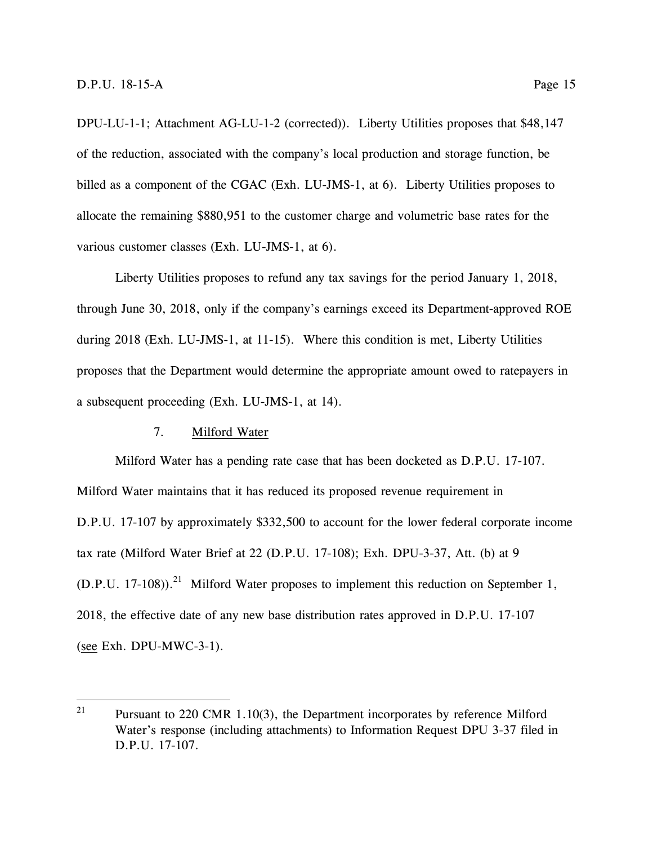DPU-LU-1-1; Attachment AG-LU-1-2 (corrected)). Liberty Utilities proposes that \$48,147 of the reduction, associated with the company's local production and storage function, be billed as a component of the CGAC (Exh. LU-JMS-1, at 6). Liberty Utilities proposes to allocate the remaining \$880,951 to the customer charge and volumetric base rates for the various customer classes (Exh. LU-JMS-1, at 6).

Liberty Utilities proposes to refund any tax savings for the period January 1, 2018, through June 30, 2018, only if the company's earnings exceed its Department-approved ROE during 2018 (Exh. LU-JMS-1, at 11-15). Where this condition is met, Liberty Utilities proposes that the Department would determine the appropriate amount owed to ratepayers in a subsequent proceeding (Exh. LU-JMS-1, at 14).

## 7. Milford Water

<span id="page-20-0"></span>Milford Water has a pending rate case that has been docketed as D.P.U. 17-107. Milford Water maintains that it has reduced its proposed revenue requirement in D.P.U. 17-107 by approximately \$332,500 to account for the lower federal corporate income tax rate (Milford Water Brief at 22 (D.P.U. 17-108); Exh. DPU-3-37, Att. (b) at 9  $(D.P.U. 17-108)$ .<sup>21</sup> Milford Water proposes to implement this reduction on September 1, 2018, the effective date of any new base distribution rates approved in D.P.U. 17-107 (see Exh. DPU-MWC-3-1).

<sup>21</sup> Pursuant to 220 CMR 1.10(3), the Department incorporates by reference Milford Water's response (including attachments) to Information Request DPU 3-37 filed in D.P.U. 17-107.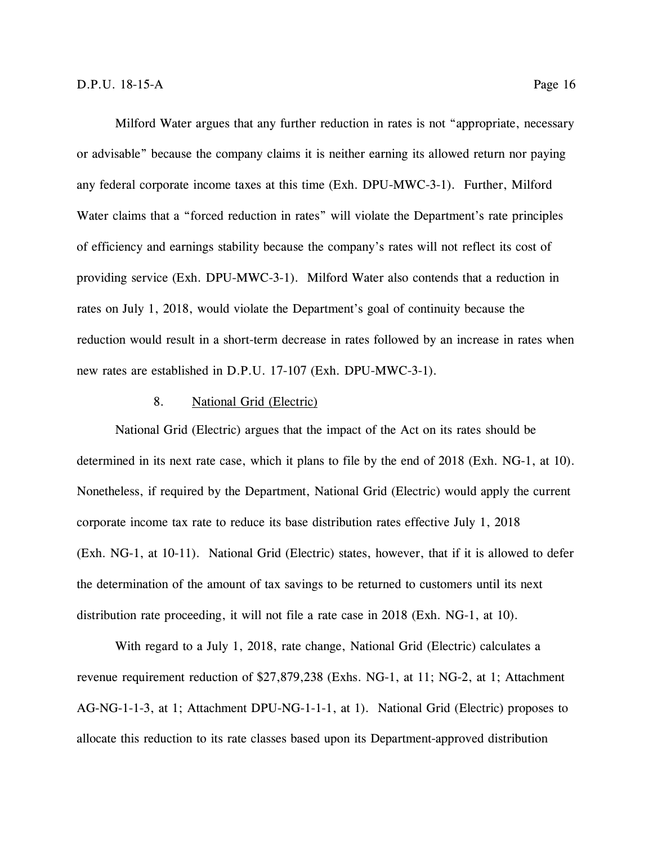Milford Water argues that any further reduction in rates is not "appropriate, necessary or advisable" because the company claims it is neither earning its allowed return nor paying any federal corporate income taxes at this time (Exh. DPU-MWC-3-1). Further, Milford Water claims that a "forced reduction in rates" will violate the Department's rate principles of efficiency and earnings stability because the company's rates will not reflect its cost of providing service (Exh. DPU-MWC-3-1). Milford Water also contends that a reduction in rates on July 1, 2018, would violate the Department's goal of continuity because the reduction would result in a short-term decrease in rates followed by an increase in rates when new rates are established in D.P.U. 17-107 (Exh. DPU-MWC-3-1).

### 8. National Grid (Electric)

<span id="page-21-0"></span>National Grid (Electric) argues that the impact of the Act on its rates should be determined in its next rate case, which it plans to file by the end of 2018 (Exh. NG-1, at 10). Nonetheless, if required by the Department, National Grid (Electric) would apply the current corporate income tax rate to reduce its base distribution rates effective July 1, 2018 (Exh. NG-1, at 10-11). National Grid (Electric) states, however, that if it is allowed to defer the determination of the amount of tax savings to be returned to customers until its next distribution rate proceeding, it will not file a rate case in 2018 (Exh. NG-1, at 10).

With regard to a July 1, 2018, rate change, National Grid (Electric) calculates a revenue requirement reduction of \$27,879,238 (Exhs. NG-1, at 11; NG-2, at 1; Attachment AG-NG-1-1-3, at 1; Attachment DPU-NG-1-1-1, at 1). National Grid (Electric) proposes to allocate this reduction to its rate classes based upon its Department-approved distribution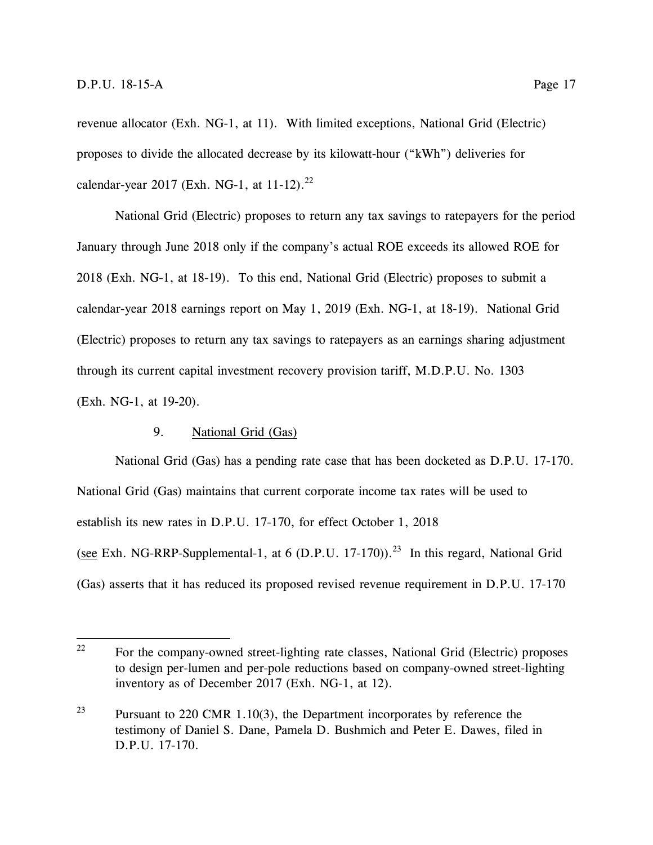revenue allocator (Exh. NG-1, at 11). With limited exceptions, National Grid (Electric) proposes to divide the allocated decrease by its kilowatt-hour ("kWh") deliveries for calendar-year 2017 (Exh. NG-1, at  $11-12$ ).<sup>22</sup>

National Grid (Electric) proposes to return any tax savings to ratepayers for the period January through June 2018 only if the company's actual ROE exceeds its allowed ROE for 2018 (Exh. NG-1, at 18-19). To this end, National Grid (Electric) proposes to submit a calendar-year 2018 earnings report on May 1, 2019 (Exh. NG-1, at 18-19). National Grid (Electric) proposes to return any tax savings to ratepayers as an earnings sharing adjustment through its current capital investment recovery provision tariff, M.D.P.U. No. 1303 (Exh. NG-1, at 19-20).

## 9. National Grid (Gas)

<span id="page-22-0"></span>National Grid (Gas) has a pending rate case that has been docketed as D.P.U. 17-170. National Grid (Gas) maintains that current corporate income tax rates will be used to establish its new rates in D.P.U. 17-170, for effect October 1, 2018 (see Exh. NG-RRP-Supplemental-1, at 6 (D.P.U. 17-170)).<sup>23</sup> In this regard, National Grid (Gas) asserts that it has reduced its proposed revised revenue requirement in D.P.U. 17-170

<sup>22</sup> <sup>22</sup> For the company-owned street-lighting rate classes, National Grid (Electric) proposes to design per-lumen and per-pole reductions based on company-owned street-lighting inventory as of December 2017 (Exh. NG-1, at 12).

<sup>&</sup>lt;sup>23</sup> Pursuant to 220 CMR 1.10(3), the Department incorporates by reference the testimony of Daniel S. Dane, Pamela D. Bushmich and Peter E. Dawes, filed in D.P.U. 17-170.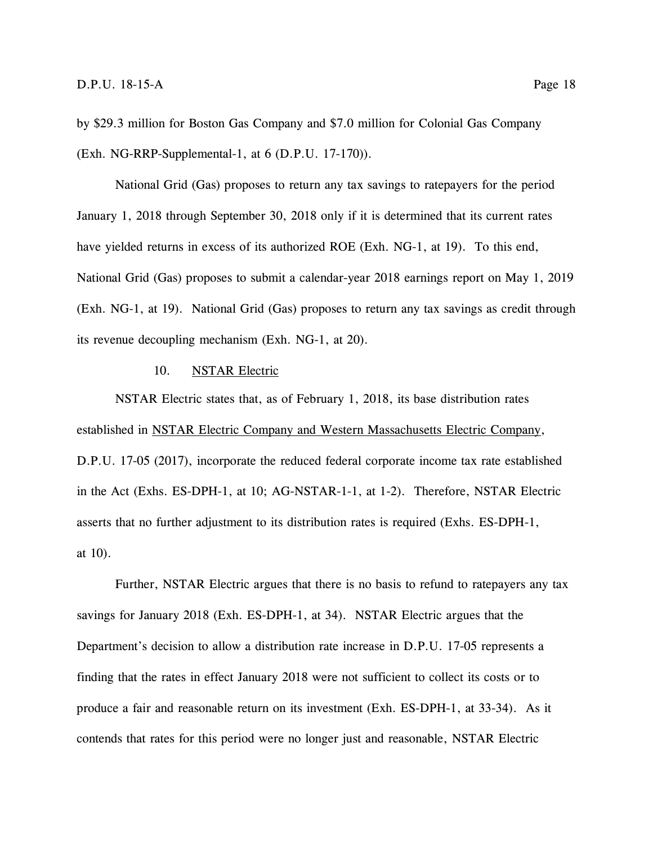by \$29.3 million for Boston Gas Company and \$7.0 million for Colonial Gas Company (Exh. NG-RRP-Supplemental-1, at 6 (D.P.U. 17-170)).

National Grid (Gas) proposes to return any tax savings to ratepayers for the period January 1, 2018 through September 30, 2018 only if it is determined that its current rates have yielded returns in excess of its authorized ROE (Exh. NG-1, at 19). To this end, National Grid (Gas) proposes to submit a calendar-year 2018 earnings report on May 1, 2019 (Exh. NG-1, at 19). National Grid (Gas) proposes to return any tax savings as credit through its revenue decoupling mechanism (Exh. NG-1, at 20).

## 10. NSTAR Electric

<span id="page-23-0"></span>NSTAR Electric states that, as of February 1, 2018, its base distribution rates established in NSTAR Electric Company and Western Massachusetts Electric Company, D.P.U. 17-05 (2017), incorporate the reduced federal corporate income tax rate established in the Act (Exhs. ES-DPH-1, at 10; AG-NSTAR-1-1, at 1-2). Therefore, NSTAR Electric asserts that no further adjustment to its distribution rates is required (Exhs. ES-DPH-1, at 10).

Further, NSTAR Electric argues that there is no basis to refund to ratepayers any tax savings for January 2018 (Exh. ES-DPH-1, at 34). NSTAR Electric argues that the Department's decision to allow a distribution rate increase in D.P.U. 17-05 represents a finding that the rates in effect January 2018 were not sufficient to collect its costs or to produce a fair and reasonable return on its investment (Exh. ES-DPH-1, at 33-34). As it contends that rates for this period were no longer just and reasonable, NSTAR Electric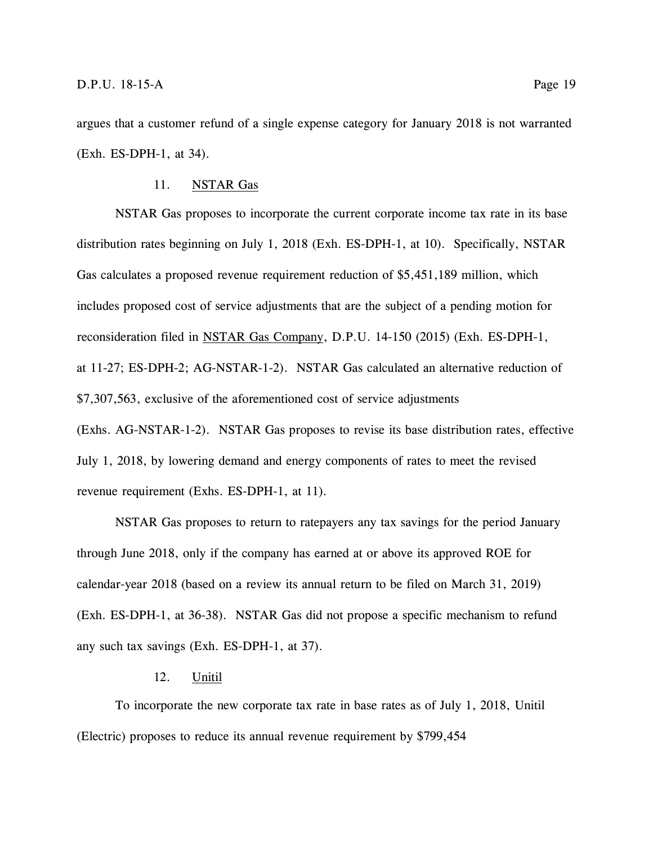argues that a customer refund of a single expense category for January 2018 is not warranted (Exh. ES-DPH-1, at 34).

## 11. NSTAR Gas

<span id="page-24-0"></span>NSTAR Gas proposes to incorporate the current corporate income tax rate in its base distribution rates beginning on July 1, 2018 (Exh. ES-DPH-1, at 10). Specifically, NSTAR Gas calculates a proposed revenue requirement reduction of \$5,451,189 million, which includes proposed cost of service adjustments that are the subject of a pending motion for reconsideration filed in NSTAR Gas Company, D.P.U. 14-150 (2015) (Exh. ES-DPH-1, at 11-27; ES-DPH-2; AG-NSTAR-1-2). NSTAR Gas calculated an alternative reduction of \$7,307,563, exclusive of the aforementioned cost of service adjustments (Exhs. AG-NSTAR-1-2). NSTAR Gas proposes to revise its base distribution rates, effective July 1, 2018, by lowering demand and energy components of rates to meet the revised revenue requirement (Exhs. ES-DPH-1, at 11).

NSTAR Gas proposes to return to ratepayers any tax savings for the period January through June 2018, only if the company has earned at or above its approved ROE for calendar-year 2018 (based on a review its annual return to be filed on March 31, 2019) (Exh. ES-DPH-1, at 36-38). NSTAR Gas did not propose a specific mechanism to refund any such tax savings (Exh. ES-DPH-1, at 37).

## 12. Unitil

<span id="page-24-1"></span>To incorporate the new corporate tax rate in base rates as of July 1, 2018, Unitil (Electric) proposes to reduce its annual revenue requirement by \$799,454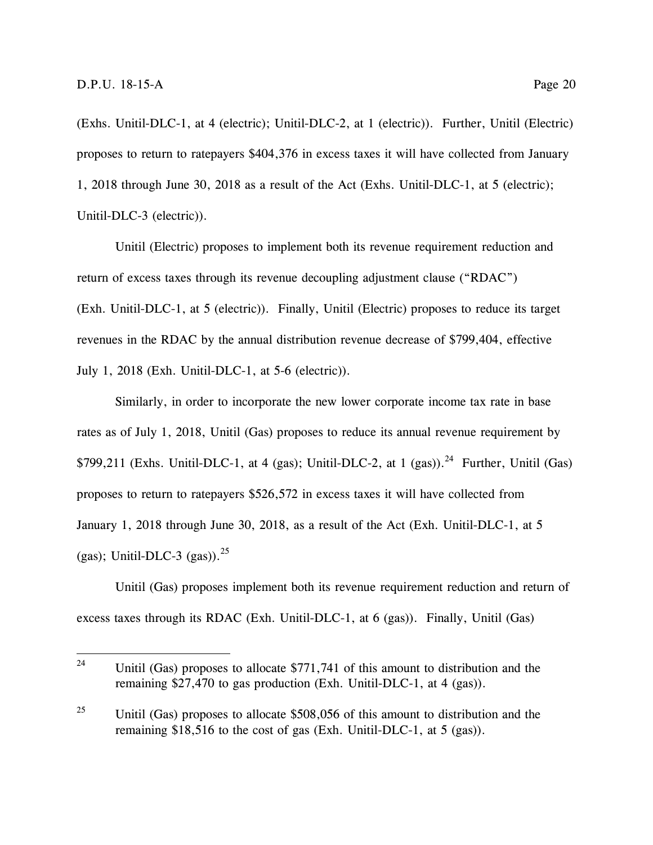(Exhs. Unitil-DLC-1, at 4 (electric); Unitil-DLC-2, at 1 (electric)). Further, Unitil (Electric) proposes to return to ratepayers \$404,376 in excess taxes it will have collected from January 1, 2018 through June 30, 2018 as a result of the Act (Exhs. Unitil-DLC-1, at 5 (electric); Unitil-DLC-3 (electric)).

Unitil (Electric) proposes to implement both its revenue requirement reduction and return of excess taxes through its revenue decoupling adjustment clause ("RDAC") (Exh. Unitil-DLC-1, at 5 (electric)). Finally, Unitil (Electric) proposes to reduce its target revenues in the RDAC by the annual distribution revenue decrease of \$799,404, effective July 1, 2018 (Exh. Unitil-DLC-1, at 5-6 (electric)).

Similarly, in order to incorporate the new lower corporate income tax rate in base rates as of July 1, 2018, Unitil (Gas) proposes to reduce its annual revenue requirement by \$799,211 (Exhs. Unitil-DLC-1, at 4 (gas); Unitil-DLC-2, at 1 (gas)).<sup>24</sup> Further, Unitil (Gas) proposes to return to ratepayers \$526,572 in excess taxes it will have collected from January 1, 2018 through June 30, 2018, as a result of the Act (Exh. Unitil-DLC-1, at 5 (gas); Unitil-DLC-3 (gas)). $^{25}$ 

Unitil (Gas) proposes implement both its revenue requirement reduction and return of excess taxes through its RDAC (Exh. Unitil-DLC-1, at 6 (gas)). Finally, Unitil (Gas)

 $24$ Unitil (Gas) proposes to allocate  $$771,741$  of this amount to distribution and the remaining \$27,470 to gas production (Exh. Unitil-DLC-1, at 4 (gas)).

<sup>&</sup>lt;sup>25</sup> Unitil (Gas) proposes to allocate \$508,056 of this amount to distribution and the remaining \$18,516 to the cost of gas (Exh. Unitil-DLC-1, at 5 (gas)).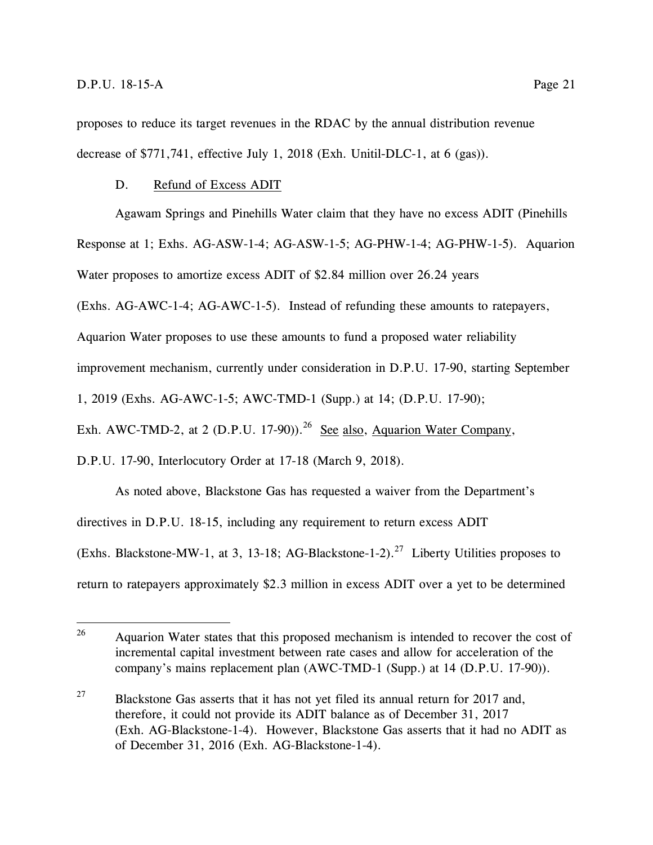proposes to reduce its target revenues in the RDAC by the annual distribution revenue decrease of \$771,741, effective July 1, 2018 (Exh. Unitil-DLC-1, at 6 (gas)).

#### <span id="page-26-0"></span>D. Refund of Excess ADIT

Agawam Springs and Pinehills Water claim that they have no excess ADIT (Pinehills

Response at 1; Exhs. AG-ASW-1-4; AG-ASW-1-5; AG-PHW-1-4; AG-PHW-1-5). Aquarion

Water proposes to amortize excess ADIT of \$2.84 million over 26.24 years

(Exhs. AG-AWC-1-4; AG-AWC-1-5). Instead of refunding these amounts to ratepayers,

Aquarion Water proposes to use these amounts to fund a proposed water reliability

improvement mechanism, currently under consideration in D.P.U. 17-90, starting September

1, 2019 (Exhs. AG-AWC-1-5; AWC-TMD-1 (Supp.) at 14; (D.P.U. 17-90);

Exh. AWC-TMD-2, at 2 (D.P.U. 17-90)).<sup>26</sup> See also, Aquarion Water Company,

D.P.U. 17-90, Interlocutory Order at 17-18 (March 9, 2018).

As noted above, Blackstone Gas has requested a waiver from the Department's directives in D.P.U. 18-15, including any requirement to return excess ADIT (Exhs. Blackstone-MW-1, at 3, 13-18; AG-Blackstone-1-2).<sup>27</sup> Liberty Utilities proposes to return to ratepayers approximately \$2.3 million in excess ADIT over a yet to be determined

<sup>26</sup> <sup>26</sup> Aquarion Water states that this proposed mechanism is intended to recover the cost of incremental capital investment between rate cases and allow for acceleration of the company's mains replacement plan (AWC-TMD-1 (Supp.) at 14 (D.P.U. 17-90)).

<sup>&</sup>lt;sup>27</sup> Blackstone Gas asserts that it has not yet filed its annual return for 2017 and, therefore, it could not provide its ADIT balance as of December 31, 2017 (Exh. AG-Blackstone-1-4). However, Blackstone Gas asserts that it had no ADIT as of December 31, 2016 (Exh. AG-Blackstone-1-4).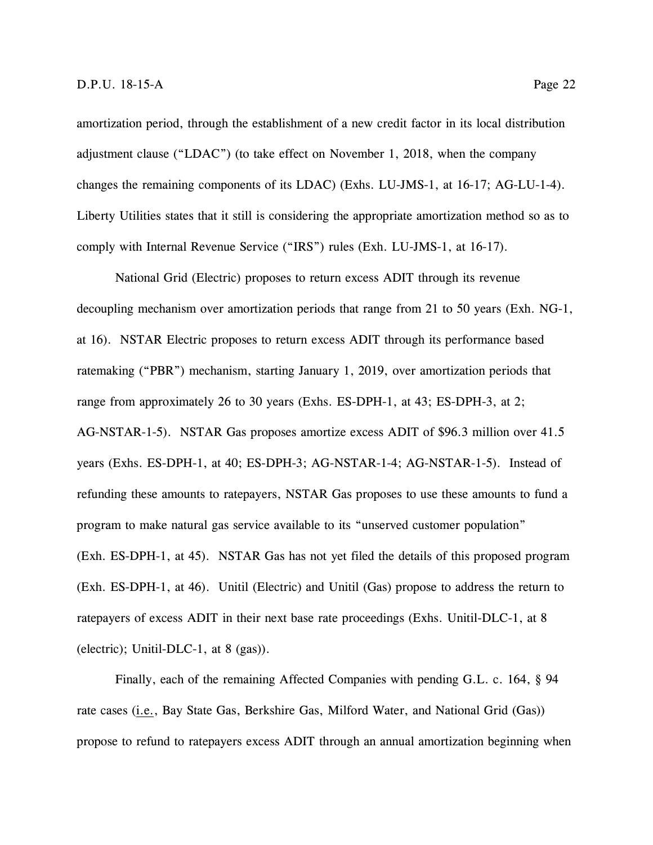amortization period, through the establishment of a new credit factor in its local distribution adjustment clause ("LDAC") (to take effect on November 1, 2018, when the company changes the remaining components of its LDAC) (Exhs. LU-JMS-1, at 16-17; AG-LU-1-4). Liberty Utilities states that it still is considering the appropriate amortization method so as to comply with Internal Revenue Service ("IRS") rules (Exh. LU-JMS-1, at 16-17).

National Grid (Electric) proposes to return excess ADIT through its revenue decoupling mechanism over amortization periods that range from 21 to 50 years (Exh. NG-1, at 16). NSTAR Electric proposes to return excess ADIT through its performance based ratemaking ("PBR") mechanism, starting January 1, 2019, over amortization periods that range from approximately 26 to 30 years (Exhs. ES-DPH-1, at 43; ES-DPH-3, at 2; AG-NSTAR-1-5). NSTAR Gas proposes amortize excess ADIT of \$96.3 million over 41.5 years (Exhs. ES-DPH-1, at 40; ES-DPH-3; AG-NSTAR-1-4; AG-NSTAR-1-5). Instead of refunding these amounts to ratepayers, NSTAR Gas proposes to use these amounts to fund a program to make natural gas service available to its "unserved customer population" (Exh. ES-DPH-1, at 45). NSTAR Gas has not yet filed the details of this proposed program (Exh. ES-DPH-1, at 46). Unitil (Electric) and Unitil (Gas) propose to address the return to ratepayers of excess ADIT in their next base rate proceedings (Exhs. Unitil-DLC-1, at 8 (electric); Unitil-DLC-1, at 8 (gas)).

Finally, each of the remaining Affected Companies with pending G.L. c. 164, § 94 rate cases (i.e., Bay State Gas, Berkshire Gas, Milford Water, and National Grid (Gas)) propose to refund to ratepayers excess ADIT through an annual amortization beginning when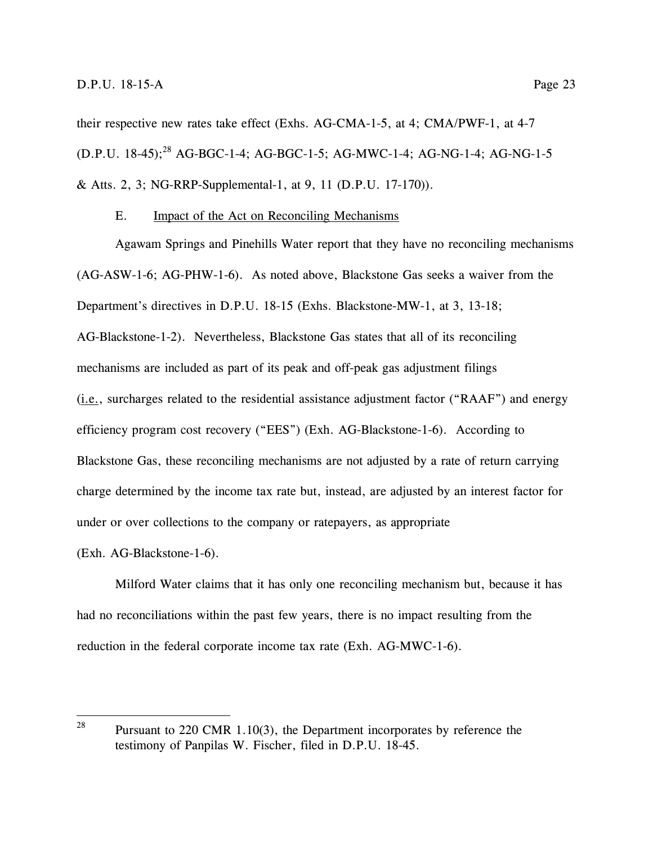their respective new rates take effect (Exhs. AG-CMA-1-5, at 4; CMA/PWF-1, at 4-7 (D.P.U. 18-45); <sup>28</sup> AG-BGC-1-4; AG-BGC-1-5; AG-MWC-1-4; AG-NG-1-4; AG-NG-1-5 & Atts. 2, 3; NG-RRP-Supplemental-1, at 9, 11 (D.P.U. 17-170)).

## E. Impact of the Act on Reconciling Mechanisms

<span id="page-28-0"></span>Agawam Springs and Pinehills Water report that they have no reconciling mechanisms (AG-ASW-1-6; AG-PHW-1-6). As noted above, Blackstone Gas seeks a waiver from the Department's directives in D.P.U. 18-15 (Exhs. Blackstone-MW-1, at 3, 13-18; AG-Blackstone-1-2). Nevertheless, Blackstone Gas states that all of its reconciling mechanisms are included as part of its peak and off-peak gas adjustment filings (i.e., surcharges related to the residential assistance adjustment factor ("RAAF") and energy efficiency program cost recovery ("EES") (Exh. AG-Blackstone-1-6). According to Blackstone Gas, these reconciling mechanisms are not adjusted by a rate of return carrying charge determined by the income tax rate but, instead, are adjusted by an interest factor for under or over collections to the company or ratepayers, as appropriate

#### (Exh. AG-Blackstone-1-6).

Milford Water claims that it has only one reconciling mechanism but, because it has had no reconciliations within the past few years, there is no impact resulting from the reduction in the federal corporate income tax rate (Exh. AG-MWC-1-6).

<sup>28</sup> Pursuant to 220 CMR  $1.10(3)$ , the Department incorporates by reference the testimony of Panpilas W. Fischer, filed in D.P.U. 18-45.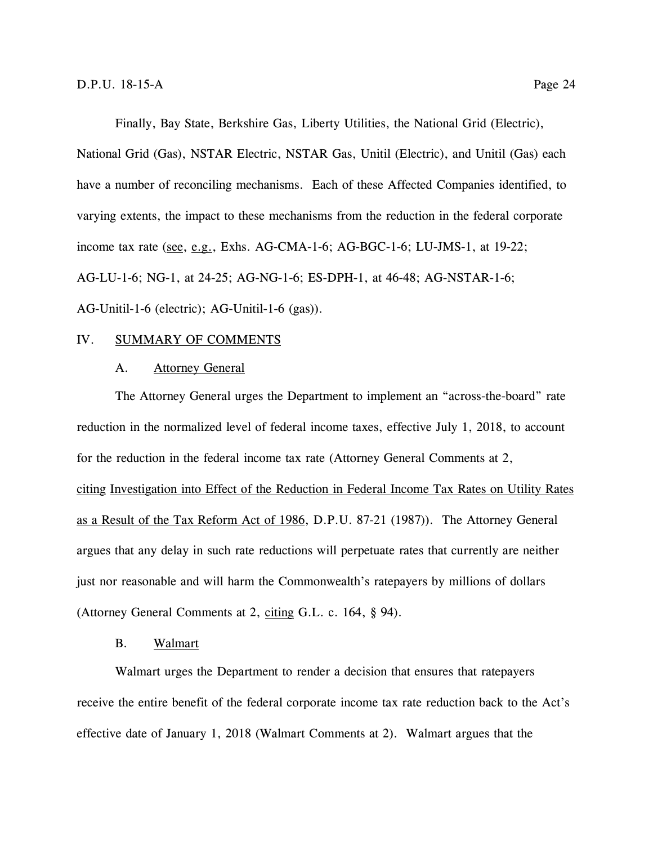Finally, Bay State, Berkshire Gas, Liberty Utilities, the National Grid (Electric),

National Grid (Gas), NSTAR Electric, NSTAR Gas, Unitil (Electric), and Unitil (Gas) each have a number of reconciling mechanisms. Each of these Affected Companies identified, to varying extents, the impact to these mechanisms from the reduction in the federal corporate income tax rate (see, e.g., Exhs. AG-CMA-1-6; AG-BGC-1-6; LU-JMS-1, at 19-22; AG-LU-1-6; NG-1, at 24-25; AG-NG-1-6; ES-DPH-1, at 46-48; AG-NSTAR-1-6; AG-Unitil-1-6 (electric); AG-Unitil-1-6 (gas)).

#### <span id="page-29-1"></span><span id="page-29-0"></span>IV. SUMMARY OF COMMENTS

## A. Attorney General

The Attorney General urges the Department to implement an "across-the-board" rate reduction in the normalized level of federal income taxes, effective July 1, 2018, to account for the reduction in the federal income tax rate (Attorney General Comments at 2, citing Investigation into Effect of the Reduction in Federal Income Tax Rates on Utility Rates as a Result of the Tax Reform Act of 1986, D.P.U. 87-21 (1987)). The Attorney General argues that any delay in such rate reductions will perpetuate rates that currently are neither just nor reasonable and will harm the Commonwealth's ratepayers by millions of dollars (Attorney General Comments at 2, citing G.L. c. 164, § 94).

### B. Walmart

<span id="page-29-2"></span>Walmart urges the Department to render a decision that ensures that ratepayers receive the entire benefit of the federal corporate income tax rate reduction back to the Act's effective date of January 1, 2018 (Walmart Comments at 2). Walmart argues that the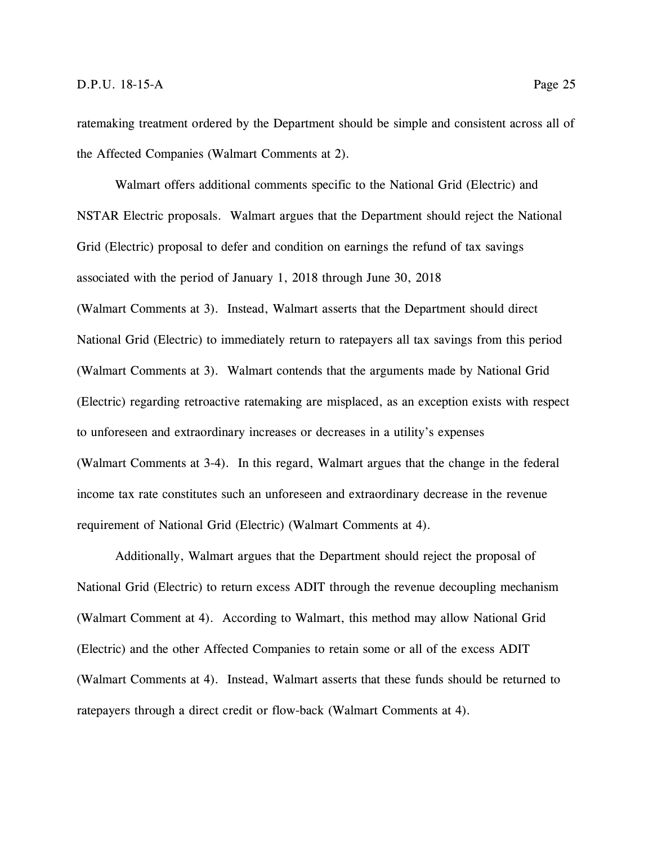ratemaking treatment ordered by the Department should be simple and consistent across all of the Affected Companies (Walmart Comments at 2).

Walmart offers additional comments specific to the National Grid (Electric) and NSTAR Electric proposals. Walmart argues that the Department should reject the National Grid (Electric) proposal to defer and condition on earnings the refund of tax savings associated with the period of January 1, 2018 through June 30, 2018 (Walmart Comments at 3). Instead, Walmart asserts that the Department should direct National Grid (Electric) to immediately return to ratepayers all tax savings from this period (Walmart Comments at 3). Walmart contends that the arguments made by National Grid (Electric) regarding retroactive ratemaking are misplaced, as an exception exists with respect to unforeseen and extraordinary increases or decreases in a utility's expenses (Walmart Comments at 3-4). In this regard, Walmart argues that the change in the federal income tax rate constitutes such an unforeseen and extraordinary decrease in the revenue requirement of National Grid (Electric) (Walmart Comments at 4).

Additionally, Walmart argues that the Department should reject the proposal of National Grid (Electric) to return excess ADIT through the revenue decoupling mechanism (Walmart Comment at 4). According to Walmart, this method may allow National Grid (Electric) and the other Affected Companies to retain some or all of the excess ADIT (Walmart Comments at 4). Instead, Walmart asserts that these funds should be returned to ratepayers through a direct credit or flow-back (Walmart Comments at 4).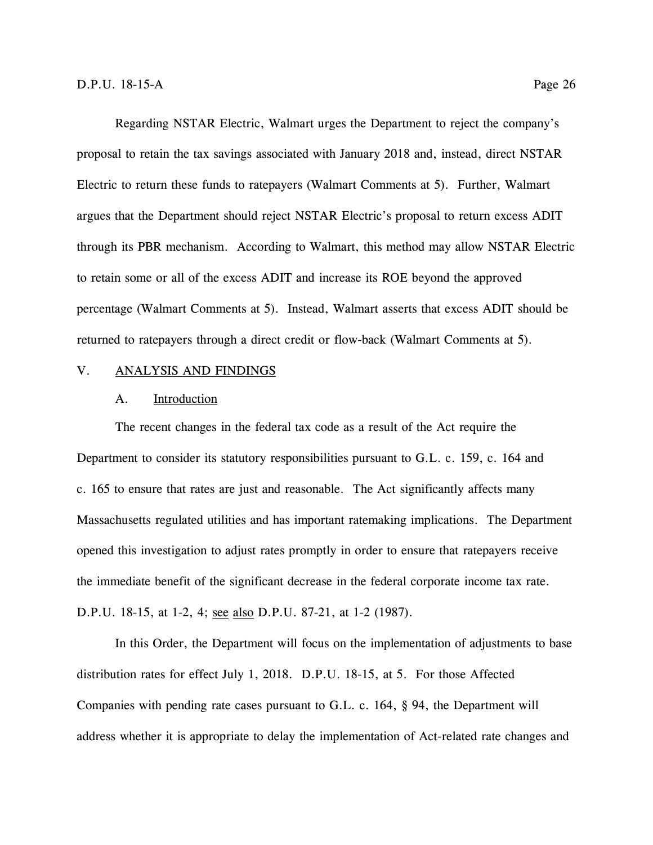Regarding NSTAR Electric, Walmart urges the Department to reject the company's proposal to retain the tax savings associated with January 2018 and, instead, direct NSTAR Electric to return these funds to ratepayers (Walmart Comments at 5). Further, Walmart argues that the Department should reject NSTAR Electric's proposal to return excess ADIT through its PBR mechanism. According to Walmart, this method may allow NSTAR Electric to retain some or all of the excess ADIT and increase its ROE beyond the approved percentage (Walmart Comments at 5). Instead, Walmart asserts that excess ADIT should be returned to ratepayers through a direct credit or flow-back (Walmart Comments at 5).

### <span id="page-31-1"></span><span id="page-31-0"></span>V. ANALYSIS AND FINDINGS

#### A. Introduction

The recent changes in the federal tax code as a result of the Act require the Department to consider its statutory responsibilities pursuant to G.L. c. 159, c. 164 and c. 165 to ensure that rates are just and reasonable. The Act significantly affects many Massachusetts regulated utilities and has important ratemaking implications. The Department opened this investigation to adjust rates promptly in order to ensure that ratepayers receive the immediate benefit of the significant decrease in the federal corporate income tax rate. D.P.U. 18-15, at 1-2, 4; see also D.P.U. 87-21, at 1-2 (1987).

In this Order, the Department will focus on the implementation of adjustments to base distribution rates for effect July 1, 2018. D.P.U. 18-15, at 5. For those Affected Companies with pending rate cases pursuant to G.L. c. 164, § 94, the Department will address whether it is appropriate to delay the implementation of Act-related rate changes and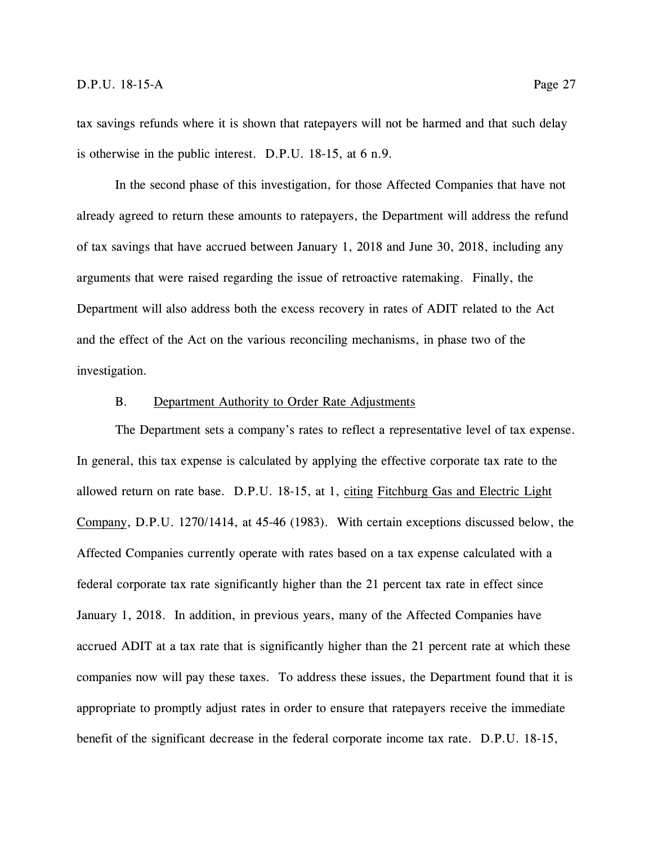tax savings refunds where it is shown that ratepayers will not be harmed and that such delay is otherwise in the public interest. D.P.U. 18-15, at 6 n.9.

In the second phase of this investigation, for those Affected Companies that have not already agreed to return these amounts to ratepayers, the Department will address the refund of tax savings that have accrued between January 1, 2018 and June 30, 2018, including any arguments that were raised regarding the issue of retroactive ratemaking. Finally, the Department will also address both the excess recovery in rates of ADIT related to the Act and the effect of the Act on the various reconciling mechanisms, in phase two of the investigation.

## B. Department Authority to Order Rate Adjustments

<span id="page-32-0"></span>The Department sets a company's rates to reflect a representative level of tax expense. In general, this tax expense is calculated by applying the effective corporate tax rate to the allowed return on rate base. D.P.U. 18-15, at 1, citing Fitchburg Gas and Electric Light Company, D.P.U. 1270/1414, at 45-46 (1983). With certain exceptions discussed below, the Affected Companies currently operate with rates based on a tax expense calculated with a federal corporate tax rate significantly higher than the 21 percent tax rate in effect since January 1, 2018. In addition, in previous years, many of the Affected Companies have accrued ADIT at a tax rate that is significantly higher than the 21 percent rate at which these companies now will pay these taxes. To address these issues, the Department found that it is appropriate to promptly adjust rates in order to ensure that ratepayers receive the immediate benefit of the significant decrease in the federal corporate income tax rate. D.P.U. 18-15,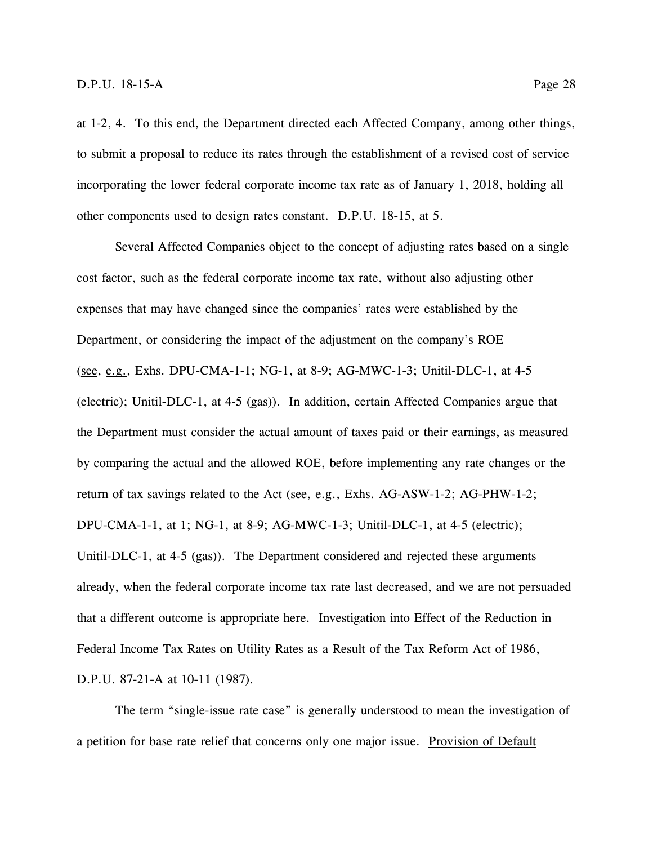at 1-2, 4. To this end, the Department directed each Affected Company, among other things, to submit a proposal to reduce its rates through the establishment of a revised cost of service

incorporating the lower federal corporate income tax rate as of January 1, 2018, holding all other components used to design rates constant. D.P.U. 18-15, at 5.

Several Affected Companies object to the concept of adjusting rates based on a single cost factor, such as the federal corporate income tax rate, without also adjusting other expenses that may have changed since the companies' rates were established by the Department, or considering the impact of the adjustment on the company's ROE (see, e.g., Exhs. DPU-CMA-1-1; NG-1, at 8-9; AG-MWC-1-3; Unitil-DLC-1, at 4-5 (electric); Unitil-DLC-1, at 4-5 (gas)). In addition, certain Affected Companies argue that the Department must consider the actual amount of taxes paid or their earnings, as measured by comparing the actual and the allowed ROE, before implementing any rate changes or the return of tax savings related to the Act (see, e.g., Exhs. AG-ASW-1-2; AG-PHW-1-2; DPU-CMA-1-1, at 1; NG-1, at 8-9; AG-MWC-1-3; Unitil-DLC-1, at 4-5 (electric); Unitil-DLC-1, at 4-5 (gas)). The Department considered and rejected these arguments already, when the federal corporate income tax rate last decreased, and we are not persuaded that a different outcome is appropriate here. Investigation into Effect of the Reduction in Federal Income Tax Rates on Utility Rates as a Result of the Tax Reform Act of 1986, D.P.U. 87-21-A at 10-11 (1987).

The term "single-issue rate case" is generally understood to mean the investigation of a petition for base rate relief that concerns only one major issue. Provision of Default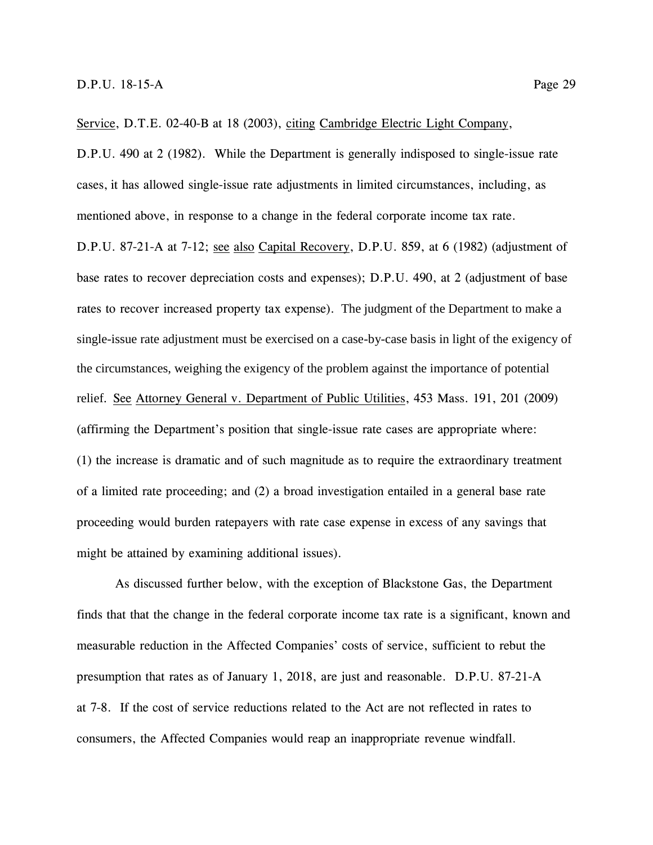Service, D.T.E. 02-40-B at 18 (2003), citing Cambridge Electric Light Company,

D.P.U. 490 at 2 (1982).While the Department is generally indisposed to single-issue rate cases, it has allowed single-issue rate adjustments in limited circumstances, including, as mentioned above, in response to a change in the federal corporate income tax rate.

D.P.U. 87-21-A at 7-12; see also Capital Recovery, D.P.U. 859, at 6 (1982) (adjustment of base rates to recover depreciation costs and expenses); D.P.U. 490, at 2 (adjustment of base rates to recover increased property tax expense). The judgment of the Department to make a single-issue rate adjustment must be exercised on a case-by-case basis in light of the exigency of the circumstances, weighing the exigency of the problem against the importance of potential relief. See Attorney General v. Department of Public Utilities, 453 Mass. 191, 201 (2009) (affirming the Department's position that single-issue rate cases are appropriate where: (1) the increase is dramatic and of such magnitude as to require the extraordinary treatment of a limited rate proceeding; and (2) a broad investigation entailed in a general base rate proceeding would burden ratepayers with rate case expense in excess of any savings that might be attained by examining additional issues).

As discussed further below, with the exception of Blackstone Gas, the Department finds that that the change in the federal corporate income tax rate is a significant, known and measurable reduction in the Affected Companies' costs of service, sufficient to rebut the presumption that rates as of January 1, 2018, are just and reasonable. D.P.U. 87-21-A at 7-8. If the cost of service reductions related to the Act are not reflected in rates to consumers, the Affected Companies would reap an inappropriate revenue windfall.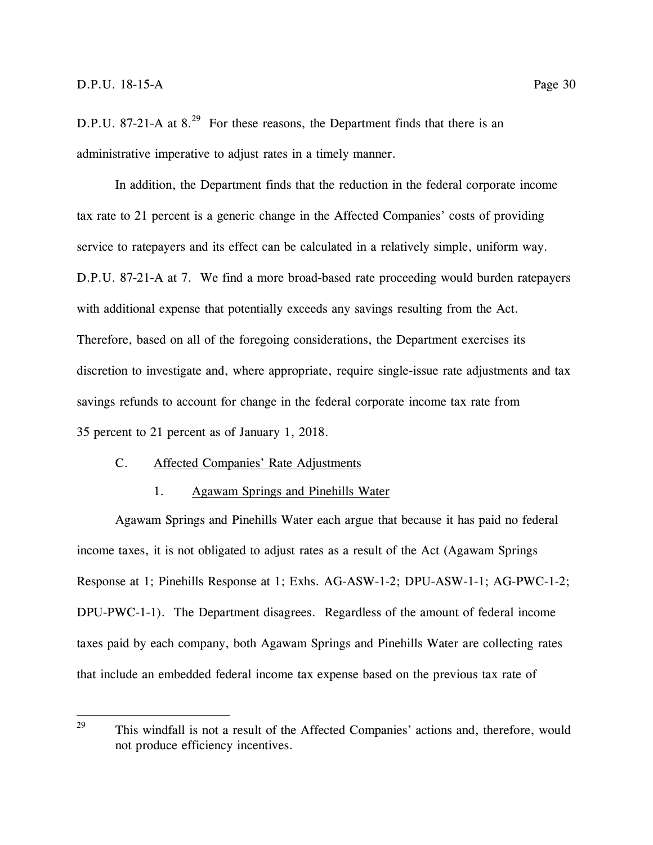D.P.U. 87-21-A at  $8.^{29}$  For these reasons, the Department finds that there is an administrative imperative to adjust rates in a timely manner.

In addition, the Department finds that the reduction in the federal corporate income tax rate to 21 percent is a generic change in the Affected Companies' costs of providing service to ratepayers and its effect can be calculated in a relatively simple, uniform way. D.P.U. 87-21-A at 7. We find a more broad-based rate proceeding would burden ratepayers with additional expense that potentially exceeds any savings resulting from the Act. Therefore, based on all of the foregoing considerations, the Department exercises its discretion to investigate and, where appropriate, require single-issue rate adjustments and tax savings refunds to account for change in the federal corporate income tax rate from 35 percent to 21 percent as of January 1, 2018.

## <span id="page-35-0"></span>C. Affected Companies' Rate Adjustments

#### 1. Agawam Springs and Pinehills Water

<span id="page-35-1"></span>Agawam Springs and Pinehills Water each argue that because it has paid no federal income taxes, it is not obligated to adjust rates as a result of the Act (Agawam Springs Response at 1; Pinehills Response at 1; Exhs. AG-ASW-1-2; DPU-ASW-1-1; AG-PWC-1-2; DPU-PWC-1-1). The Department disagrees. Regardless of the amount of federal income taxes paid by each company, both Agawam Springs and Pinehills Water are collecting rates that include an embedded federal income tax expense based on the previous tax rate of

<sup>29</sup> <sup>29</sup> This windfall is not a result of the Affected Companies' actions and, therefore, would not produce efficiency incentives.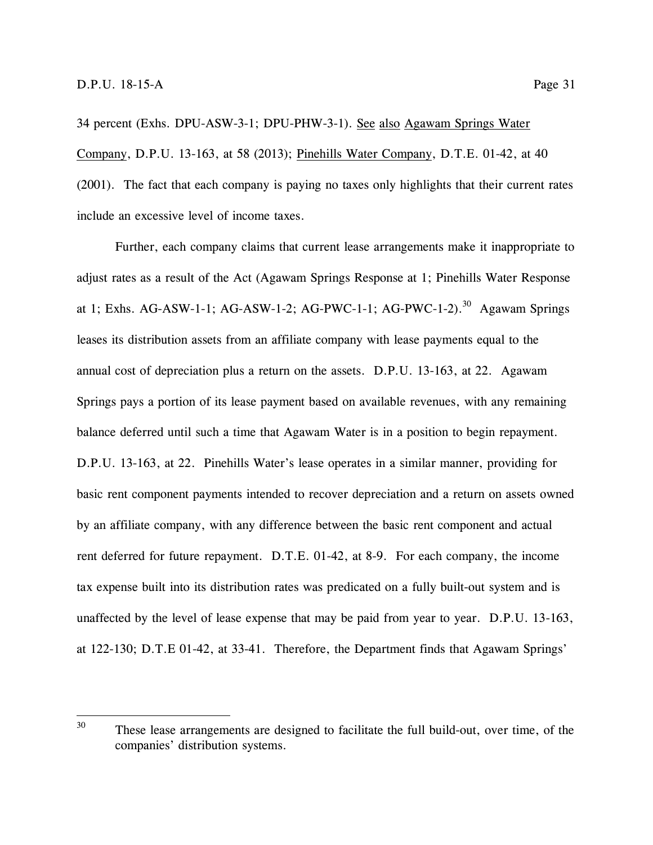34 percent (Exhs. DPU-ASW-3-1; DPU-PHW-3-1). See also Agawam Springs Water Company, D.P.U. 13-163, at 58 (2013); Pinehills Water Company, D.T.E. 01-42, at 40 (2001). The fact that each company is paying no taxes only highlights that their current rates include an excessive level of income taxes.

Further, each company claims that current lease arrangements make it inappropriate to adjust rates as a result of the Act (Agawam Springs Response at 1; Pinehills Water Response at 1; Exhs. AG-ASW-1-1; AG-ASW-1-2; AG-PWC-1-1; AG-PWC-1-2).<sup>30</sup> Agawam Springs leases its distribution assets from an affiliate company with lease payments equal to the annual cost of depreciation plus a return on the assets. D.P.U. 13-163, at 22. Agawam Springs pays a portion of its lease payment based on available revenues, with any remaining balance deferred until such a time that Agawam Water is in a position to begin repayment. D.P.U. 13-163, at 22. Pinehills Water's lease operates in a similar manner, providing for basic rent component payments intended to recover depreciation and a return on assets owned by an affiliate company, with any difference between the basic rent component and actual rent deferred for future repayment. D.T.E. 01-42, at 8-9. For each company, the income tax expense built into its distribution rates was predicated on a fully built-out system and is unaffected by the level of lease expense that may be paid from year to year. D.P.U. 13-163, at 122-130; D.T.E 01-42, at 33-41. Therefore, the Department finds that Agawam Springs'

<sup>30</sup> These lease arrangements are designed to facilitate the full build-out, over time, of the companies' distribution systems.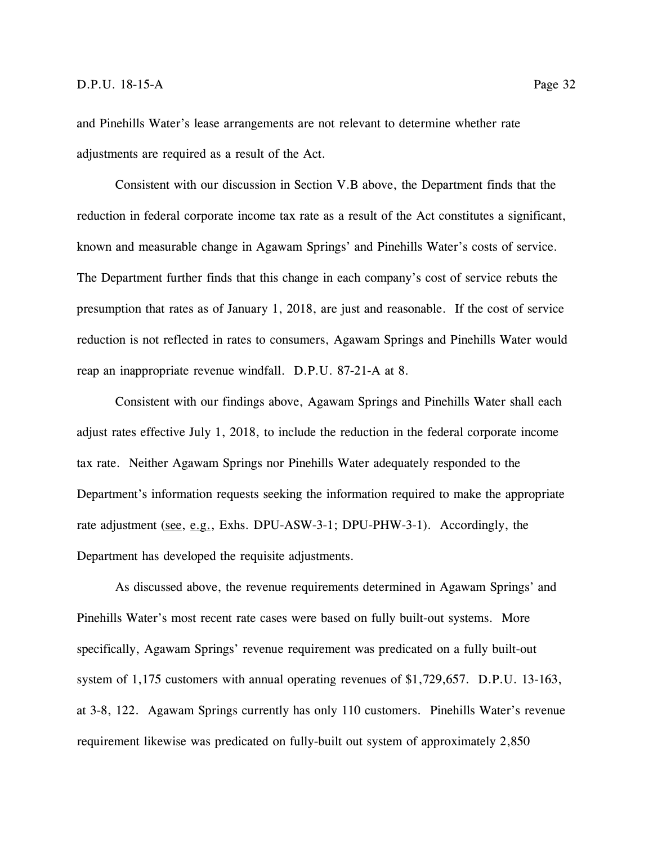and Pinehills Water's lease arrangements are not relevant to determine whether rate adjustments are required as a result of the Act.

Consistent with our discussion in Section V.B above, the Department finds that the reduction in federal corporate income tax rate as a result of the Act constitutes a significant, known and measurable change in Agawam Springs' and Pinehills Water's costs of service. The Department further finds that this change in each company's cost of service rebuts the presumption that rates as of January 1, 2018, are just and reasonable. If the cost of service reduction is not reflected in rates to consumers, Agawam Springs and Pinehills Water would reap an inappropriate revenue windfall. D.P.U. 87-21-A at 8.

Consistent with our findings above, Agawam Springs and Pinehills Water shall each adjust rates effective July 1, 2018, to include the reduction in the federal corporate income tax rate. Neither Agawam Springs nor Pinehills Water adequately responded to the Department's information requests seeking the information required to make the appropriate rate adjustment (see, e.g., Exhs. DPU-ASW-3-1; DPU-PHW-3-1). Accordingly, the Department has developed the requisite adjustments.

As discussed above, the revenue requirements determined in Agawam Springs' and Pinehills Water's most recent rate cases were based on fully built-out systems. More specifically, Agawam Springs' revenue requirement was predicated on a fully built-out system of 1,175 customers with annual operating revenues of \$1,729,657. D.P.U. 13-163, at 3-8, 122. Agawam Springs currently has only 110 customers. Pinehills Water's revenue requirement likewise was predicated on fully-built out system of approximately 2,850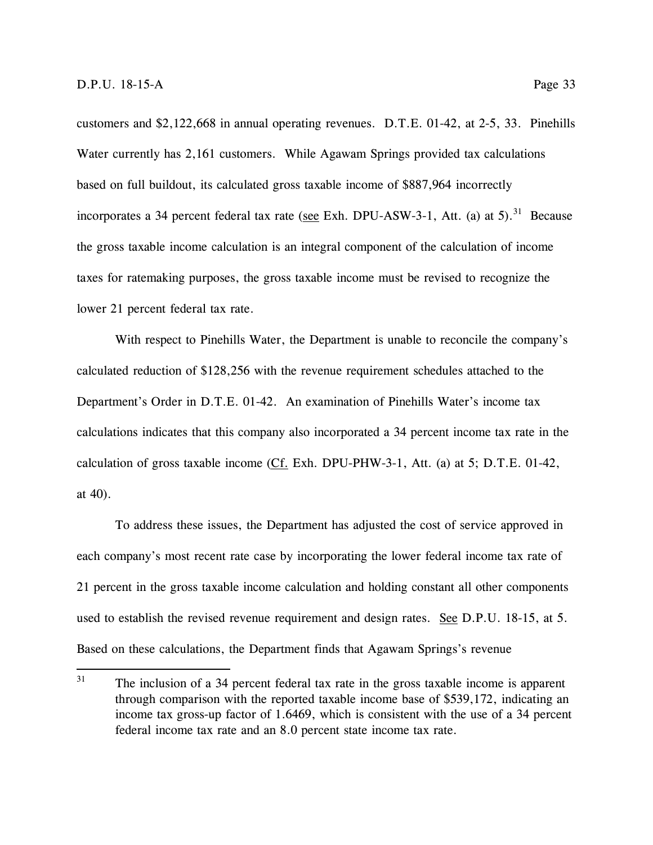customers and \$2,122,668 in annual operating revenues. D.T.E. 01-42, at 2-5, 33. Pinehills Water currently has 2,161 customers. While Agawam Springs provided tax calculations based on full buildout, its calculated gross taxable income of \$887,964 incorrectly incorporates a 34 percent federal tax rate (see Exh. DPU-ASW-3-1, Att. (a) at 5).<sup>31</sup> Because the gross taxable income calculation is an integral component of the calculation of income taxes for ratemaking purposes, the gross taxable income must be revised to recognize the lower 21 percent federal tax rate.

With respect to Pinehills Water, the Department is unable to reconcile the company's calculated reduction of \$128,256 with the revenue requirement schedules attached to the Department's Order in D.T.E. 01-42. An examination of Pinehills Water's income tax calculations indicates that this company also incorporated a 34 percent income tax rate in the calculation of gross taxable income (Cf. Exh. DPU-PHW-3-1, Att. (a) at 5; D.T.E. 01-42, at 40).

To address these issues, the Department has adjusted the cost of service approved in each company's most recent rate case by incorporating the lower federal income tax rate of 21 percent in the gross taxable income calculation and holding constant all other components used to establish the revised revenue requirement and design rates. See D.P.U. 18-15, at 5. Based on these calculations, the Department finds that Agawam Springs's revenue

<sup>31</sup> The inclusion of a 34 percent federal tax rate in the gross taxable income is apparent through comparison with the reported taxable income base of \$539,172, indicating an income tax gross-up factor of 1.6469, which is consistent with the use of a 34 percent federal income tax rate and an 8.0 percent state income tax rate.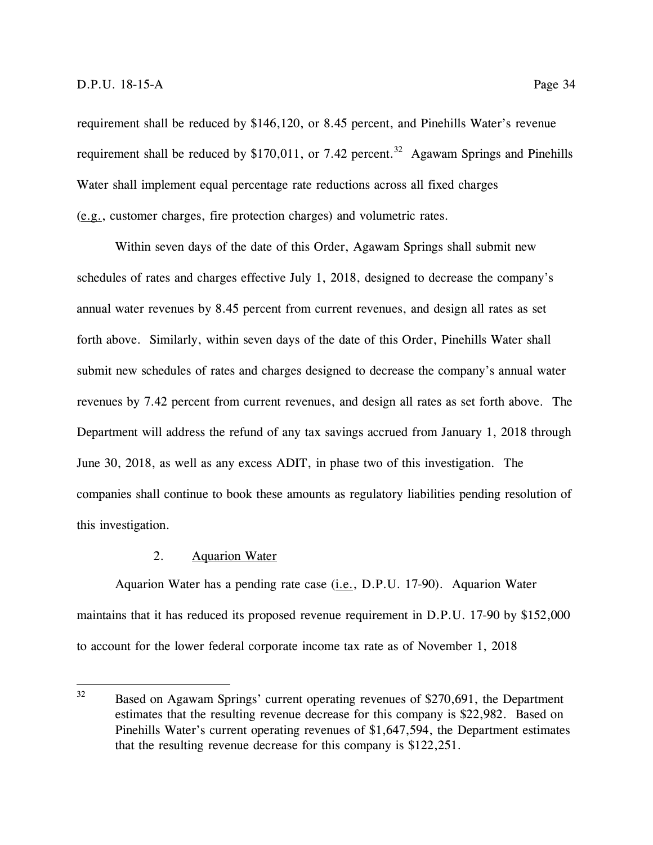requirement shall be reduced by \$146,120, or 8.45 percent, and Pinehills Water's revenue requirement shall be reduced by \$170,011, or 7.42 percent.<sup>32</sup> Agawam Springs and Pinehills Water shall implement equal percentage rate reductions across all fixed charges (e.g., customer charges, fire protection charges) and volumetric rates.

Within seven days of the date of this Order, Agawam Springs shall submit new schedules of rates and charges effective July 1, 2018, designed to decrease the company's annual water revenues by 8.45 percent from current revenues, and design all rates as set forth above. Similarly, within seven days of the date of this Order, Pinehills Water shall submit new schedules of rates and charges designed to decrease the company's annual water revenues by 7.42 percent from current revenues, and design all rates as set forth above. The Department will address the refund of any tax savings accrued from January 1, 2018 through June 30, 2018, as well as any excess ADIT, in phase two of this investigation. The companies shall continue to book these amounts as regulatory liabilities pending resolution of this investigation.

## 2. Aquarion Water

Aquarion Water has a pending rate case (i.e., D.P.U. 17-90). Aquarion Water maintains that it has reduced its proposed revenue requirement in D.P.U. 17-90 by \$152,000 to account for the lower federal corporate income tax rate as of November 1, 2018

 $32$ Based on Agawam Springs' current operating revenues of \$270,691, the Department estimates that the resulting revenue decrease for this company is \$22,982. Based on Pinehills Water's current operating revenues of \$1,647,594, the Department estimates that the resulting revenue decrease for this company is \$122,251.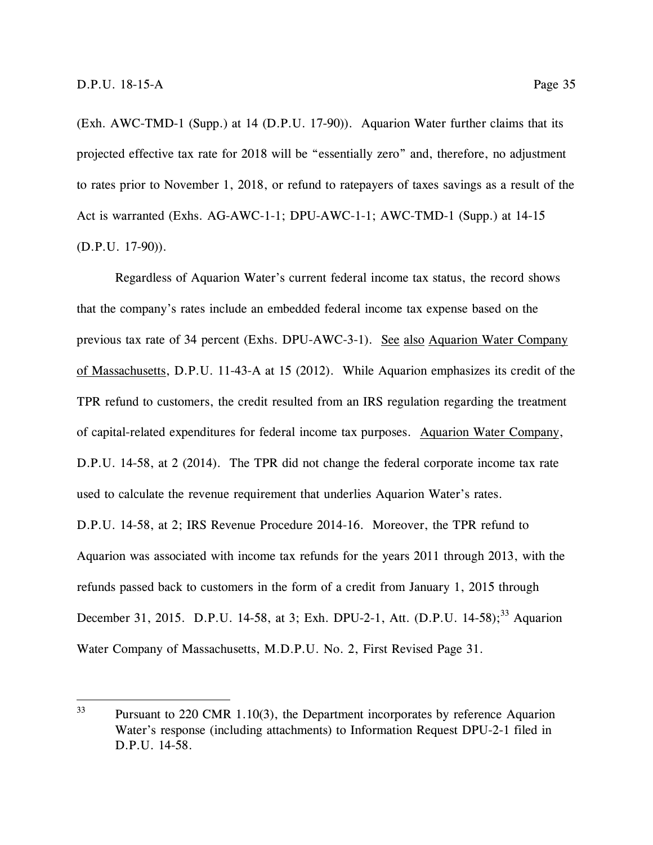(Exh. AWC-TMD-1 (Supp.) at 14 (D.P.U. 17-90)). Aquarion Water further claims that its projected effective tax rate for 2018 will be "essentially zero" and, therefore, no adjustment to rates prior to November 1, 2018, or refund to ratepayers of taxes savings as a result of the Act is warranted (Exhs. AG-AWC-1-1; DPU-AWC-1-1; AWC-TMD-1 (Supp.) at 14-15 (D.P.U. 17-90)).

Regardless of Aquarion Water's current federal income tax status, the record shows that the company's rates include an embedded federal income tax expense based on the previous tax rate of 34 percent (Exhs. DPU-AWC-3-1). See also Aquarion Water Company of Massachusetts, D.P.U. 11-43-A at 15 (2012). While Aquarion emphasizes its credit of the TPR refund to customers, the credit resulted from an IRS regulation regarding the treatment of capital-related expenditures for federal income tax purposes. Aquarion Water Company, D.P.U. 14-58, at 2 (2014). The TPR did not change the federal corporate income tax rate used to calculate the revenue requirement that underlies Aquarion Water's rates. D.P.U. 14-58, at 2; IRS Revenue Procedure 2014-16. Moreover, the TPR refund to Aquarion was associated with income tax refunds for the years 2011 through 2013, with the refunds passed back to customers in the form of a credit from January 1, 2015 through December 31, 2015. D.P.U. 14-58, at 3; Exh. DPU-2-1, Att. (D.P.U. 14-58);<sup>33</sup> Aquarion Water Company of Massachusetts, M.D.P.U. No. 2, First Revised Page 31.

<sup>33</sup> Pursuant to 220 CMR 1.10(3), the Department incorporates by reference Aquarion Water's response (including attachments) to Information Request DPU-2-1 filed in D.P.U. 14-58.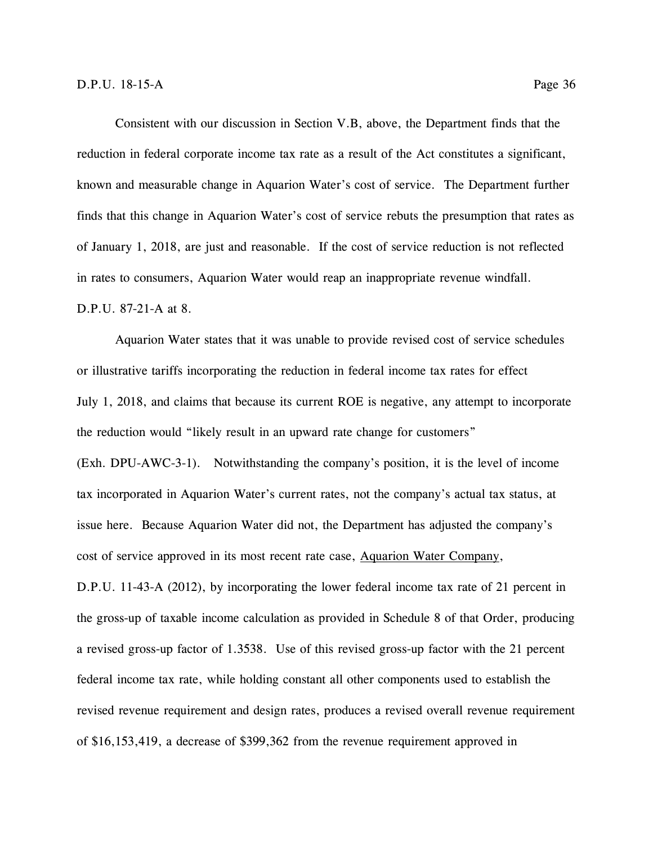Consistent with our discussion in Section V.B, above, the Department finds that the reduction in federal corporate income tax rate as a result of the Act constitutes a significant, known and measurable change in Aquarion Water's cost of service. The Department further finds that this change in Aquarion Water's cost of service rebuts the presumption that rates as of January 1, 2018, are just and reasonable. If the cost of service reduction is not reflected in rates to consumers, Aquarion Water would reap an inappropriate revenue windfall. D.P.U. 87-21-A at 8.

Aquarion Water states that it was unable to provide revised cost of service schedules or illustrative tariffs incorporating the reduction in federal income tax rates for effect July 1, 2018, and claims that because its current ROE is negative, any attempt to incorporate the reduction would "likely result in an upward rate change for customers" (Exh. DPU-AWC-3-1). Notwithstanding the company's position, it is the level of income tax incorporated in Aquarion Water's current rates, not the company's actual tax status, at issue here. Because Aquarion Water did not, the Department has adjusted the company's cost of service approved in its most recent rate case, Aquarion Water Company, D.P.U. 11-43-A (2012), by incorporating the lower federal income tax rate of 21 percent in the gross-up of taxable income calculation as provided in Schedule 8 of that Order, producing a revised gross-up factor of 1.3538. Use of this revised gross-up factor with the 21 percent federal income tax rate, while holding constant all other components used to establish the revised revenue requirement and design rates, produces a revised overall revenue requirement of \$16,153,419, a decrease of \$399,362 from the revenue requirement approved in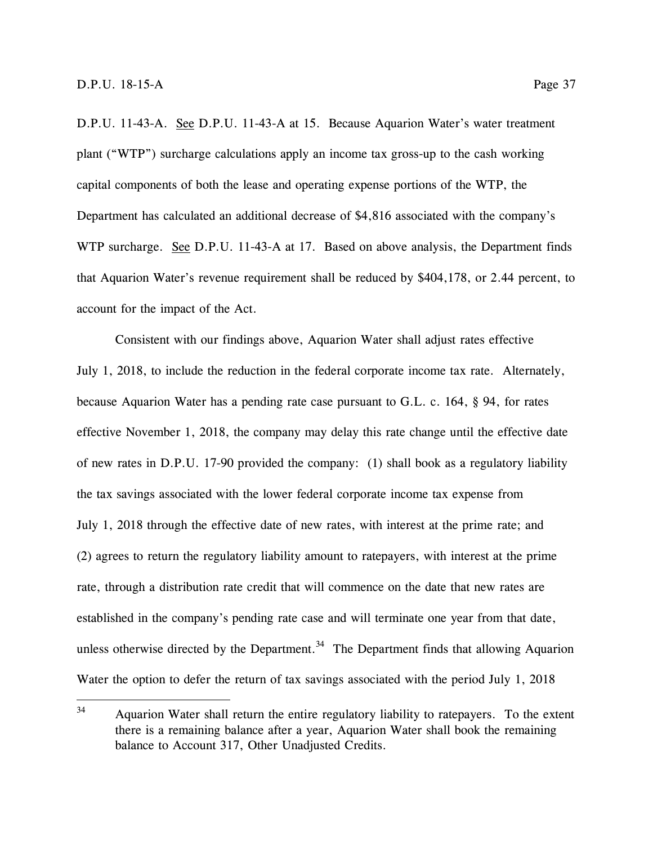D.P.U. 11-43-A. See D.P.U. 11-43-A at 15. Because Aquarion Water's water treatment plant ("WTP") surcharge calculations apply an income tax gross-up to the cash working capital components of both the lease and operating expense portions of the WTP, the Department has calculated an additional decrease of \$4,816 associated with the company's WTP surcharge. See D.P.U. 11-43-A at 17. Based on above analysis, the Department finds that Aquarion Water's revenue requirement shall be reduced by \$404,178, or 2.44 percent, to account for the impact of the Act.

Consistent with our findings above, Aquarion Water shall adjust rates effective July 1, 2018, to include the reduction in the federal corporate income tax rate. Alternately, because Aquarion Water has a pending rate case pursuant to G.L. c. 164, § 94, for rates effective November 1, 2018, the company may delay this rate change until the effective date of new rates in D.P.U. 17-90 provided the company: (1) shall book as a regulatory liability the tax savings associated with the lower federal corporate income tax expense from July 1, 2018 through the effective date of new rates, with interest at the prime rate; and (2) agrees to return the regulatory liability amount to ratepayers, with interest at the prime rate, through a distribution rate credit that will commence on the date that new rates are established in the company's pending rate case and will terminate one year from that date, unless otherwise directed by the Department.<sup>34</sup> The Department finds that allowing Aquarion Water the option to defer the return of tax savings associated with the period July 1, 2018

<sup>34</sup> <sup>34</sup> Aquarion Water shall return the entire regulatory liability to ratepayers. To the extent there is a remaining balance after a year, Aquarion Water shall book the remaining balance to Account 317, Other Unadjusted Credits.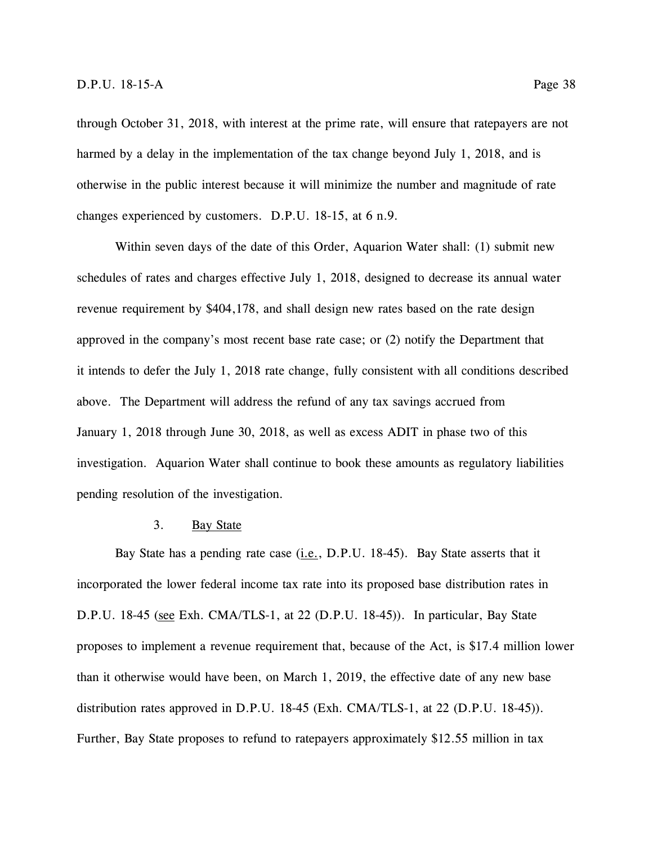through October 31, 2018, with interest at the prime rate, will ensure that ratepayers are not harmed by a delay in the implementation of the tax change beyond July 1, 2018, and is otherwise in the public interest because it will minimize the number and magnitude of rate changes experienced by customers. D.P.U. 18-15, at 6 n.9.

Within seven days of the date of this Order, Aquarion Water shall: (1) submit new schedules of rates and charges effective July 1, 2018, designed to decrease its annual water revenue requirement by \$404,178, and shall design new rates based on the rate design approved in the company's most recent base rate case; or (2) notify the Department that it intends to defer the July 1, 2018 rate change, fully consistent with all conditions described above. The Department will address the refund of any tax savings accrued from January 1, 2018 through June 30, 2018, as well as excess ADIT in phase two of this investigation. Aquarion Water shall continue to book these amounts as regulatory liabilities pending resolution of the investigation.

#### 3. Bay State

Bay State has a pending rate case  $(i.e., D.P.U. 18-45)$ . Bay State asserts that it incorporated the lower federal income tax rate into its proposed base distribution rates in D.P.U. 18-45 (see Exh. CMA/TLS-1, at 22 (D.P.U. 18-45)). In particular, Bay State proposes to implement a revenue requirement that, because of the Act, is \$17.4 million lower than it otherwise would have been, on March 1, 2019, the effective date of any new base distribution rates approved in D.P.U. 18-45 (Exh. CMA/TLS-1, at 22 (D.P.U. 18-45)). Further, Bay State proposes to refund to ratepayers approximately \$12.55 million in tax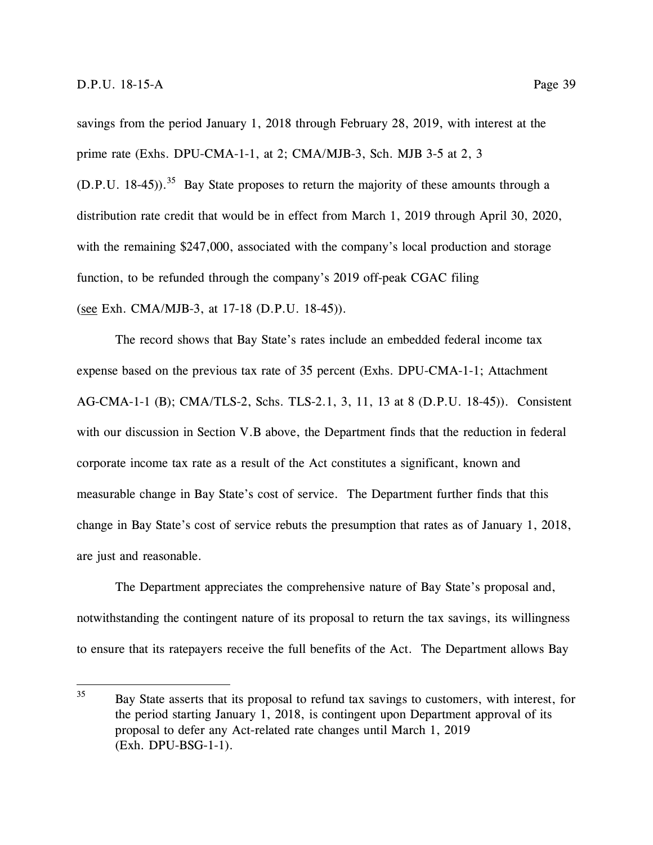savings from the period January 1, 2018 through February 28, 2019, with interest at the prime rate (Exhs. DPU-CMA-1-1, at 2; CMA/MJB-3, Sch. MJB 3-5 at 2, 3  $(D.P.U. 18-45)$ .<sup>35</sup> Bay State proposes to return the majority of these amounts through a distribution rate credit that would be in effect from March 1, 2019 through April 30, 2020, with the remaining \$247,000, associated with the company's local production and storage function, to be refunded through the company's 2019 off-peak CGAC filing (see Exh. CMA/MJB-3, at 17-18 (D.P.U. 18-45)).

The record shows that Bay State's rates include an embedded federal income tax expense based on the previous tax rate of 35 percent (Exhs. DPU-CMA-1-1; Attachment AG-CMA-1-1 (B); CMA/TLS-2, Schs. TLS-2.1, 3, 11, 13 at 8 (D.P.U. 18-45)). Consistent with our discussion in Section V.B above, the Department finds that the reduction in federal corporate income tax rate as a result of the Act constitutes a significant, known and measurable change in Bay State's cost of service. The Department further finds that this change in Bay State's cost of service rebuts the presumption that rates as of January 1, 2018, are just and reasonable.

The Department appreciates the comprehensive nature of Bay State's proposal and, notwithstanding the contingent nature of its proposal to return the tax savings, its willingness to ensure that its ratepayers receive the full benefits of the Act. The Department allows Bay

 $35<sup>5</sup>$ <sup>35</sup> Bay State asserts that its proposal to refund tax savings to customers, with interest, for the period starting January 1, 2018, is contingent upon Department approval of its proposal to defer any Act-related rate changes until March 1, 2019 (Exh. DPU-BSG-1-1).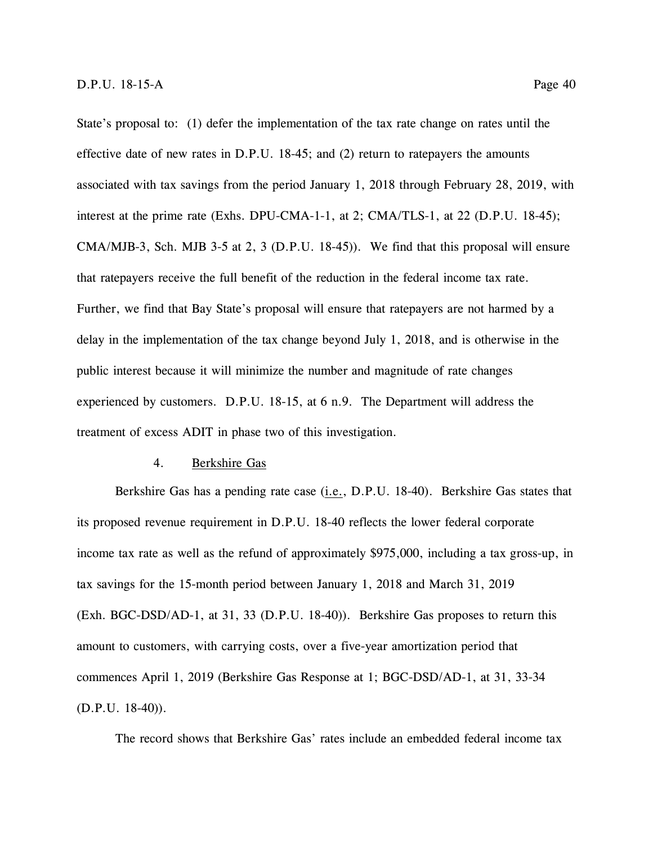State's proposal to: (1) defer the implementation of the tax rate change on rates until the effective date of new rates in D.P.U. 18-45; and (2) return to ratepayers the amounts associated with tax savings from the period January 1, 2018 through February 28, 2019, with interest at the prime rate (Exhs. DPU-CMA-1-1, at 2; CMA/TLS-1, at 22 (D.P.U. 18-45);

CMA/MJB-3, Sch. MJB 3-5 at 2, 3 (D.P.U. 18-45)). We find that this proposal will ensure that ratepayers receive the full benefit of the reduction in the federal income tax rate. Further, we find that Bay State's proposal will ensure that ratepayers are not harmed by a delay in the implementation of the tax change beyond July 1, 2018, and is otherwise in the public interest because it will minimize the number and magnitude of rate changes experienced by customers. D.P.U. 18-15, at 6 n.9. The Department will address the treatment of excess ADIT in phase two of this investigation.

### 4. Berkshire Gas

Berkshire Gas has a pending rate case (i.e., D.P.U. 18-40). Berkshire Gas states that its proposed revenue requirement in D.P.U. 18-40 reflects the lower federal corporate income tax rate as well as the refund of approximately \$975,000, including a tax gross-up, in tax savings for the 15-month period between January 1, 2018 and March 31, 2019 (Exh. BGC-DSD/AD-1, at 31, 33 (D.P.U. 18-40)). Berkshire Gas proposes to return this amount to customers, with carrying costs, over a five-year amortization period that commences April 1, 2019 (Berkshire Gas Response at 1; BGC-DSD/AD-1, at 31, 33-34 (D.P.U. 18-40)).

The record shows that Berkshire Gas' rates include an embedded federal income tax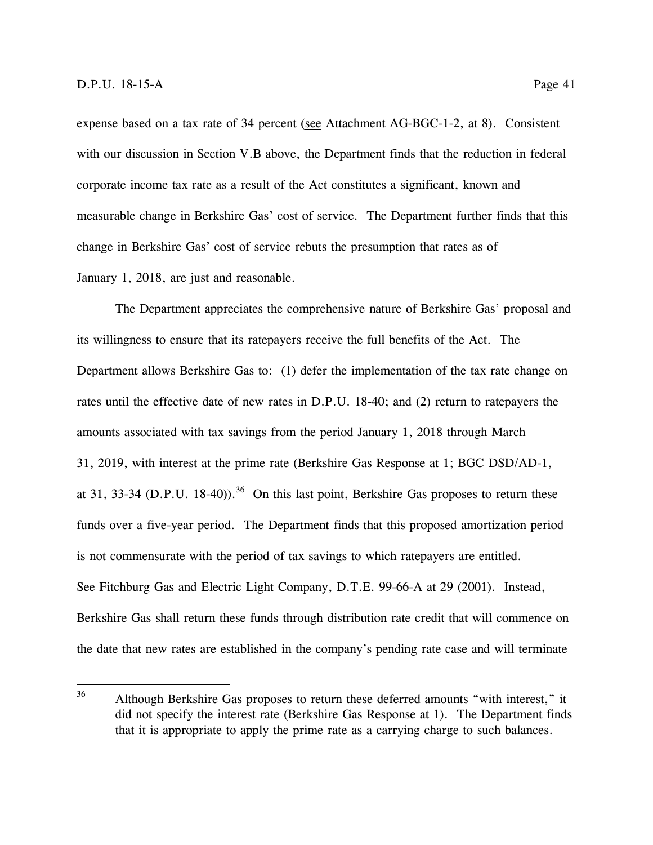expense based on a tax rate of 34 percent (see Attachment AG-BGC-1-2, at 8). Consistent with our discussion in Section V.B above, the Department finds that the reduction in federal corporate income tax rate as a result of the Act constitutes a significant, known and measurable change in Berkshire Gas' cost of service. The Department further finds that this change in Berkshire Gas' cost of service rebuts the presumption that rates as of January 1, 2018, are just and reasonable.

The Department appreciates the comprehensive nature of Berkshire Gas' proposal and its willingness to ensure that its ratepayers receive the full benefits of the Act. The Department allows Berkshire Gas to: (1) defer the implementation of the tax rate change on rates until the effective date of new rates in D.P.U. 18-40; and (2) return to ratepayers the amounts associated with tax savings from the period January 1, 2018 through March 31, 2019, with interest at the prime rate (Berkshire Gas Response at 1; BGC DSD/AD-1, at 31, 33-34 (D.P.U. 18-40)).<sup>36</sup> On this last point, Berkshire Gas proposes to return these funds over a five-year period. The Department finds that this proposed amortization period is not commensurate with the period of tax savings to which ratepayers are entitled. See Fitchburg Gas and Electric Light Company, D.T.E. 99-66-A at 29 (2001). Instead, Berkshire Gas shall return these funds through distribution rate credit that will commence on the date that new rates are established in the company's pending rate case and will terminate

<sup>36</sup> Although Berkshire Gas proposes to return these deferred amounts "with interest," it did not specify the interest rate (Berkshire Gas Response at 1). The Department finds that it is appropriate to apply the prime rate as a carrying charge to such balances.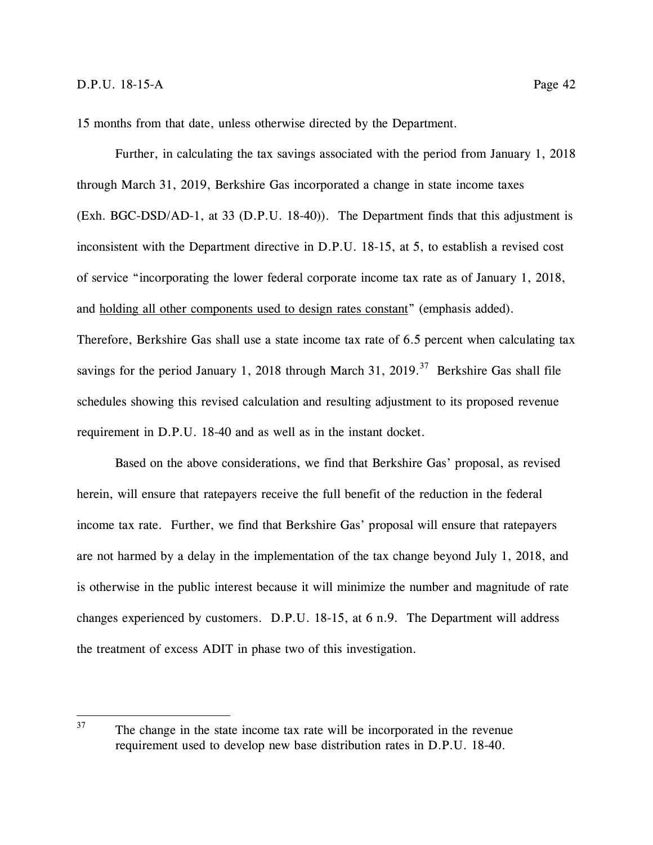15 months from that date, unless otherwise directed by the Department.

requirement in D.P.U. 18-40 and as well as in the instant docket.

Further, in calculating the tax savings associated with the period from January 1, 2018 through March 31, 2019, Berkshire Gas incorporated a change in state income taxes (Exh. BGC-DSD/AD-1, at 33 (D.P.U. 18-40)). The Department finds that this adjustment is inconsistent with the Department directive in D.P.U. 18-15, at 5, to establish a revised cost of service "incorporating the lower federal corporate income tax rate as of January 1, 2018, and holding all other components used to design rates constant" (emphasis added). Therefore, Berkshire Gas shall use a state income tax rate of 6.5 percent when calculating tax savings for the period January 1, 2018 through March 31, 2019.<sup>37</sup> Berkshire Gas shall file schedules showing this revised calculation and resulting adjustment to its proposed revenue

Based on the above considerations, we find that Berkshire Gas' proposal, as revised herein, will ensure that ratepayers receive the full benefit of the reduction in the federal income tax rate. Further, we find that Berkshire Gas' proposal will ensure that ratepayers are not harmed by a delay in the implementation of the tax change beyond July 1, 2018, and is otherwise in the public interest because it will minimize the number and magnitude of rate changes experienced by customers. D.P.U. 18-15, at 6 n.9. The Department will address the treatment of excess ADIT in phase two of this investigation.

<sup>37</sup> The change in the state income tax rate will be incorporated in the revenue requirement used to develop new base distribution rates in D.P.U. 18-40.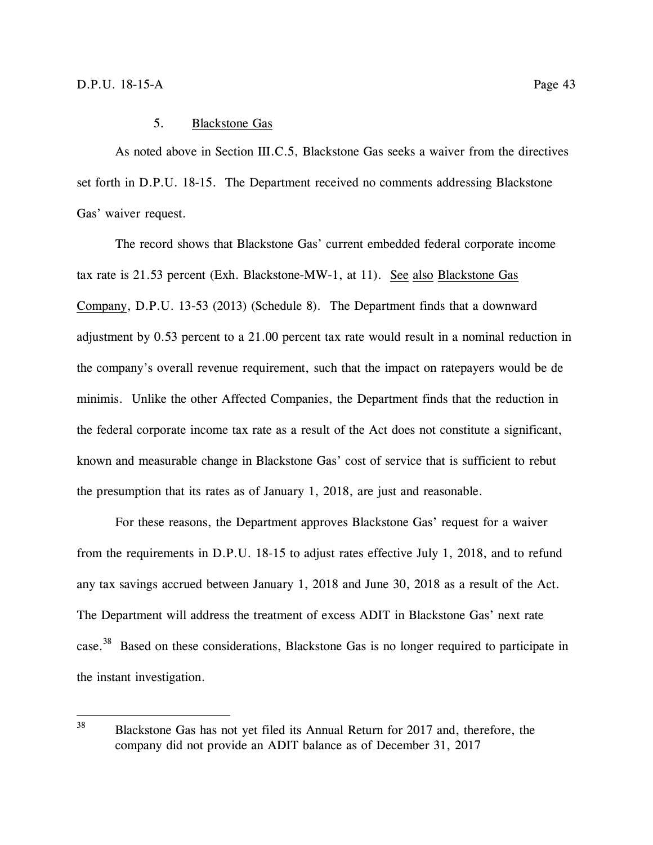## 5. Blackstone Gas

As noted above in Section III.C.5, Blackstone Gas seeks a waiver from the directives set forth in D.P.U. 18-15. The Department received no comments addressing Blackstone Gas' waiver request.

The record shows that Blackstone Gas' current embedded federal corporate income tax rate is 21.53 percent (Exh. Blackstone-MW-1, at 11). See also Blackstone Gas Company, D.P.U. 13-53 (2013) (Schedule 8). The Department finds that a downward adjustment by 0.53 percent to a 21.00 percent tax rate would result in a nominal reduction in the company's overall revenue requirement, such that the impact on ratepayers would be de minimis. Unlike the other Affected Companies, the Department finds that the reduction in the federal corporate income tax rate as a result of the Act does not constitute a significant, known and measurable change in Blackstone Gas' cost of service that is sufficient to rebut the presumption that its rates as of January 1, 2018, are just and reasonable.

For these reasons, the Department approves Blackstone Gas' request for a waiver from the requirements in D.P.U. 18-15 to adjust rates effective July 1, 2018, and to refund any tax savings accrued between January 1, 2018 and June 30, 2018 as a result of the Act. The Department will address the treatment of excess ADIT in Blackstone Gas' next rate case.<sup>38</sup> Based on these considerations, Blackstone Gas is no longer required to participate in the instant investigation.

<sup>38</sup> Blackstone Gas has not yet filed its Annual Return for 2017 and, therefore, the company did not provide an ADIT balance as of December 31, 2017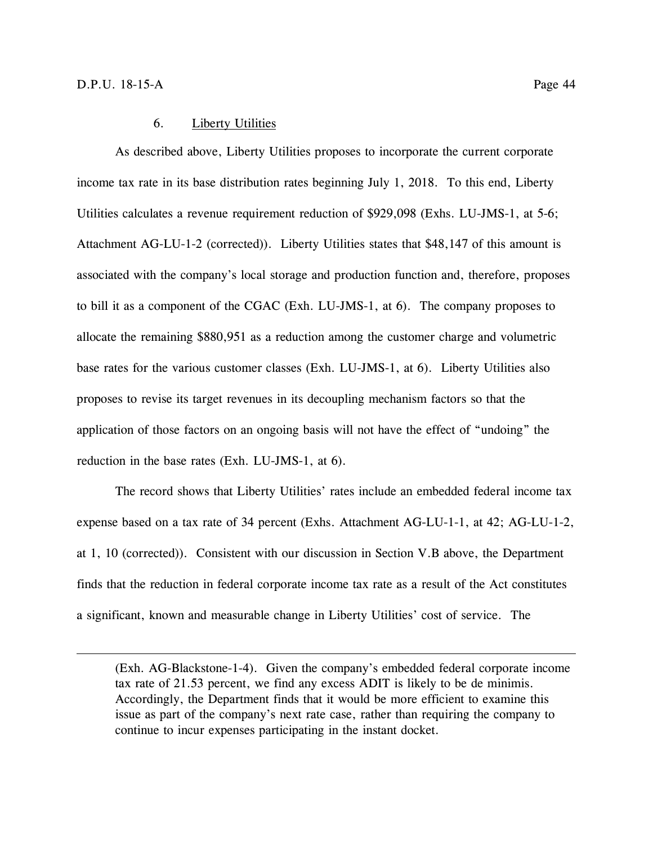$\overline{a}$ 

## 6. Liberty Utilities

As described above, Liberty Utilities proposes to incorporate the current corporate income tax rate in its base distribution rates beginning July 1, 2018. To this end, Liberty Utilities calculates a revenue requirement reduction of \$929,098 (Exhs. LU-JMS-1, at 5-6; Attachment AG-LU-1-2 (corrected)). Liberty Utilities states that \$48,147 of this amount is associated with the company's local storage and production function and, therefore, proposes to bill it as a component of the CGAC (Exh. LU-JMS-1, at 6). The company proposes to allocate the remaining \$880,951 as a reduction among the customer charge and volumetric base rates for the various customer classes (Exh. LU-JMS-1, at 6). Liberty Utilities also proposes to revise its target revenues in its decoupling mechanism factors so that the application of those factors on an ongoing basis will not have the effect of "undoing" the reduction in the base rates (Exh. LU-JMS-1, at 6).

The record shows that Liberty Utilities' rates include an embedded federal income tax expense based on a tax rate of 34 percent (Exhs. Attachment AG-LU-1-1, at 42; AG-LU-1-2, at 1, 10 (corrected)). Consistent with our discussion in Section V.B above, the Department finds that the reduction in federal corporate income tax rate as a result of the Act constitutes a significant, known and measurable change in Liberty Utilities' cost of service. The

(Exh. AG-Blackstone-1-4). Given the company's embedded federal corporate income tax rate of 21.53 percent, we find any excess ADIT is likely to be de minimis. Accordingly, the Department finds that it would be more efficient to examine this issue as part of the company's next rate case, rather than requiring the company to continue to incur expenses participating in the instant docket.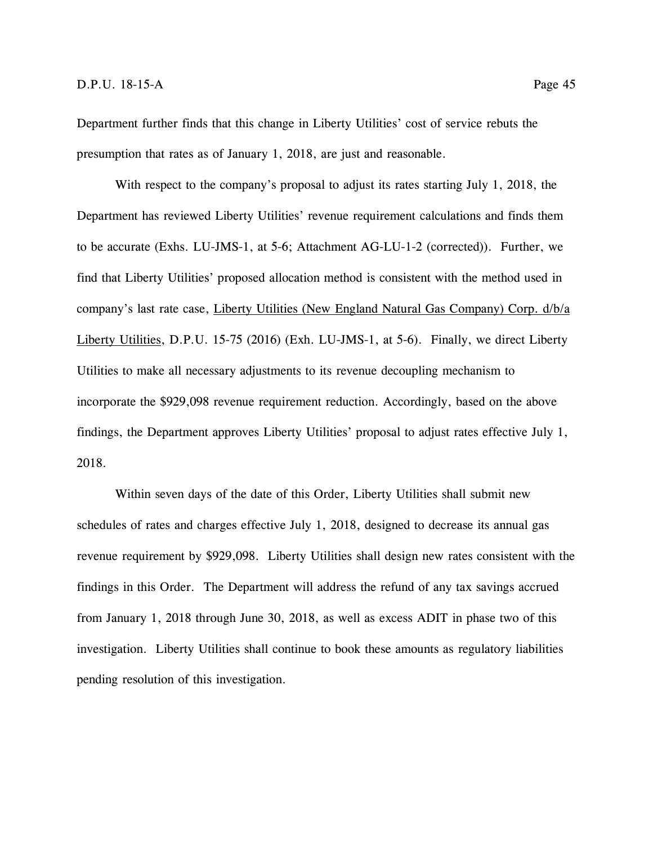Department further finds that this change in Liberty Utilities' cost of service rebuts the presumption that rates as of January 1, 2018, are just and reasonable.

With respect to the company's proposal to adjust its rates starting July 1, 2018, the Department has reviewed Liberty Utilities' revenue requirement calculations and finds them to be accurate (Exhs. LU-JMS-1, at 5-6; Attachment AG-LU-1-2 (corrected)). Further, we find that Liberty Utilities' proposed allocation method is consistent with the method used in company's last rate case, Liberty Utilities (New England Natural Gas Company) Corp. d/b/a Liberty Utilities, D.P.U. 15-75 (2016) (Exh. LU-JMS-1, at 5-6). Finally, we direct Liberty Utilities to make all necessary adjustments to its revenue decoupling mechanism to incorporate the \$929,098 revenue requirement reduction. Accordingly, based on the above findings, the Department approves Liberty Utilities' proposal to adjust rates effective July 1, 2018.

Within seven days of the date of this Order, Liberty Utilities shall submit new schedules of rates and charges effective July 1, 2018, designed to decrease its annual gas revenue requirement by \$929,098. Liberty Utilities shall design new rates consistent with the findings in this Order. The Department will address the refund of any tax savings accrued from January 1, 2018 through June 30, 2018, as well as excess ADIT in phase two of this investigation. Liberty Utilities shall continue to book these amounts as regulatory liabilities pending resolution of this investigation.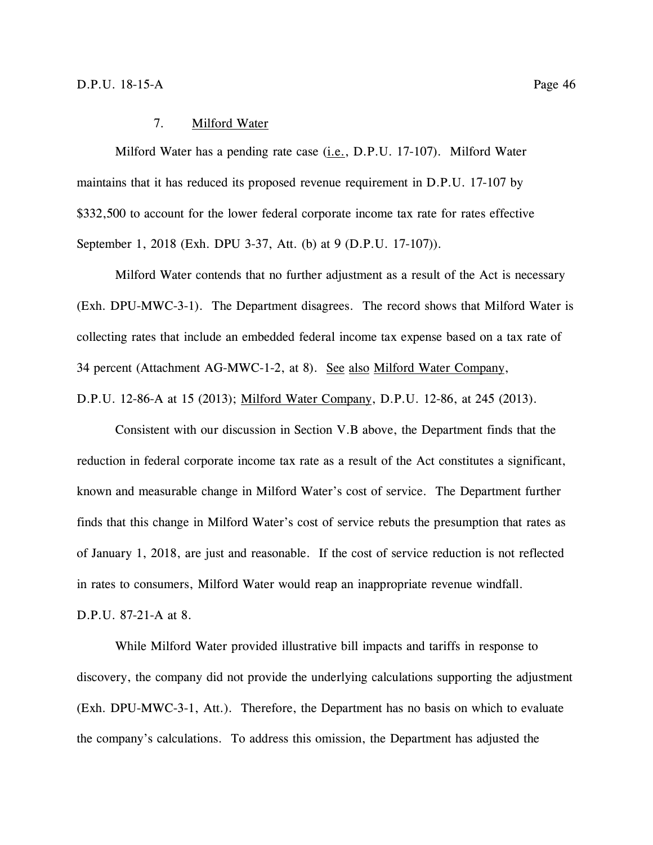## 7. Milford Water

Milford Water has a pending rate case (*i.e.*, D.P.U. 17-107). Milford Water maintains that it has reduced its proposed revenue requirement in D.P.U. 17-107 by \$332,500 to account for the lower federal corporate income tax rate for rates effective September 1, 2018 (Exh. DPU 3-37, Att. (b) at 9 (D.P.U. 17-107)).

Milford Water contends that no further adjustment as a result of the Act is necessary (Exh. DPU-MWC-3-1). The Department disagrees. The record shows that Milford Water is collecting rates that include an embedded federal income tax expense based on a tax rate of 34 percent (Attachment AG-MWC-1-2, at 8). See also Milford Water Company, D.P.U. 12-86-A at 15 (2013); Milford Water Company, D.P.U. 12-86, at 245 (2013).

Consistent with our discussion in Section V.B above, the Department finds that the reduction in federal corporate income tax rate as a result of the Act constitutes a significant, known and measurable change in Milford Water's cost of service. The Department further finds that this change in Milford Water's cost of service rebuts the presumption that rates as of January 1, 2018, are just and reasonable. If the cost of service reduction is not reflected in rates to consumers, Milford Water would reap an inappropriate revenue windfall.

D.P.U. 87-21-A at 8.

While Milford Water provided illustrative bill impacts and tariffs in response to discovery, the company did not provide the underlying calculations supporting the adjustment (Exh. DPU-MWC-3-1, Att.). Therefore, the Department has no basis on which to evaluate the company's calculations. To address this omission, the Department has adjusted the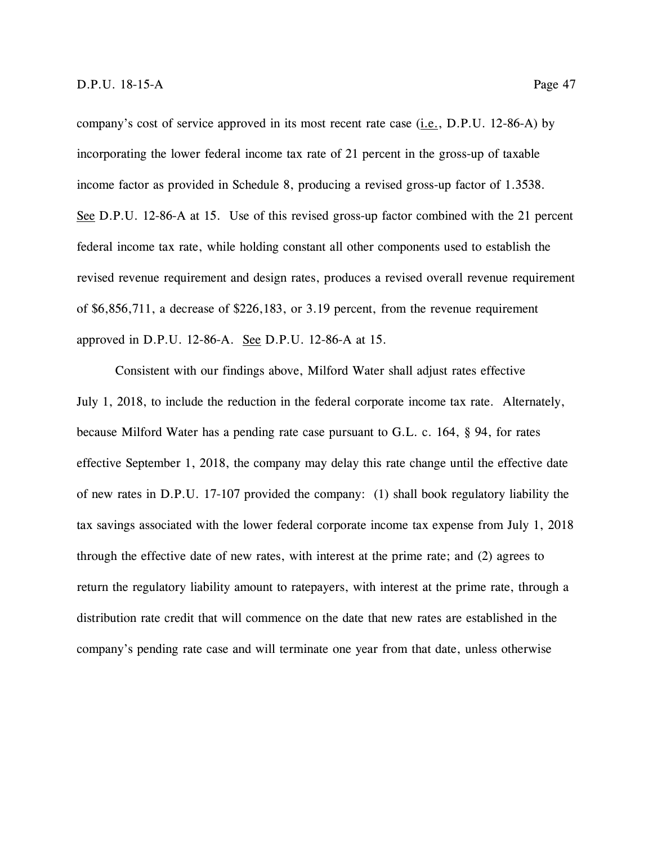company's cost of service approved in its most recent rate case (i.e., D.P.U. 12-86-A) by incorporating the lower federal income tax rate of 21 percent in the gross-up of taxable income factor as provided in Schedule 8, producing a revised gross-up factor of 1.3538. See D.P.U. 12-86-A at 15. Use of this revised gross-up factor combined with the 21 percent federal income tax rate, while holding constant all other components used to establish the revised revenue requirement and design rates, produces a revised overall revenue requirement of \$6,856,711, a decrease of \$226,183, or 3.19 percent, from the revenue requirement approved in D.P.U. 12-86-A. See D.P.U. 12-86-A at 15.

Consistent with our findings above, Milford Water shall adjust rates effective July 1, 2018, to include the reduction in the federal corporate income tax rate. Alternately, because Milford Water has a pending rate case pursuant to G.L. c. 164, § 94, for rates effective September 1, 2018, the company may delay this rate change until the effective date of new rates in D.P.U. 17-107 provided the company: (1) shall book regulatory liability the tax savings associated with the lower federal corporate income tax expense from July 1, 2018 through the effective date of new rates, with interest at the prime rate; and (2) agrees to return the regulatory liability amount to ratepayers, with interest at the prime rate, through a distribution rate credit that will commence on the date that new rates are established in the company's pending rate case and will terminate one year from that date, unless otherwise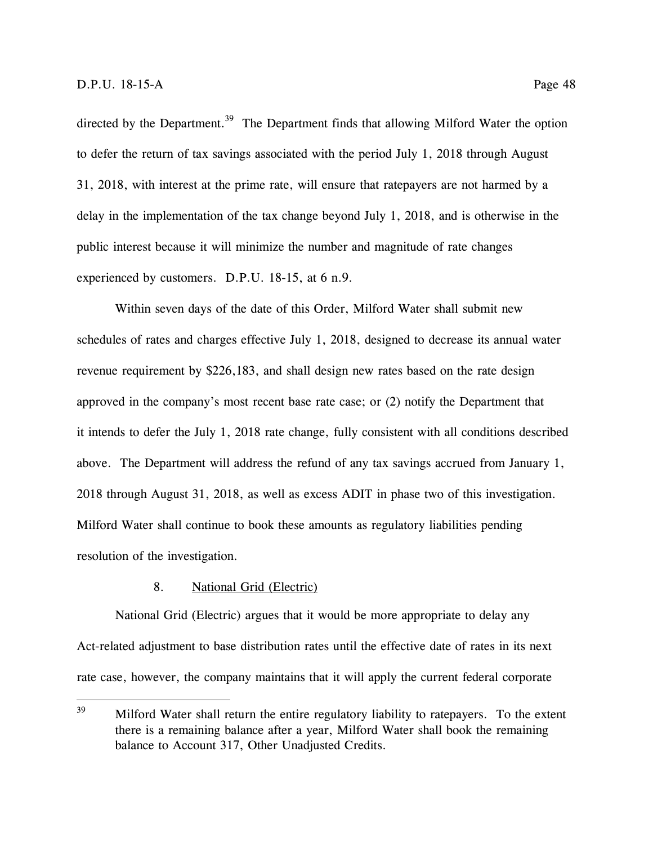directed by the Department.<sup>39</sup> The Department finds that allowing Milford Water the option to defer the return of tax savings associated with the period July 1, 2018 through August 31, 2018, with interest at the prime rate, will ensure that ratepayers are not harmed by a delay in the implementation of the tax change beyond July 1, 2018, and is otherwise in the public interest because it will minimize the number and magnitude of rate changes experienced by customers. D.P.U. 18-15, at 6 n.9.

Within seven days of the date of this Order, Milford Water shall submit new schedules of rates and charges effective July 1, 2018, designed to decrease its annual water revenue requirement by \$226,183, and shall design new rates based on the rate design approved in the company's most recent base rate case; or (2) notify the Department that it intends to defer the July 1, 2018 rate change, fully consistent with all conditions described above. The Department will address the refund of any tax savings accrued from January 1, 2018 through August 31, 2018, as well as excess ADIT in phase two of this investigation. Milford Water shall continue to book these amounts as regulatory liabilities pending resolution of the investigation.

# 8. National Grid (Electric)

National Grid (Electric) argues that it would be more appropriate to delay any Act-related adjustment to base distribution rates until the effective date of rates in its next rate case, however, the company maintains that it will apply the current federal corporate

<sup>39</sup> Milford Water shall return the entire regulatory liability to ratepayers. To the extent there is a remaining balance after a year, Milford Water shall book the remaining balance to Account 317, Other Unadjusted Credits.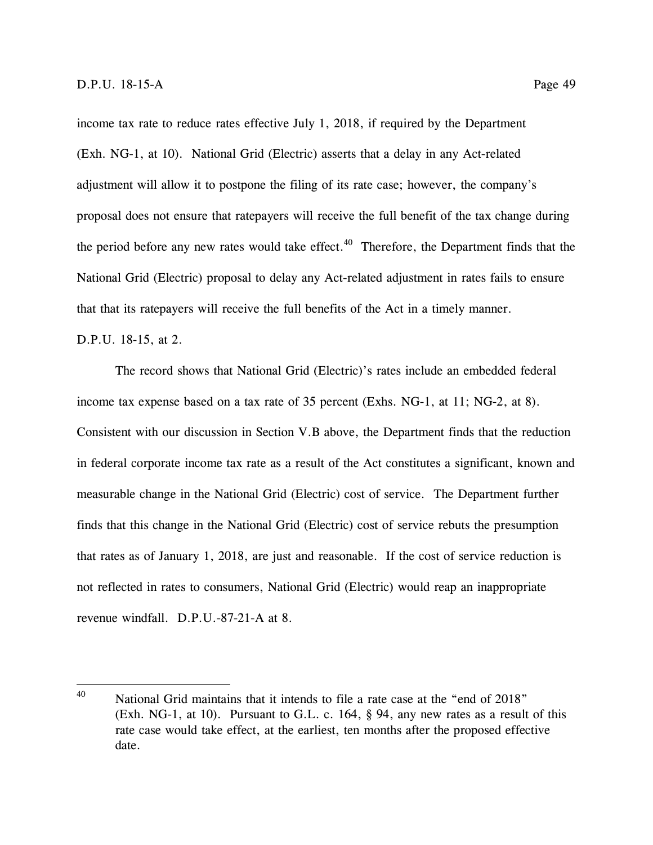income tax rate to reduce rates effective July 1, 2018, if required by the Department (Exh. NG-1, at 10). National Grid (Electric) asserts that a delay in any Act-related adjustment will allow it to postpone the filing of its rate case; however, the company's proposal does not ensure that ratepayers will receive the full benefit of the tax change during the period before any new rates would take effect.<sup>40</sup> Therefore, the Department finds that the National Grid (Electric) proposal to delay any Act-related adjustment in rates fails to ensure that that its ratepayers will receive the full benefits of the Act in a timely manner.

### D.P.U. 18-15, at 2.

The record shows that National Grid (Electric)'s rates include an embedded federal income tax expense based on a tax rate of 35 percent (Exhs. NG-1, at 11; NG-2, at 8). Consistent with our discussion in Section V.B above, the Department finds that the reduction in federal corporate income tax rate as a result of the Act constitutes a significant, known and measurable change in the National Grid (Electric) cost of service. The Department further finds that this change in the National Grid (Electric) cost of service rebuts the presumption that rates as of January 1, 2018, are just and reasonable. If the cost of service reduction is not reflected in rates to consumers, National Grid (Electric) would reap an inappropriate revenue windfall. D.P.U.-87-21-A at 8.

 $40<sup>1</sup>$ National Grid maintains that it intends to file a rate case at the "end of 2018" (Exh. NG-1, at 10). Pursuant to G.L. c. 164, § 94, any new rates as a result of this rate case would take effect, at the earliest, ten months after the proposed effective date.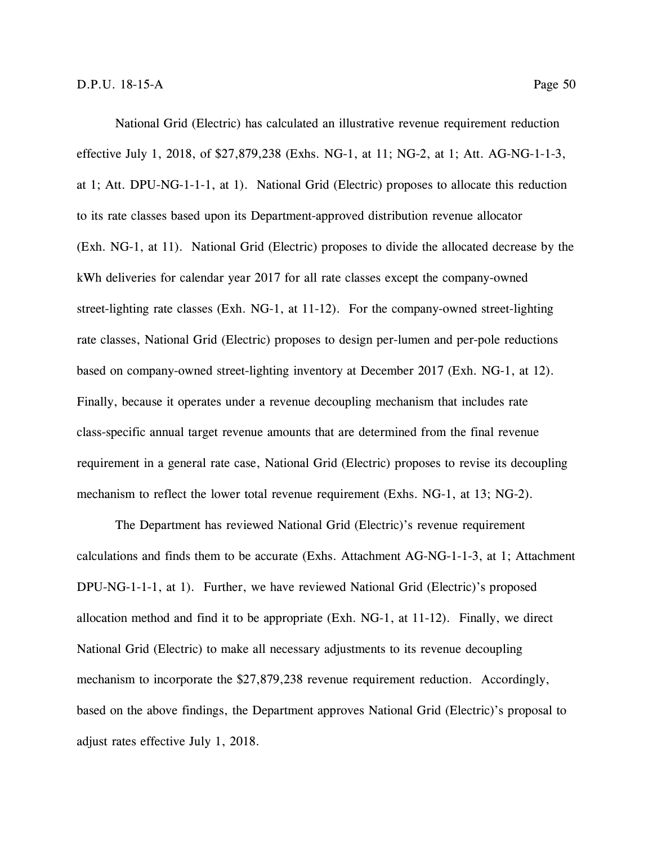National Grid (Electric) has calculated an illustrative revenue requirement reduction effective July 1, 2018, of \$27,879,238 (Exhs. NG-1, at 11; NG-2, at 1; Att. AG-NG-1-1-3, at 1; Att. DPU-NG-1-1-1, at 1). National Grid (Electric) proposes to allocate this reduction to its rate classes based upon its Department-approved distribution revenue allocator (Exh. NG-1, at 11). National Grid (Electric) proposes to divide the allocated decrease by the kWh deliveries for calendar year 2017 for all rate classes except the company-owned street-lighting rate classes (Exh. NG-1, at 11-12). For the company-owned street-lighting rate classes, National Grid (Electric) proposes to design per-lumen and per-pole reductions based on company-owned street-lighting inventory at December 2017 (Exh. NG-1, at 12). Finally, because it operates under a revenue decoupling mechanism that includes rate class-specific annual target revenue amounts that are determined from the final revenue requirement in a general rate case, National Grid (Electric) proposes to revise its decoupling mechanism to reflect the lower total revenue requirement (Exhs. NG-1, at 13; NG-2).

The Department has reviewed National Grid (Electric)'s revenue requirement calculations and finds them to be accurate (Exhs. Attachment AG-NG-1-1-3, at 1; Attachment DPU-NG-1-1-1, at 1). Further, we have reviewed National Grid (Electric)'s proposed allocation method and find it to be appropriate (Exh. NG-1, at 11-12). Finally, we direct National Grid (Electric) to make all necessary adjustments to its revenue decoupling mechanism to incorporate the \$27,879,238 revenue requirement reduction. Accordingly, based on the above findings, the Department approves National Grid (Electric)'s proposal to adjust rates effective July 1, 2018.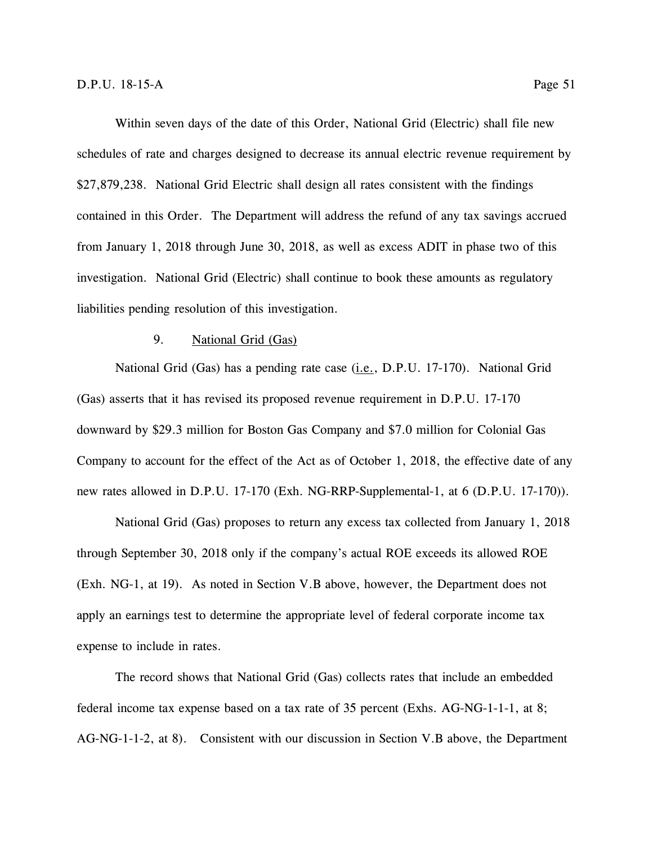Within seven days of the date of this Order, National Grid (Electric) shall file new schedules of rate and charges designed to decrease its annual electric revenue requirement by \$27,879,238. National Grid Electric shall design all rates consistent with the findings contained in this Order. The Department will address the refund of any tax savings accrued from January 1, 2018 through June 30, 2018, as well as excess ADIT in phase two of this investigation. National Grid (Electric) shall continue to book these amounts as regulatory liabilities pending resolution of this investigation.

### 9. National Grid (Gas)

National Grid (Gas) has a pending rate case (i.e., D.P.U. 17-170). National Grid (Gas) asserts that it has revised its proposed revenue requirement in D.P.U. 17-170 downward by \$29.3 million for Boston Gas Company and \$7.0 million for Colonial Gas Company to account for the effect of the Act as of October 1, 2018, the effective date of any new rates allowed in D.P.U. 17-170 (Exh. NG-RRP-Supplemental-1, at 6 (D.P.U. 17-170)).

National Grid (Gas) proposes to return any excess tax collected from January 1, 2018 through September 30, 2018 only if the company's actual ROE exceeds its allowed ROE (Exh. NG-1, at 19). As noted in Section V.B above, however, the Department does not apply an earnings test to determine the appropriate level of federal corporate income tax expense to include in rates.

The record shows that National Grid (Gas) collects rates that include an embedded federal income tax expense based on a tax rate of 35 percent (Exhs. AG-NG-1-1-1, at 8; AG-NG-1-1-2, at 8). Consistent with our discussion in Section V.B above, the Department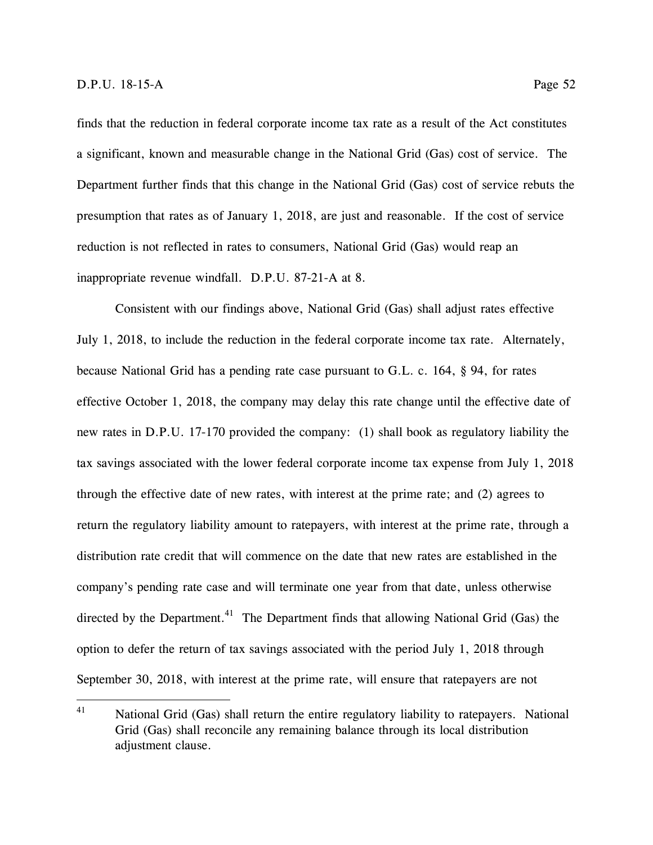finds that the reduction in federal corporate income tax rate as a result of the Act constitutes a significant, known and measurable change in the National Grid (Gas) cost of service. The Department further finds that this change in the National Grid (Gas) cost of service rebuts the presumption that rates as of January 1, 2018, are just and reasonable. If the cost of service reduction is not reflected in rates to consumers, National Grid (Gas) would reap an inappropriate revenue windfall. D.P.U. 87-21-A at 8.

Consistent with our findings above, National Grid (Gas) shall adjust rates effective July 1, 2018, to include the reduction in the federal corporate income tax rate. Alternately, because National Grid has a pending rate case pursuant to G.L. c. 164, § 94, for rates effective October 1, 2018, the company may delay this rate change until the effective date of new rates in D.P.U. 17-170 provided the company: (1) shall book as regulatory liability the tax savings associated with the lower federal corporate income tax expense from July 1, 2018 through the effective date of new rates, with interest at the prime rate; and (2) agrees to return the regulatory liability amount to ratepayers, with interest at the prime rate, through a distribution rate credit that will commence on the date that new rates are established in the company's pending rate case and will terminate one year from that date, unless otherwise directed by the Department.<sup>41</sup> The Department finds that allowing National Grid (Gas) the option to defer the return of tax savings associated with the period July 1, 2018 through September 30, 2018, with interest at the prime rate, will ensure that ratepayers are not

<sup>41</sup> National Grid (Gas) shall return the entire regulatory liability to ratepayers. National Grid (Gas) shall reconcile any remaining balance through its local distribution adjustment clause.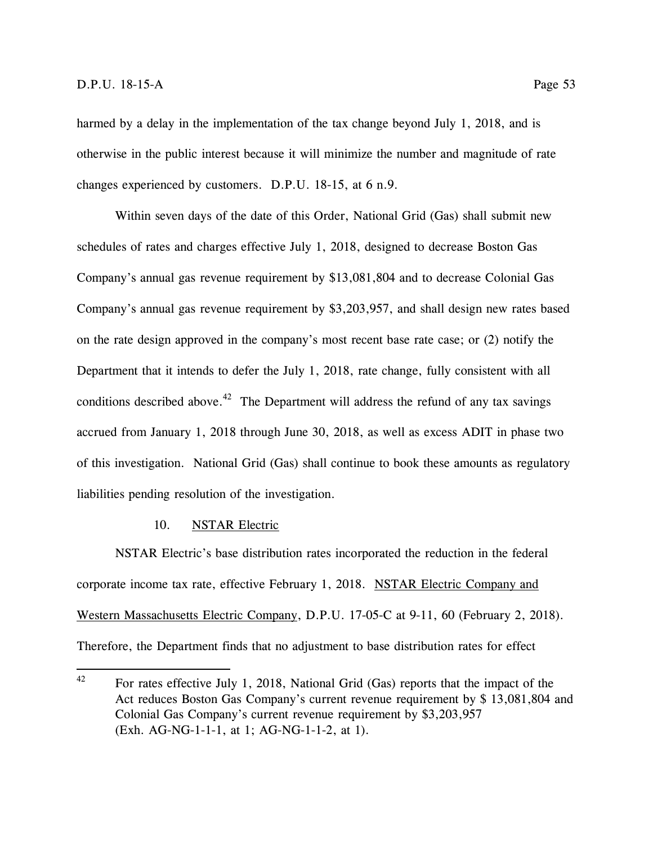harmed by a delay in the implementation of the tax change beyond July 1, 2018, and is otherwise in the public interest because it will minimize the number and magnitude of rate changes experienced by customers. D.P.U. 18-15, at 6 n.9.

Within seven days of the date of this Order, National Grid (Gas) shall submit new schedules of rates and charges effective July 1, 2018, designed to decrease Boston Gas Company's annual gas revenue requirement by \$13,081,804 and to decrease Colonial Gas Company's annual gas revenue requirement by \$3,203,957, and shall design new rates based on the rate design approved in the company's most recent base rate case; or (2) notify the Department that it intends to defer the July 1, 2018, rate change, fully consistent with all conditions described above.<sup>42</sup> The Department will address the refund of any tax savings accrued from January 1, 2018 through June 30, 2018, as well as excess ADIT in phase two of this investigation. National Grid (Gas) shall continue to book these amounts as regulatory liabilities pending resolution of the investigation.

## 10. NSTAR Electric

NSTAR Electric's base distribution rates incorporated the reduction in the federal corporate income tax rate, effective February 1, 2018. NSTAR Electric Company and Western Massachusetts Electric Company, D.P.U. 17-05-C at 9-11, 60 (February 2, 2018). Therefore, the Department finds that no adjustment to base distribution rates for effect

<sup>42</sup> For rates effective July 1, 2018, National Grid (Gas) reports that the impact of the Act reduces Boston Gas Company's current revenue requirement by \$ 13,081,804 and Colonial Gas Company's current revenue requirement by \$3,203,957 (Exh. AG-NG-1-1-1, at 1; AG-NG-1-1-2, at 1).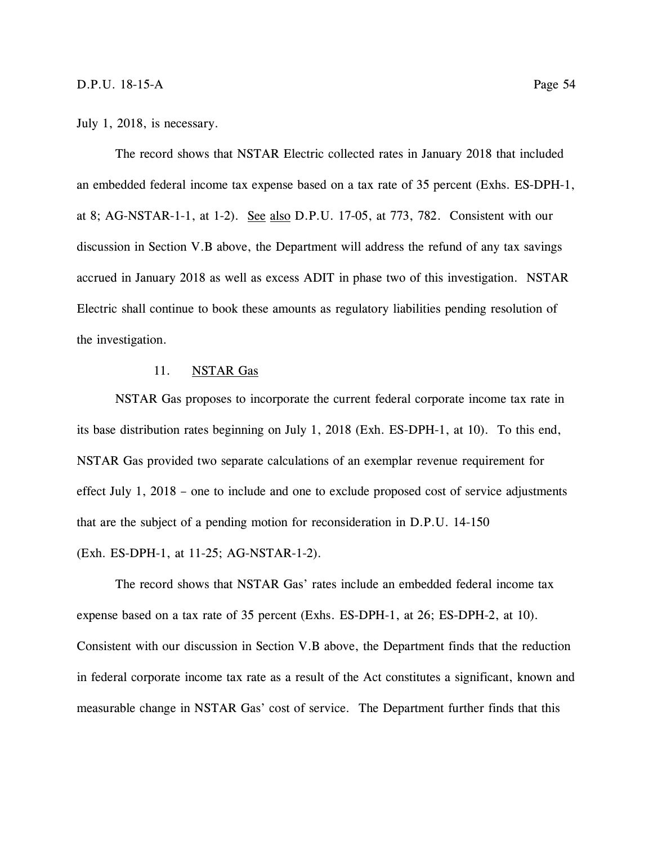#### July 1, 2018, is necessary.

The record shows that NSTAR Electric collected rates in January 2018 that included an embedded federal income tax expense based on a tax rate of 35 percent (Exhs. ES-DPH-1, at 8; AG-NSTAR-1-1, at 1-2). See also D.P.U. 17-05, at 773, 782. Consistent with our discussion in Section V.B above, the Department will address the refund of any tax savings accrued in January 2018 as well as excess ADIT in phase two of this investigation. NSTAR Electric shall continue to book these amounts as regulatory liabilities pending resolution of the investigation.

# 11. NSTAR Gas

NSTAR Gas proposes to incorporate the current federal corporate income tax rate in its base distribution rates beginning on July 1, 2018 (Exh. ES-DPH-1, at 10). To this end, NSTAR Gas provided two separate calculations of an exemplar revenue requirement for effect July 1, 2018 – one to include and one to exclude proposed cost of service adjustments that are the subject of a pending motion for reconsideration in D.P.U. 14-150 (Exh. ES-DPH-1, at 11-25; AG-NSTAR-1-2).

The record shows that NSTAR Gas' rates include an embedded federal income tax expense based on a tax rate of 35 percent (Exhs. ES-DPH-1, at 26; ES-DPH-2, at 10). Consistent with our discussion in Section V.B above, the Department finds that the reduction in federal corporate income tax rate as a result of the Act constitutes a significant, known and measurable change in NSTAR Gas' cost of service. The Department further finds that this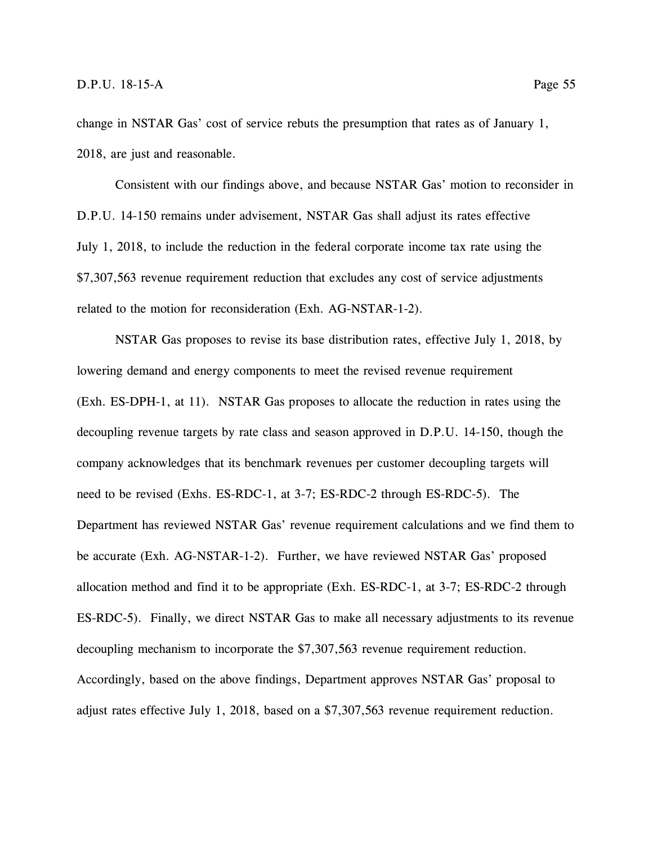change in NSTAR Gas' cost of service rebuts the presumption that rates as of January 1, 2018, are just and reasonable.

Consistent with our findings above, and because NSTAR Gas' motion to reconsider in D.P.U. 14-150 remains under advisement, NSTAR Gas shall adjust its rates effective July 1, 2018, to include the reduction in the federal corporate income tax rate using the \$7,307,563 revenue requirement reduction that excludes any cost of service adjustments related to the motion for reconsideration (Exh. AG-NSTAR-1-2).

NSTAR Gas proposes to revise its base distribution rates, effective July 1, 2018, by lowering demand and energy components to meet the revised revenue requirement (Exh. ES-DPH-1, at 11). NSTAR Gas proposes to allocate the reduction in rates using the decoupling revenue targets by rate class and season approved in D.P.U. 14-150, though the company acknowledges that its benchmark revenues per customer decoupling targets will need to be revised (Exhs. ES-RDC-1, at 3-7; ES-RDC-2 through ES-RDC-5). The Department has reviewed NSTAR Gas' revenue requirement calculations and we find them to be accurate (Exh. AG-NSTAR-1-2). Further, we have reviewed NSTAR Gas' proposed allocation method and find it to be appropriate (Exh. ES-RDC-1, at 3-7; ES-RDC-2 through ES-RDC-5). Finally, we direct NSTAR Gas to make all necessary adjustments to its revenue decoupling mechanism to incorporate the \$7,307,563 revenue requirement reduction. Accordingly, based on the above findings, Department approves NSTAR Gas' proposal to adjust rates effective July 1, 2018, based on a \$7,307,563 revenue requirement reduction.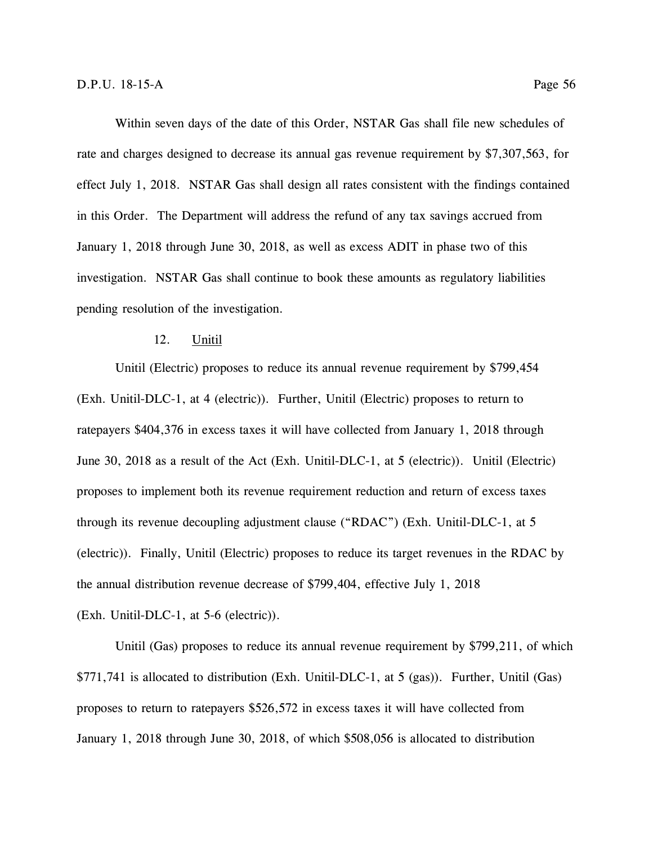Within seven days of the date of this Order, NSTAR Gas shall file new schedules of rate and charges designed to decrease its annual gas revenue requirement by \$7,307,563, for effect July 1, 2018. NSTAR Gas shall design all rates consistent with the findings contained in this Order. The Department will address the refund of any tax savings accrued from January 1, 2018 through June 30, 2018, as well as excess ADIT in phase two of this investigation. NSTAR Gas shall continue to book these amounts as regulatory liabilities pending resolution of the investigation.

### 12. Unitil

Unitil (Electric) proposes to reduce its annual revenue requirement by \$799,454 (Exh. Unitil-DLC-1, at 4 (electric)). Further, Unitil (Electric) proposes to return to ratepayers \$404,376 in excess taxes it will have collected from January 1, 2018 through June 30, 2018 as a result of the Act (Exh. Unitil-DLC-1, at 5 (electric)). Unitil (Electric) proposes to implement both its revenue requirement reduction and return of excess taxes through its revenue decoupling adjustment clause ("RDAC") (Exh. Unitil-DLC-1, at 5 (electric)). Finally, Unitil (Electric) proposes to reduce its target revenues in the RDAC by the annual distribution revenue decrease of \$799,404, effective July 1, 2018 (Exh. Unitil-DLC-1, at 5-6 (electric)).

Unitil (Gas) proposes to reduce its annual revenue requirement by \$799,211, of which \$771,741 is allocated to distribution (Exh. Unitil-DLC-1, at 5 (gas)). Further, Unitil (Gas) proposes to return to ratepayers \$526,572 in excess taxes it will have collected from January 1, 2018 through June 30, 2018, of which \$508,056 is allocated to distribution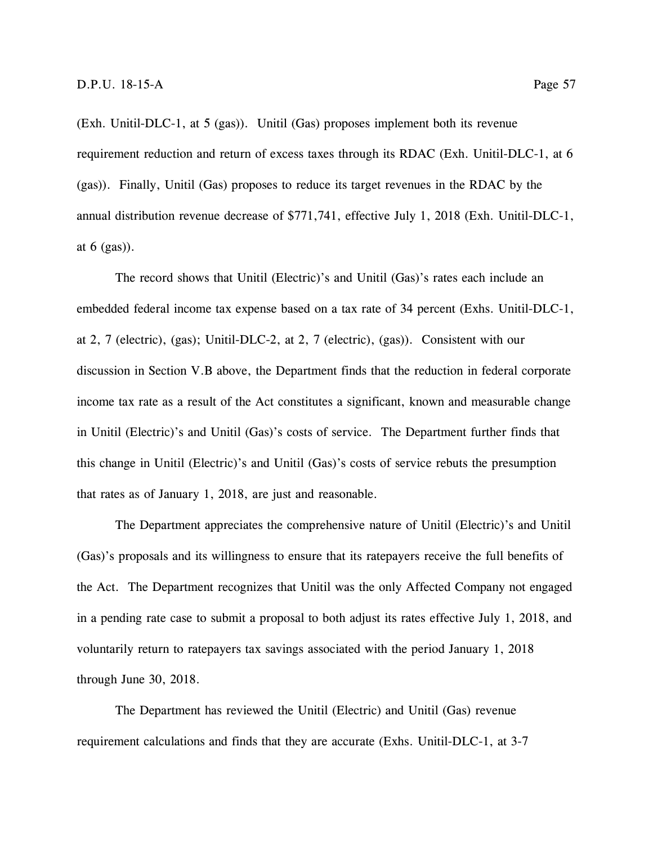(Exh. Unitil-DLC-1, at 5 (gas)). Unitil (Gas) proposes implement both its revenue requirement reduction and return of excess taxes through its RDAC (Exh. Unitil-DLC-1, at 6 (gas)). Finally, Unitil (Gas) proposes to reduce its target revenues in the RDAC by the annual distribution revenue decrease of \$771,741, effective July 1, 2018 (Exh. Unitil-DLC-1, at  $6$  (gas)).

The record shows that Unitil (Electric)'s and Unitil (Gas)'s rates each include an embedded federal income tax expense based on a tax rate of 34 percent (Exhs. Unitil-DLC-1, at 2, 7 (electric), (gas); Unitil-DLC-2, at 2, 7 (electric), (gas)). Consistent with our discussion in Section V.B above, the Department finds that the reduction in federal corporate income tax rate as a result of the Act constitutes a significant, known and measurable change in Unitil (Electric)'s and Unitil (Gas)'s costs of service. The Department further finds that this change in Unitil (Electric)'s and Unitil (Gas)'s costs of service rebuts the presumption that rates as of January 1, 2018, are just and reasonable.

The Department appreciates the comprehensive nature of Unitil (Electric)'s and Unitil (Gas)'s proposals and its willingness to ensure that its ratepayers receive the full benefits of the Act. The Department recognizes that Unitil was the only Affected Company not engaged in a pending rate case to submit a proposal to both adjust its rates effective July 1, 2018, and voluntarily return to ratepayers tax savings associated with the period January 1, 2018 through June 30, 2018.

The Department has reviewed the Unitil (Electric) and Unitil (Gas) revenue requirement calculations and finds that they are accurate (Exhs. Unitil-DLC-1, at 3-7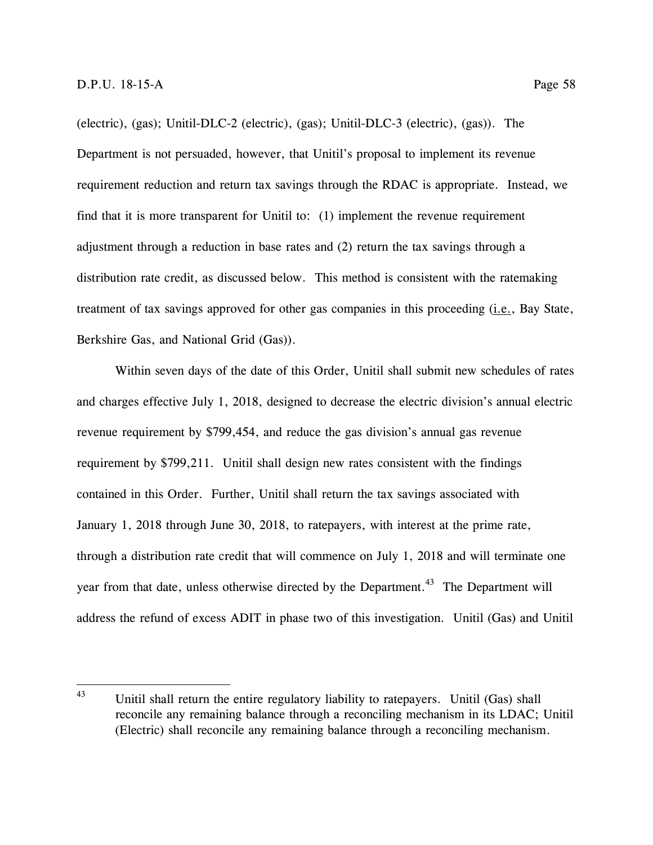(electric), (gas); Unitil-DLC-2 (electric), (gas); Unitil-DLC-3 (electric), (gas)). The Department is not persuaded, however, that Unitil's proposal to implement its revenue requirement reduction and return tax savings through the RDAC is appropriate. Instead, we find that it is more transparent for Unitil to: (1) implement the revenue requirement adjustment through a reduction in base rates and (2) return the tax savings through a distribution rate credit, as discussed below. This method is consistent with the ratemaking treatment of tax savings approved for other gas companies in this proceeding (*i.e.*, Bay State, Berkshire Gas, and National Grid (Gas)).

Within seven days of the date of this Order, Unitil shall submit new schedules of rates and charges effective July 1, 2018, designed to decrease the electric division's annual electric revenue requirement by \$799,454, and reduce the gas division's annual gas revenue requirement by \$799,211. Unitil shall design new rates consistent with the findings contained in this Order. Further, Unitil shall return the tax savings associated with January 1, 2018 through June 30, 2018, to ratepayers, with interest at the prime rate, through a distribution rate credit that will commence on July 1, 2018 and will terminate one year from that date, unless otherwise directed by the Department.<sup>43</sup> The Department will address the refund of excess ADIT in phase two of this investigation. Unitil (Gas) and Unitil

<sup>43</sup> Unitil shall return the entire regulatory liability to ratepayers. Unitil (Gas) shall reconcile any remaining balance through a reconciling mechanism in its LDAC; Unitil (Electric) shall reconcile any remaining balance through a reconciling mechanism.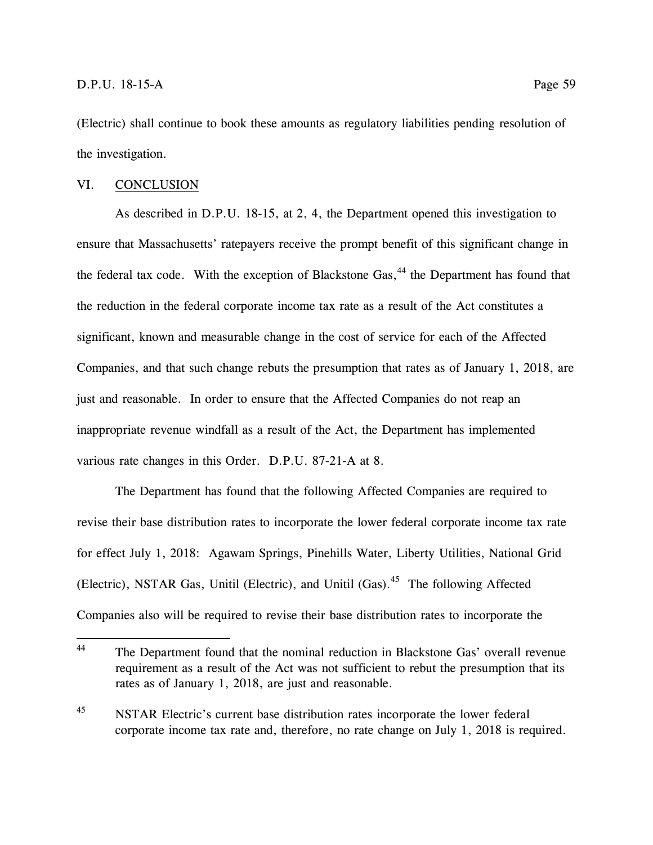(Electric) shall continue to book these amounts as regulatory liabilities pending resolution of the investigation.

# VI. CONCLUSION

As described in D.P.U. 18-15, at 2, 4, the Department opened this investigation to ensure that Massachusetts' ratepayers receive the prompt benefit of this significant change in the federal tax code. With the exception of Blackstone Gas,<sup>44</sup> the Department has found that the reduction in the federal corporate income tax rate as a result of the Act constitutes a significant, known and measurable change in the cost of service for each of the Affected Companies, and that such change rebuts the presumption that rates as of January 1, 2018, are just and reasonable. In order to ensure that the Affected Companies do not reap an inappropriate revenue windfall as a result of the Act, the Department has implemented various rate changes in this Order. D.P.U. 87-21-A at 8.

The Department has found that the following Affected Companies are required to revise their base distribution rates to incorporate the lower federal corporate income tax rate for effect July 1, 2018: Agawam Springs, Pinehills Water, Liberty Utilities, National Grid (Electric), NSTAR Gas, Unitil (Electric), and Unitil (Gas).<sup>45</sup> The following Affected Companies also will be required to revise their base distribution rates to incorporate the

 $44$ The Department found that the nominal reduction in Blackstone Gas' overall revenue requirement as a result of the Act was not sufficient to rebut the presumption that its rates as of January 1, 2018, are just and reasonable.

<sup>&</sup>lt;sup>45</sup> NSTAR Electric's current base distribution rates incorporate the lower federal corporate income tax rate and, therefore, no rate change on July 1, 2018 is required.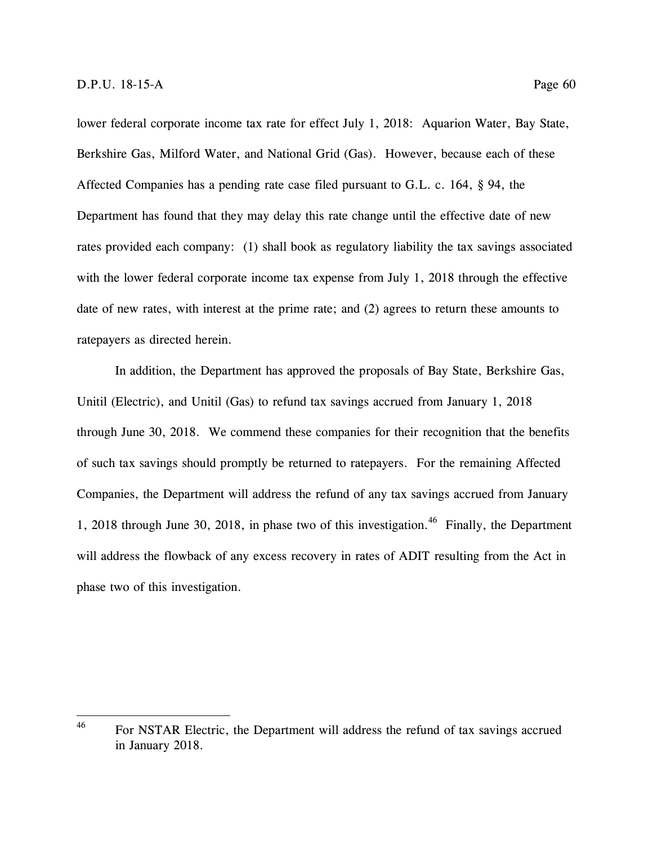lower federal corporate income tax rate for effect July 1, 2018: Aquarion Water, Bay State, Berkshire Gas, Milford Water, and National Grid (Gas). However, because each of these Affected Companies has a pending rate case filed pursuant to G.L. c. 164, § 94, the Department has found that they may delay this rate change until the effective date of new rates provided each company: (1) shall book as regulatory liability the tax savings associated with the lower federal corporate income tax expense from July 1, 2018 through the effective date of new rates, with interest at the prime rate; and (2) agrees to return these amounts to ratepayers as directed herein.

In addition, the Department has approved the proposals of Bay State, Berkshire Gas, Unitil (Electric), and Unitil (Gas) to refund tax savings accrued from January 1, 2018 through June 30, 2018. We commend these companies for their recognition that the benefits of such tax savings should promptly be returned to ratepayers. For the remaining Affected Companies, the Department will address the refund of any tax savings accrued from January 1, 2018 through June 30, 2018, in phase two of this investigation.<sup>46</sup> Finally, the Department will address the flowback of any excess recovery in rates of ADIT resulting from the Act in phase two of this investigation.

<sup>46</sup> <sup>46</sup> For NSTAR Electric, the Department will address the refund of tax savings accrued in January 2018.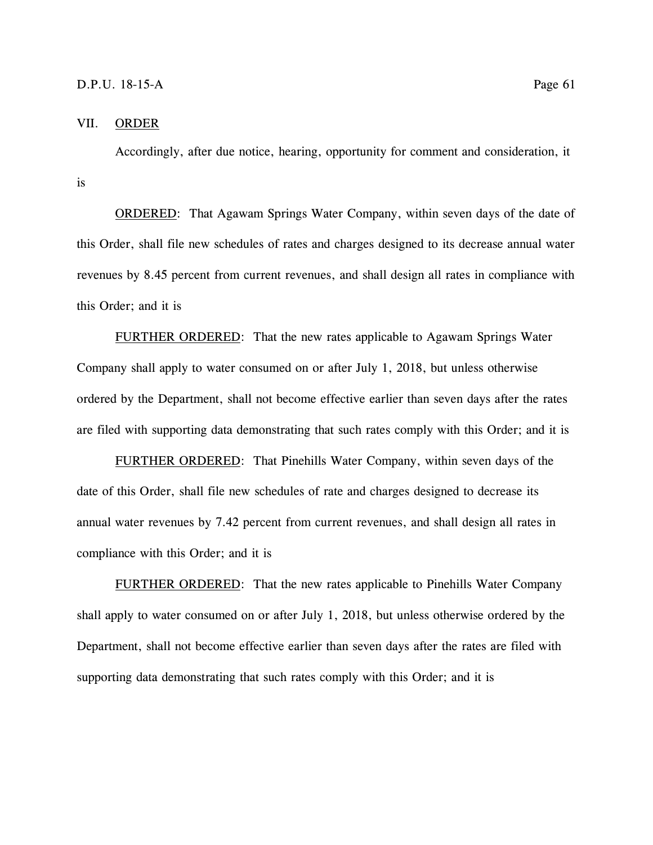# VII. ORDER

Accordingly, after due notice, hearing, opportunity for comment and consideration, it is

ORDERED: That Agawam Springs Water Company, within seven days of the date of this Order, shall file new schedules of rates and charges designed to its decrease annual water revenues by 8.45 percent from current revenues, and shall design all rates in compliance with this Order; and it is

FURTHER ORDERED: That the new rates applicable to Agawam Springs Water Company shall apply to water consumed on or after July 1, 2018, but unless otherwise ordered by the Department, shall not become effective earlier than seven days after the rates are filed with supporting data demonstrating that such rates comply with this Order; and it is

FURTHER ORDERED: That Pinehills Water Company, within seven days of the date of this Order, shall file new schedules of rate and charges designed to decrease its annual water revenues by 7.42 percent from current revenues, and shall design all rates in compliance with this Order; and it is

FURTHER ORDERED: That the new rates applicable to Pinehills Water Company shall apply to water consumed on or after July 1, 2018, but unless otherwise ordered by the Department, shall not become effective earlier than seven days after the rates are filed with supporting data demonstrating that such rates comply with this Order; and it is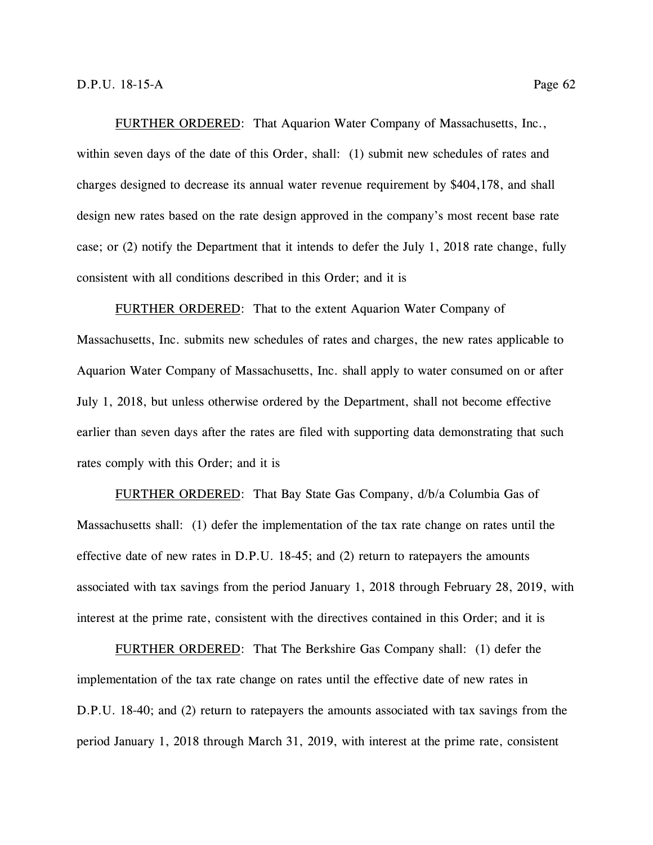FURTHER ORDERED: That Aquarion Water Company of Massachusetts, Inc., within seven days of the date of this Order, shall: (1) submit new schedules of rates and charges designed to decrease its annual water revenue requirement by \$404,178, and shall design new rates based on the rate design approved in the company's most recent base rate case; or (2) notify the Department that it intends to defer the July 1, 2018 rate change, fully consistent with all conditions described in this Order; and it is

FURTHER ORDERED: That to the extent Aquarion Water Company of Massachusetts, Inc. submits new schedules of rates and charges, the new rates applicable to Aquarion Water Company of Massachusetts, Inc. shall apply to water consumed on or after July 1, 2018, but unless otherwise ordered by the Department, shall not become effective earlier than seven days after the rates are filed with supporting data demonstrating that such rates comply with this Order; and it is

FURTHER ORDERED: That Bay State Gas Company, d/b/a Columbia Gas of Massachusetts shall: (1) defer the implementation of the tax rate change on rates until the effective date of new rates in D.P.U. 18-45; and (2) return to ratepayers the amounts associated with tax savings from the period January 1, 2018 through February 28, 2019, with interest at the prime rate, consistent with the directives contained in this Order; and it is

FURTHER ORDERED: That The Berkshire Gas Company shall: (1) defer the implementation of the tax rate change on rates until the effective date of new rates in D.P.U. 18-40; and (2) return to ratepayers the amounts associated with tax savings from the period January 1, 2018 through March 31, 2019, with interest at the prime rate, consistent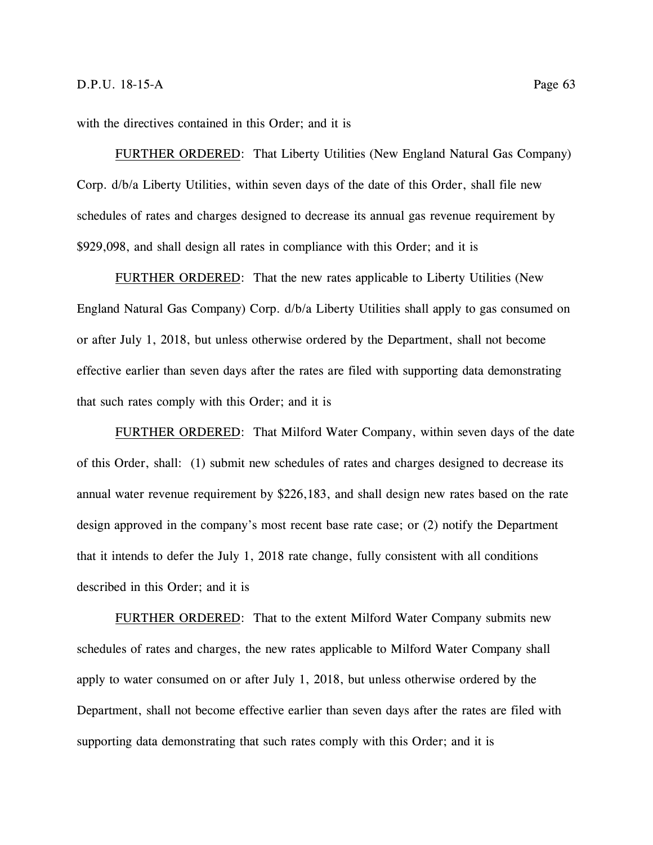with the directives contained in this Order; and it is

FURTHER ORDERED: That Liberty Utilities (New England Natural Gas Company) Corp. d/b/a Liberty Utilities, within seven days of the date of this Order, shall file new schedules of rates and charges designed to decrease its annual gas revenue requirement by \$929,098, and shall design all rates in compliance with this Order; and it is

FURTHER ORDERED: That the new rates applicable to Liberty Utilities (New England Natural Gas Company) Corp. d/b/a Liberty Utilities shall apply to gas consumed on or after July 1, 2018, but unless otherwise ordered by the Department, shall not become effective earlier than seven days after the rates are filed with supporting data demonstrating that such rates comply with this Order; and it is

FURTHER ORDERED: That Milford Water Company, within seven days of the date of this Order, shall: (1) submit new schedules of rates and charges designed to decrease its annual water revenue requirement by \$226,183, and shall design new rates based on the rate design approved in the company's most recent base rate case; or (2) notify the Department that it intends to defer the July 1, 2018 rate change, fully consistent with all conditions described in this Order; and it is

FURTHER ORDERED: That to the extent Milford Water Company submits new schedules of rates and charges, the new rates applicable to Milford Water Company shall apply to water consumed on or after July 1, 2018, but unless otherwise ordered by the Department, shall not become effective earlier than seven days after the rates are filed with supporting data demonstrating that such rates comply with this Order; and it is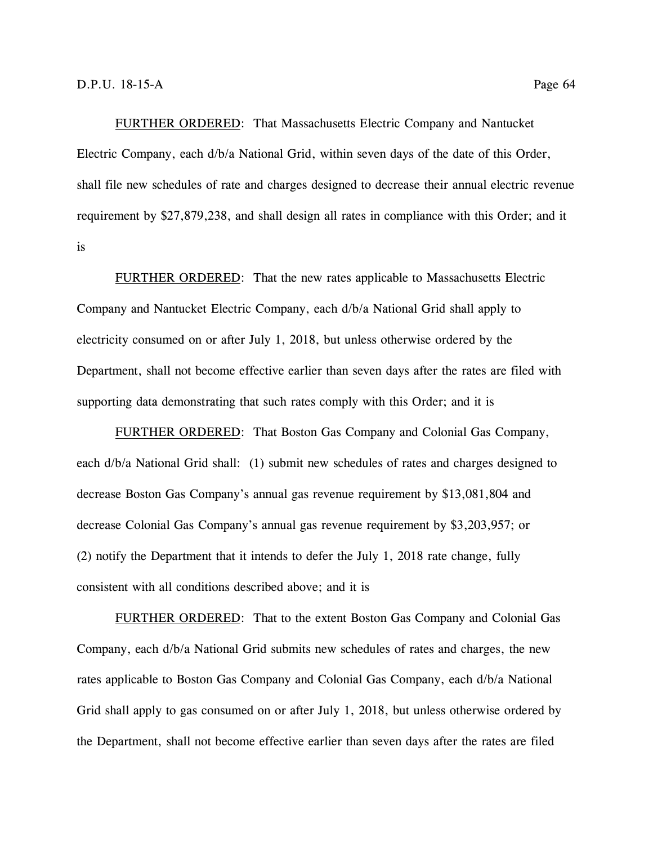FURTHER ORDERED: That Massachusetts Electric Company and Nantucket Electric Company, each d/b/a National Grid, within seven days of the date of this Order, shall file new schedules of rate and charges designed to decrease their annual electric revenue requirement by \$27,879,238, and shall design all rates in compliance with this Order; and it is

FURTHER ORDERED: That the new rates applicable to Massachusetts Electric Company and Nantucket Electric Company, each d/b/a National Grid shall apply to electricity consumed on or after July 1, 2018, but unless otherwise ordered by the Department, shall not become effective earlier than seven days after the rates are filed with supporting data demonstrating that such rates comply with this Order; and it is

FURTHER ORDERED: That Boston Gas Company and Colonial Gas Company, each d/b/a National Grid shall: (1) submit new schedules of rates and charges designed to decrease Boston Gas Company's annual gas revenue requirement by \$13,081,804 and decrease Colonial Gas Company's annual gas revenue requirement by \$3,203,957; or (2) notify the Department that it intends to defer the July 1, 2018 rate change, fully consistent with all conditions described above; and it is

FURTHER ORDERED: That to the extent Boston Gas Company and Colonial Gas Company, each d/b/a National Grid submits new schedules of rates and charges, the new rates applicable to Boston Gas Company and Colonial Gas Company, each d/b/a National Grid shall apply to gas consumed on or after July 1, 2018, but unless otherwise ordered by the Department, shall not become effective earlier than seven days after the rates are filed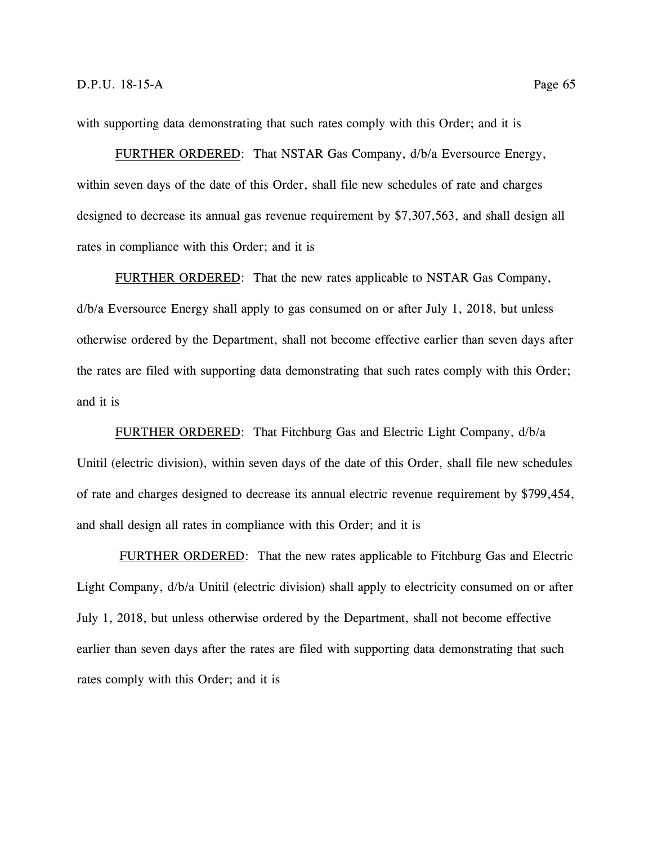with supporting data demonstrating that such rates comply with this Order; and it is

FURTHER ORDERED: That NSTAR Gas Company, d/b/a Eversource Energy, within seven days of the date of this Order, shall file new schedules of rate and charges designed to decrease its annual gas revenue requirement by \$7,307,563, and shall design all rates in compliance with this Order; and it is

FURTHER ORDERED: That the new rates applicable to NSTAR Gas Company, d/b/a Eversource Energy shall apply to gas consumed on or after July 1, 2018, but unless otherwise ordered by the Department, shall not become effective earlier than seven days after the rates are filed with supporting data demonstrating that such rates comply with this Order; and it is

FURTHER ORDERED: That Fitchburg Gas and Electric Light Company, d/b/a Unitil (electric division), within seven days of the date of this Order, shall file new schedules of rate and charges designed to decrease its annual electric revenue requirement by \$799,454, and shall design all rates in compliance with this Order; and it is

FURTHER ORDERED: That the new rates applicable to Fitchburg Gas and Electric Light Company, d/b/a Unitil (electric division) shall apply to electricity consumed on or after July 1, 2018, but unless otherwise ordered by the Department, shall not become effective earlier than seven days after the rates are filed with supporting data demonstrating that such rates comply with this Order; and it is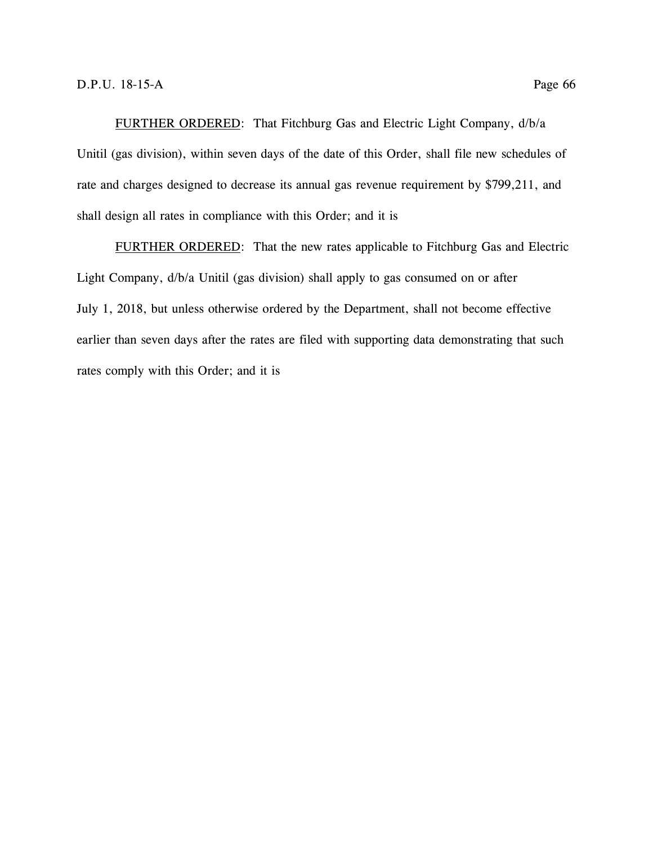FURTHER ORDERED: That Fitchburg Gas and Electric Light Company, d/b/a Unitil (gas division), within seven days of the date of this Order, shall file new schedules of rate and charges designed to decrease its annual gas revenue requirement by \$799,211, and shall design all rates in compliance with this Order; and it is

FURTHER ORDERED: That the new rates applicable to Fitchburg Gas and Electric Light Company, d/b/a Unitil (gas division) shall apply to gas consumed on or after July 1, 2018, but unless otherwise ordered by the Department, shall not become effective earlier than seven days after the rates are filed with supporting data demonstrating that such rates comply with this Order; and it is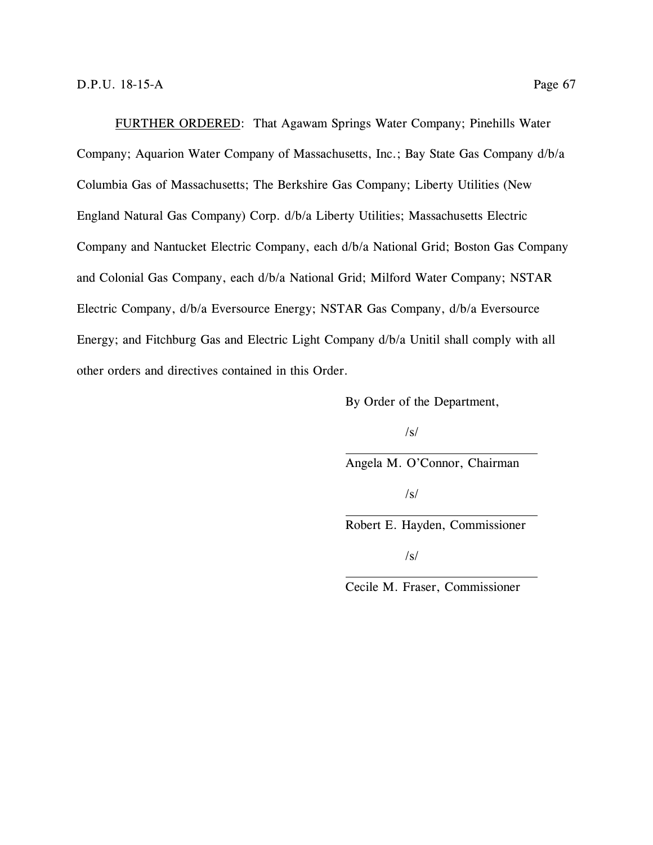FURTHER ORDERED: That Agawam Springs Water Company; Pinehills Water Company; Aquarion Water Company of Massachusetts, Inc.; Bay State Gas Company d/b/a Columbia Gas of Massachusetts; The Berkshire Gas Company; Liberty Utilities (New England Natural Gas Company) Corp. d/b/a Liberty Utilities; Massachusetts Electric Company and Nantucket Electric Company, each d/b/a National Grid; Boston Gas Company and Colonial Gas Company, each d/b/a National Grid; Milford Water Company; NSTAR Electric Company, d/b/a Eversource Energy; NSTAR Gas Company, d/b/a Eversource Energy; and Fitchburg Gas and Electric Light Company d/b/a Unitil shall comply with all other orders and directives contained in this Order.

By Order of the Department,

/s/

Angela M. O'Connor, Chairman

/s/

Robert E. Hayden, Commissioner

 $\sqrt{s}$ 

Cecile M. Fraser, Commissioner